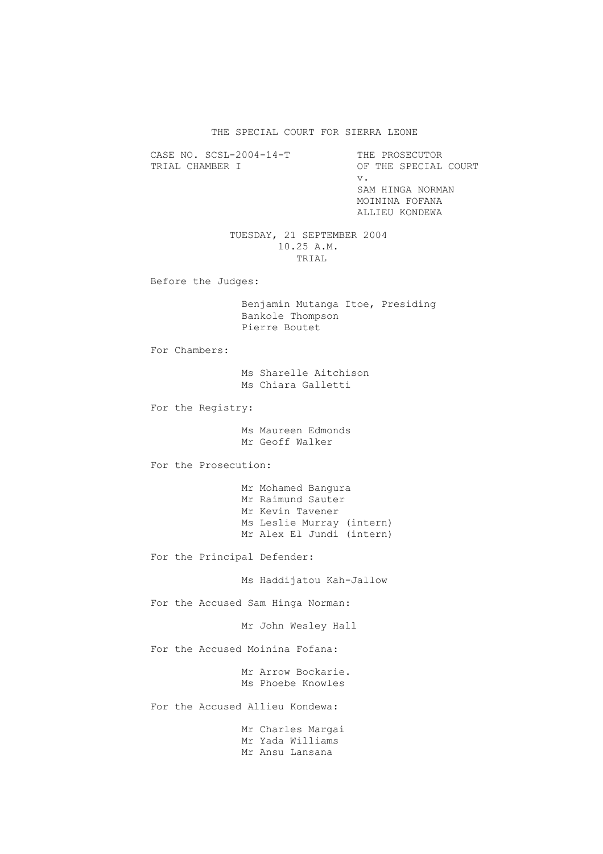## THE SPECIAL COURT FOR SIERRA LEONE

CASE NO. SCSL-2004-14-T<br>TRIAL CHAMBER I OF THE SPECIAL OF THE SPECIAL COURT v. SAM HINGA NORMAN MOININA FOFANA ALLIEU KONDEWA TUESDAY, 21 SEPTEMBER 2004 10.25 A.M. TRIAL Before the Judges: Benjamin Mutanga Itoe, Presiding Bankole Thompson Pierre Boutet For Chambers: Ms Sharelle Aitchison Ms Chiara Galletti For the Registry: Ms Maureen Edmonds Mr Geoff Walker For the Prosecution: Mr Mohamed Bangura Mr Raimund Sauter Mr Kevin Tavener Ms Leslie Murray (intern) Mr Alex El Jundi (intern) For the Principal Defender: Ms Haddijatou Kah-Jallow For the Accused Sam Hinga Norman: Mr John Wesley Hall For the Accused Moinina Fofana: Mr Arrow Bockarie. Ms Phoebe Knowles For the Accused Allieu Kondewa: Mr Charles Margai Mr Yada Williams

Mr Ansu Lansana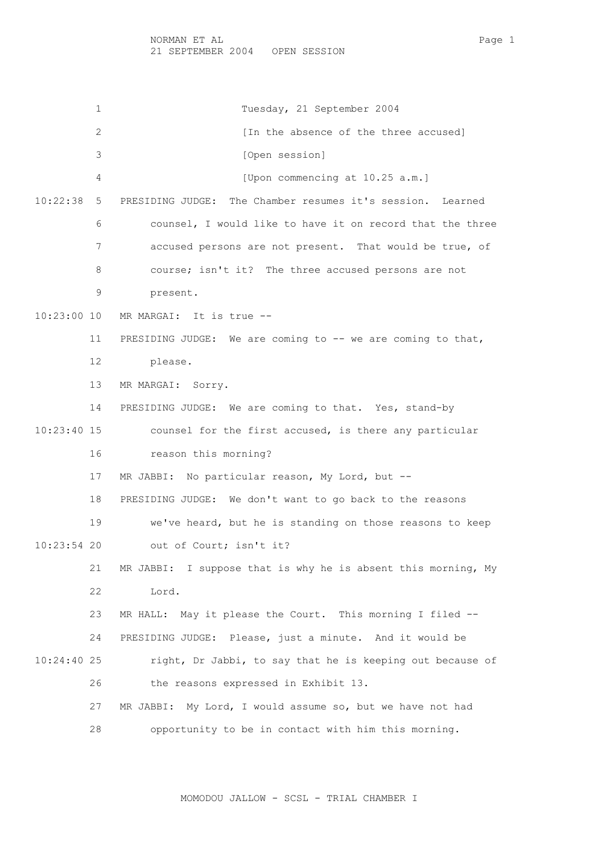NORMAN ET AL Page 1 21 SEPTEMBER 2004 OPEN SESSION

 1 Tuesday, 21 September 2004 2 [In the absence of the three accused] 3 [Open session] 4 [Upon commencing at 10.25 a.m.] 10:22:38 5 PRESIDING JUDGE: The Chamber resumes it's session. Learned 6 counsel, I would like to have it on record that the three 7 accused persons are not present. That would be true, of 8 course; isn't it? The three accused persons are not 9 present. 10:23:00 10 MR MARGAI: It is true -- 11 PRESIDING JUDGE: We are coming to -- we are coming to that, 12 please. 13 MR MARGAI: Sorry. 14 PRESIDING JUDGE: We are coming to that. Yes, stand-by 10:23:40 15 counsel for the first accused, is there any particular 16 reason this morning? 17 MR JABBI: No particular reason, My Lord, but -- 18 PRESIDING JUDGE: We don't want to go back to the reasons 19 we've heard, but he is standing on those reasons to keep 10:23:54 20 out of Court; isn't it? 21 MR JABBI: I suppose that is why he is absent this morning, My 22 Lord. 23 MR HALL: May it please the Court. This morning I filed -- 24 PRESIDING JUDGE: Please, just a minute. And it would be 10:24:40 25 right, Dr Jabbi, to say that he is keeping out because of 26 the reasons expressed in Exhibit 13. 27 MR JABBI: My Lord, I would assume so, but we have not had 28 opportunity to be in contact with him this morning.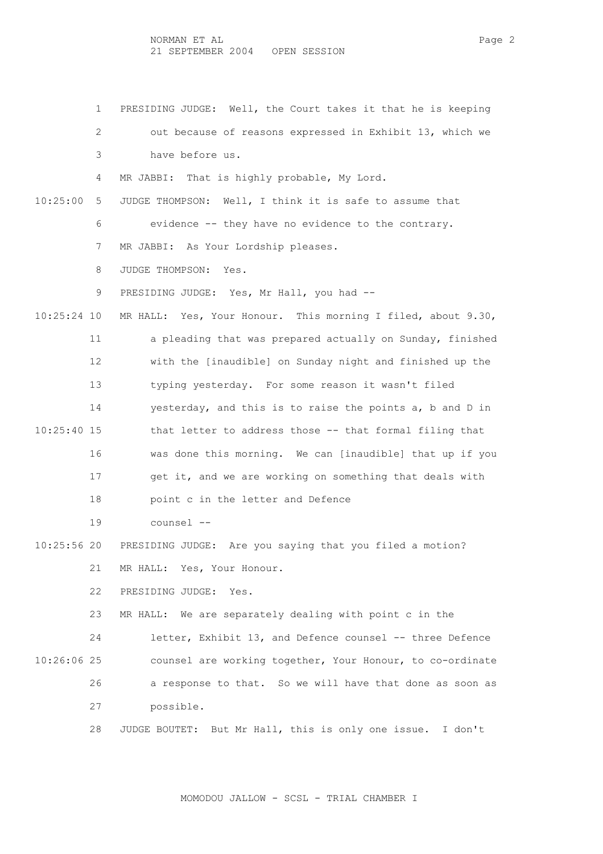1 PRESIDING JUDGE: Well, the Court takes it that he is keeping 2 out because of reasons expressed in Exhibit 13, which we 3 have before us. 4 MR JABBI: That is highly probable, My Lord. 10:25:00 5 JUDGE THOMPSON: Well, I think it is safe to assume that 6 evidence -- they have no evidence to the contrary. 7 MR JABBI: As Your Lordship pleases. 8 JUDGE THOMPSON: Yes. 9 PRESIDING JUDGE: Yes, Mr Hall, you had -- 10:25:24 10 MR HALL: Yes, Your Honour. This morning I filed, about 9.30, 11 a pleading that was prepared actually on Sunday, finished 12 with the [inaudible] on Sunday night and finished up the 13 typing yesterday. For some reason it wasn't filed 14 yesterday, and this is to raise the points a, b and D in 10:25:40 15 that letter to address those -- that formal filing that 16 was done this morning. We can [inaudible] that up if you 17 get it, and we are working on something that deals with 18 point c in the letter and Defence 19 counsel -- 10:25:56 20 PRESIDING JUDGE: Are you saying that you filed a motion? 21 MR HALL: Yes, Your Honour. 22 PRESIDING JUDGE: Yes. 23 MR HALL: We are separately dealing with point c in the 24 letter, Exhibit 13, and Defence counsel -- three Defence 10:26:06 25 counsel are working together, Your Honour, to co-ordinate 26 a response to that. So we will have that done as soon as 27 possible.

28 JUDGE BOUTET: But Mr Hall, this is only one issue. I don't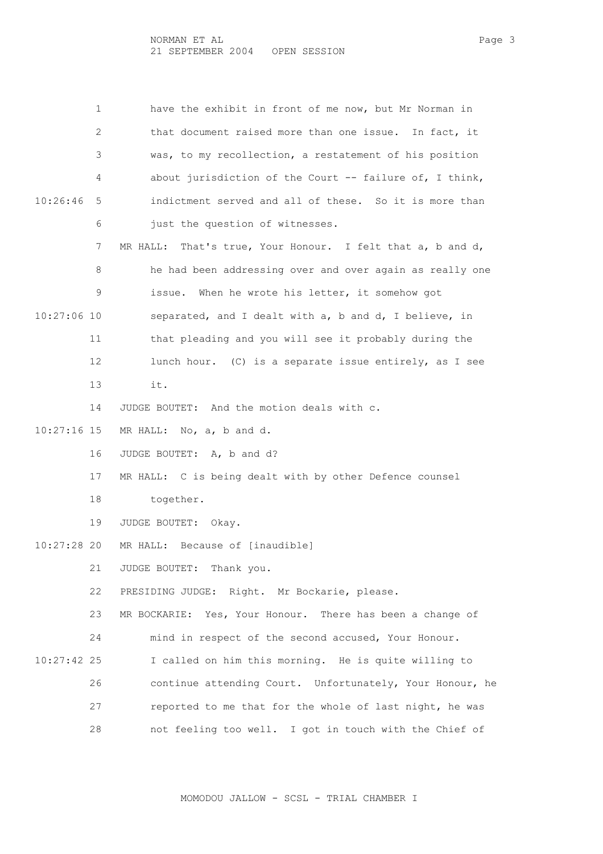|               | have the exhibit in front of me now, but Mr Norman in<br>1                  |
|---------------|-----------------------------------------------------------------------------|
|               | 2<br>that document raised more than one issue. In fact, it                  |
|               | 3<br>was, to my recollection, a restatement of his position                 |
|               | about jurisdiction of the Court -- failure of, I think,<br>4                |
| 10:26:46      | indictment served and all of these. So it is more than<br>5                 |
|               | just the question of witnesses.<br>6                                        |
|               | MR HALL: That's true, Your Honour. I felt that a, b and d,<br>7             |
|               | he had been addressing over and over again as really one<br>8               |
|               | 9<br>When he wrote his letter, it somehow got<br>issue.                     |
| 10:27:06 10   | separated, and I dealt with a, b and d, I believe, in                       |
|               | 11<br>that pleading and you will see it probably during the                 |
|               | $12 \overline{ }$<br>lunch hour. (C) is a separate issue entirely, as I see |
|               | 13<br>it.                                                                   |
|               | 14<br>JUDGE BOUTET: And the motion deals with c.                            |
| $10:27:16$ 15 | MR HALL: No, a, b and d.                                                    |
|               | JUDGE BOUTET: A, b and d?<br>16                                             |
|               | 17<br>MR HALL: C is being dealt with by other Defence counsel               |
| 18            | together.                                                                   |
| 19            | JUDGE BOUTET: Okay.                                                         |
| $10:27:28$ 20 | MR HALL: Because of [inaudible]                                             |
|               | 21<br>JUDGE BOUTET: Thank you.                                              |
|               | 22<br>PRESIDING JUDGE: Right. Mr Bockarie, please.                          |
|               | 23<br>MR BOCKARIE: Yes, Your Honour. There has been a change of             |
|               | 24<br>mind in respect of the second accused, Your Honour.                   |
| $10:27:42$ 25 | I called on him this morning. He is quite willing to                        |
|               | 26<br>continue attending Court. Unfortunately, Your Honour, he              |
|               | 27<br>reported to me that for the whole of last night, he was               |
|               | 28<br>not feeling too well. I got in touch with the Chief of                |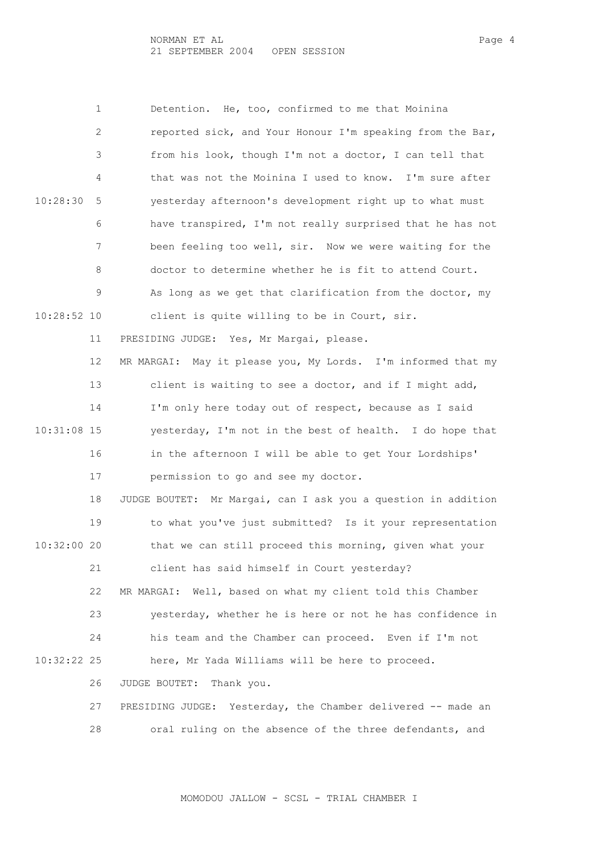1 Detention. He, too, confirmed to me that Moinina 2 reported sick, and Your Honour I'm speaking from the Bar, 3 from his look, though I'm not a doctor, I can tell that 4 that was not the Moinina I used to know. I'm sure after 10:28:30 5 yesterday afternoon's development right up to what must 6 have transpired, I'm not really surprised that he has not 7 been feeling too well, sir. Now we were waiting for the 8 doctor to determine whether he is fit to attend Court. 9 As long as we get that clarification from the doctor, my 10:28:52 10 client is quite willing to be in Court, sir. 11 PRESIDING JUDGE: Yes, Mr Margai, please. 12 MR MARGAI: May it please you, My Lords. I'm informed that my 13 client is waiting to see a doctor, and if I might add, 14 I'm only here today out of respect, because as I said 10:31:08 15 yesterday, I'm not in the best of health. I do hope that 16 in the afternoon I will be able to get Your Lordships' 17 permission to go and see my doctor. 18 JUDGE BOUTET: Mr Margai, can I ask you a question in addition 19 to what you've just submitted? Is it your representation 10:32:00 20 that we can still proceed this morning, given what your 21 client has said himself in Court yesterday? 22 MR MARGAI: Well, based on what my client told this Chamber 23 yesterday, whether he is here or not he has confidence in 24 his team and the Chamber can proceed. Even if I'm not 10:32:22 25 here, Mr Yada Williams will be here to proceed. 26 JUDGE BOUTET: Thank you. 27 PRESIDING JUDGE: Yesterday, the Chamber delivered -- made an 28 oral ruling on the absence of the three defendants, and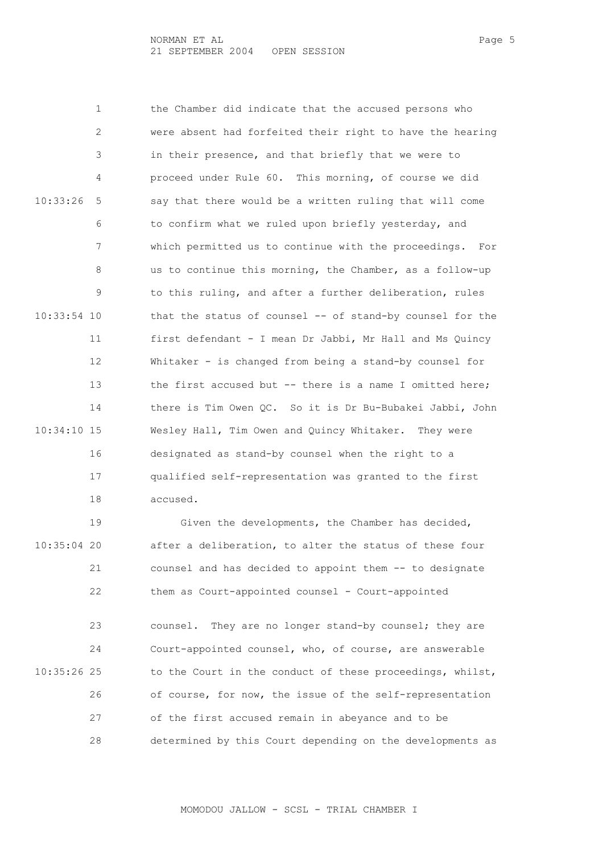1 the Chamber did indicate that the accused persons who 2 were absent had forfeited their right to have the hearing 3 in their presence, and that briefly that we were to 4 proceed under Rule 60. This morning, of course we did 10:33:26 5 say that there would be a written ruling that will come 6 to confirm what we ruled upon briefly yesterday, and 7 which permitted us to continue with the proceedings. For 8 us to continue this morning, the Chamber, as a follow-up 9 to this ruling, and after a further deliberation, rules 10:33:54 10 that the status of counsel -- of stand-by counsel for the 11 first defendant - I mean Dr Jabbi, Mr Hall and Ms Quincy 12 Whitaker - is changed from being a stand-by counsel for 13 the first accused but -- there is a name I omitted here; 14 there is Tim Owen QC. So it is Dr Bu-Bubakei Jabbi, John 10:34:10 15 Wesley Hall, Tim Owen and Quincy Whitaker. They were 16 designated as stand-by counsel when the right to a 17 qualified self-representation was granted to the first 18 accused.

 19 Given the developments, the Chamber has decided, 10:35:04 20 after a deliberation, to alter the status of these four 21 counsel and has decided to appoint them -- to designate 22 them as Court-appointed counsel - Court-appointed

 23 counsel. They are no longer stand-by counsel; they are 24 Court-appointed counsel, who, of course, are answerable 10:35:26 25 to the Court in the conduct of these proceedings, whilst, 26 of course, for now, the issue of the self-representation 27 of the first accused remain in abeyance and to be 28 determined by this Court depending on the developments as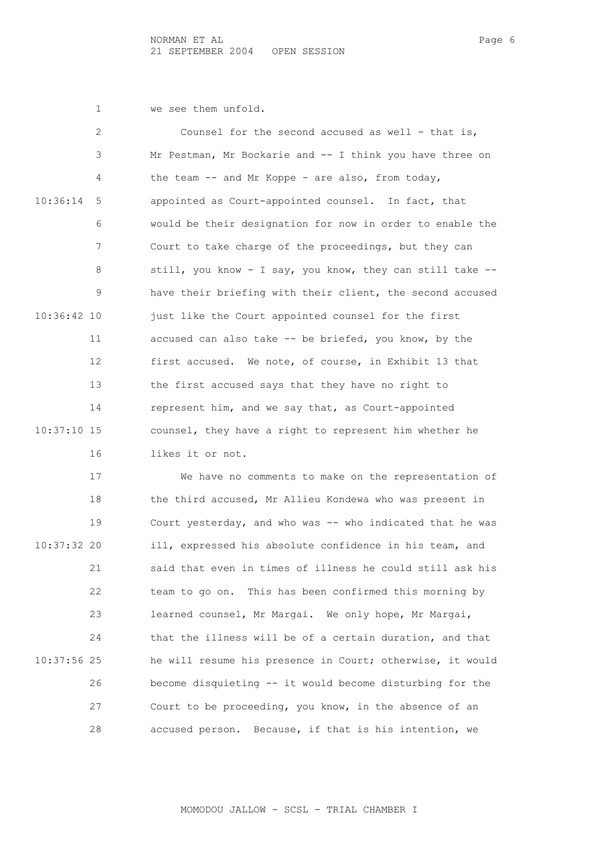1 we see them unfold.

|               | $\overline{2}$  | Counsel for the second accused as well - that is,         |
|---------------|-----------------|-----------------------------------------------------------|
|               | 3               | Mr Pestman, Mr Bockarie and -- I think you have three on  |
|               | 4               | the team $-$ and Mr Koppe - are also, from today,         |
| 10:36:14      | -5              | appointed as Court-appointed counsel. In fact, that       |
|               | 6               | would be their designation for now in order to enable the |
|               | 7               | Court to take charge of the proceedings, but they can     |
|               | 8               | still, you know - I say, you know, they can still take -- |
|               | 9               | have their briefing with their client, the second accused |
| $10:36:42$ 10 |                 | just like the Court appointed counsel for the first       |
|               | 11              | accused can also take -- be briefed, you know, by the     |
|               | 12 <sup>2</sup> | first accused. We note, of course, in Exhibit 13 that     |
|               | 13              | the first accused says that they have no right to         |
|               | 14              | represent him, and we say that, as Court-appointed        |
| $10:37:10$ 15 |                 | counsel, they have a right to represent him whether he    |
|               | 16              | likes it or not.                                          |

 17 We have no comments to make on the representation of 18 the third accused, Mr Allieu Kondewa who was present in 19 Court yesterday, and who was -- who indicated that he was 10:37:32 20 ill, expressed his absolute confidence in his team, and 21 said that even in times of illness he could still ask his 22 team to go on. This has been confirmed this morning by 23 learned counsel, Mr Margai. We only hope, Mr Margai, 24 that the illness will be of a certain duration, and that 10:37:56 25 he will resume his presence in Court; otherwise, it would 26 become disquieting -- it would become disturbing for the 27 Court to be proceeding, you know, in the absence of an 28 accused person. Because, if that is his intention, we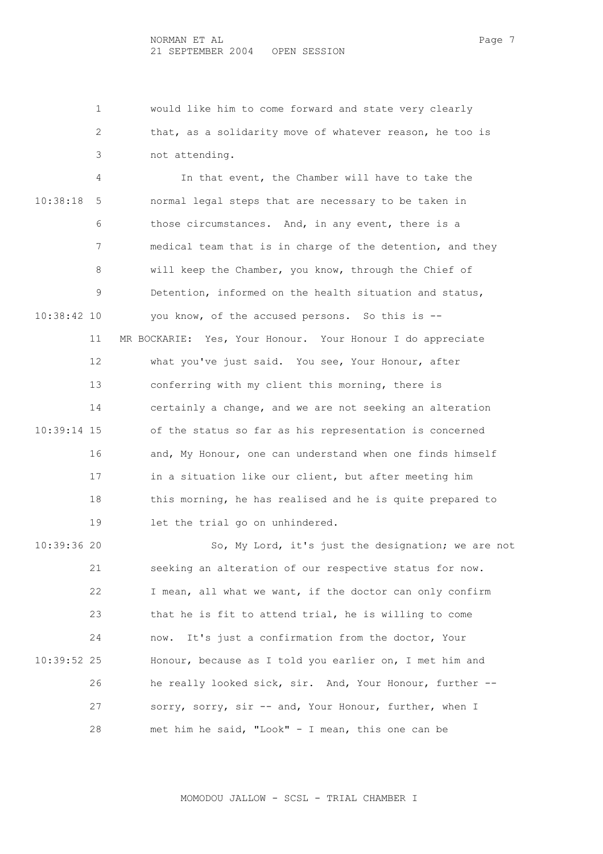1 would like him to come forward and state very clearly 2 that, as a solidarity move of whatever reason, he too is 3 not attending.

 4 In that event, the Chamber will have to take the 10:38:18 5 normal legal steps that are necessary to be taken in 6 those circumstances. And, in any event, there is a 7 medical team that is in charge of the detention, and they 8 will keep the Chamber, you know, through the Chief of 9 Detention, informed on the health situation and status, 10:38:42 10 you know, of the accused persons. So this is -- 11 MR BOCKARIE: Yes, Your Honour. Your Honour I do appreciate 12 what you've just said. You see, Your Honour, after 13 conferring with my client this morning, there is 14 certainly a change, and we are not seeking an alteration 10:39:14 15 of the status so far as his representation is concerned 16 and, My Honour, one can understand when one finds himself 17 in a situation like our client, but after meeting him 18 this morning, he has realised and he is quite prepared to 19 let the trial go on unhindered.

 10:39:36 20 So, My Lord, it's just the designation; we are not 21 seeking an alteration of our respective status for now. 22 I mean, all what we want, if the doctor can only confirm 23 that he is fit to attend trial, he is willing to come 24 now. It's just a confirmation from the doctor, Your 10:39:52 25 Honour, because as I told you earlier on, I met him and 26 he really looked sick, sir. And, Your Honour, further -- 27 sorry, sorry, sir -- and, Your Honour, further, when I 28 met him he said, "Look" - I mean, this one can be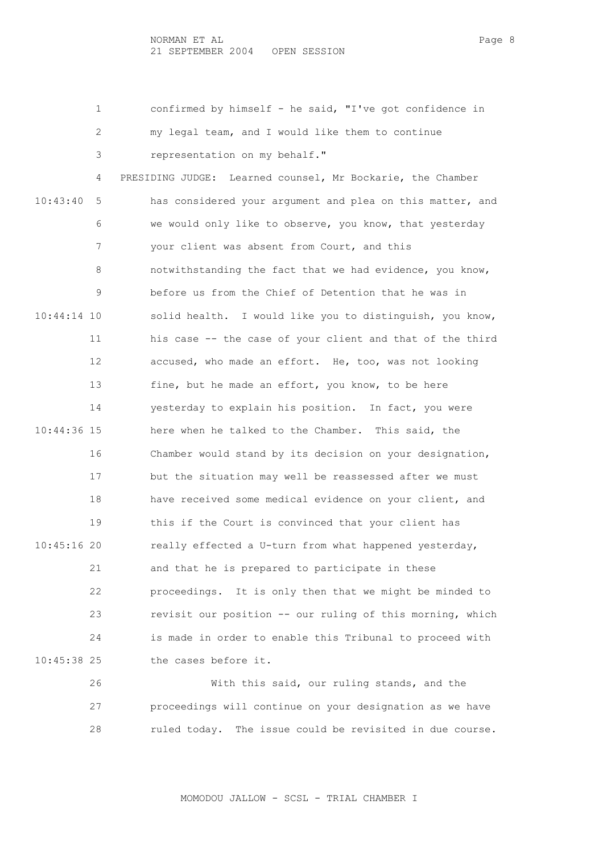1 confirmed by himself - he said, "I've got confidence in 2 my legal team, and I would like them to continue 3 representation on my behalf." 4 PRESIDING JUDGE: Learned counsel, Mr Bockarie, the Chamber 10:43:40 5 has considered your argument and plea on this matter, and 6 we would only like to observe, you know, that yesterday 7 your client was absent from Court, and this 8 notwithstanding the fact that we had evidence, you know, 9 before us from the Chief of Detention that he was in 10:44:14 10 solid health. I would like you to distinguish, you know, 11 his case -- the case of your client and that of the third 12 accused, who made an effort. He, too, was not looking 13 fine, but he made an effort, you know, to be here 14 yesterday to explain his position. In fact, you were 10:44:36 15 here when he talked to the Chamber. This said, the 16 Chamber would stand by its decision on your designation, 17 but the situation may well be reassessed after we must 18 have received some medical evidence on your client, and 19 this if the Court is convinced that your client has 10:45:16 20 really effected a U-turn from what happened yesterday, 21 and that he is prepared to participate in these 22 proceedings. It is only then that we might be minded to 23 revisit our position -- our ruling of this morning, which 24 is made in order to enable this Tribunal to proceed with 10:45:38 25 the cases before it. 26 With this said, our ruling stands, and the 27 proceedings will continue on your designation as we have

MOMODOU JALLOW - SCSL - TRIAL CHAMBER I

28 ruled today. The issue could be revisited in due course.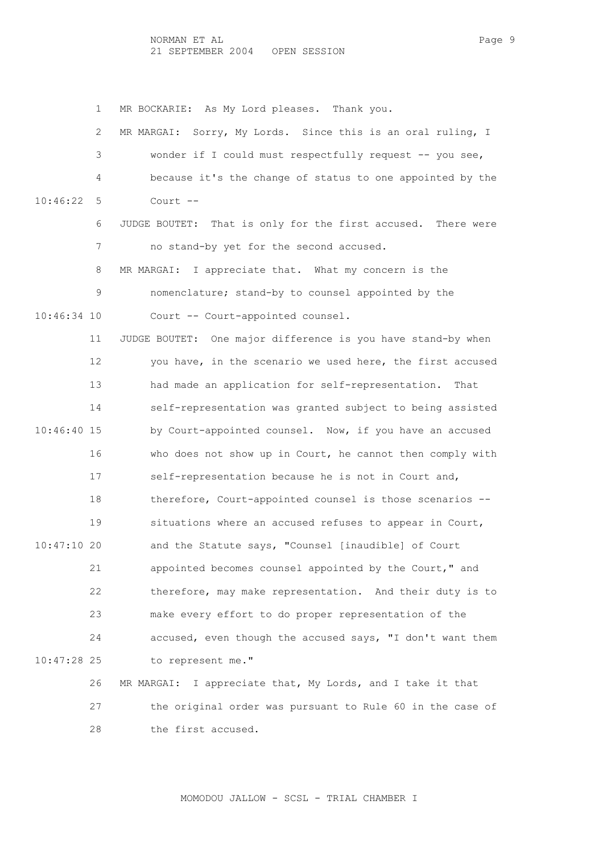1 MR BOCKARIE: As My Lord pleases. Thank you.

 2 MR MARGAI: Sorry, My Lords. Since this is an oral ruling, I 3 wonder if I could must respectfully request -- you see, 4 because it's the change of status to one appointed by the 10:46:22 5 Court -- 6 JUDGE BOUTET: That is only for the first accused. There were 7 no stand-by yet for the second accused. 8 MR MARGAI: I appreciate that. What my concern is the 9 nomenclature; stand-by to counsel appointed by the 10:46:34 10 Court -- Court-appointed counsel. 11 JUDGE BOUTET: One major difference is you have stand-by when 12 you have, in the scenario we used here, the first accused 13 had made an application for self-representation. That 14 self-representation was granted subject to being assisted 10:46:40 15 by Court-appointed counsel. Now, if you have an accused 16 who does not show up in Court, he cannot then comply with 17 self-representation because he is not in Court and, 18 therefore, Court-appointed counsel is those scenarios -- 19 situations where an accused refuses to appear in Court, 10:47:10 20 and the Statute says, "Counsel [inaudible] of Court 21 appointed becomes counsel appointed by the Court," and 22 therefore, may make representation. And their duty is to 23 make every effort to do proper representation of the 24 accused, even though the accused says, "I don't want them 10:47:28 25 to represent me." 26 MR MARGAI: I appreciate that, My Lords, and I take it that 27 the original order was pursuant to Rule 60 in the case of

28 the first accused.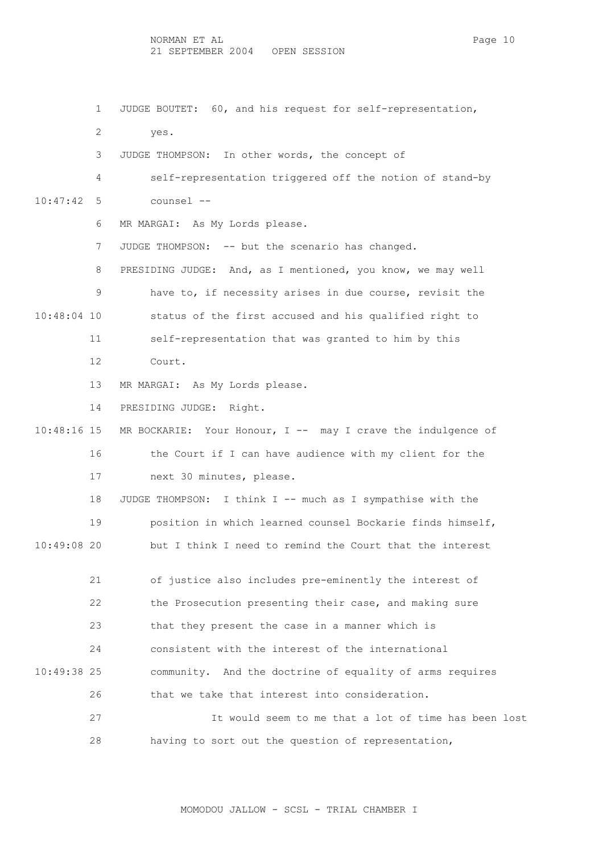1 JUDGE BOUTET: 60, and his request for self-representation,

2 yes.

3 JUDGE THOMPSON: In other words, the concept of

 4 self-representation triggered off the notion of stand-by 10:47:42 5 counsel --

6 MR MARGAI: As My Lords please.

7 JUDGE THOMPSON: -- but the scenario has changed.

 8 PRESIDING JUDGE: And, as I mentioned, you know, we may well 9 have to, if necessity arises in due course, revisit the 10:48:04 10 status of the first accused and his qualified right to 11 self-representation that was granted to him by this

12 Court.

13 MR MARGAI: As My Lords please.

14 PRESIDING JUDGE: Right.

 10:48:16 15 MR BOCKARIE: Your Honour, I -- may I crave the indulgence of 16 the Court if I can have audience with my client for the 17 next 30 minutes, please.

18 JUDGE THOMPSON: I think I -- much as I sympathise with the 19 position in which learned counsel Bockarie finds himself, 10:49:08 20 but I think I need to remind the Court that the interest

 21 of justice also includes pre-eminently the interest of 22 the Prosecution presenting their case, and making sure 23 that they present the case in a manner which is 24 consistent with the interest of the international 10:49:38 25 community. And the doctrine of equality of arms requires 26 that we take that interest into consideration. 27 It would seem to me that a lot of time has been lost

28 having to sort out the question of representation,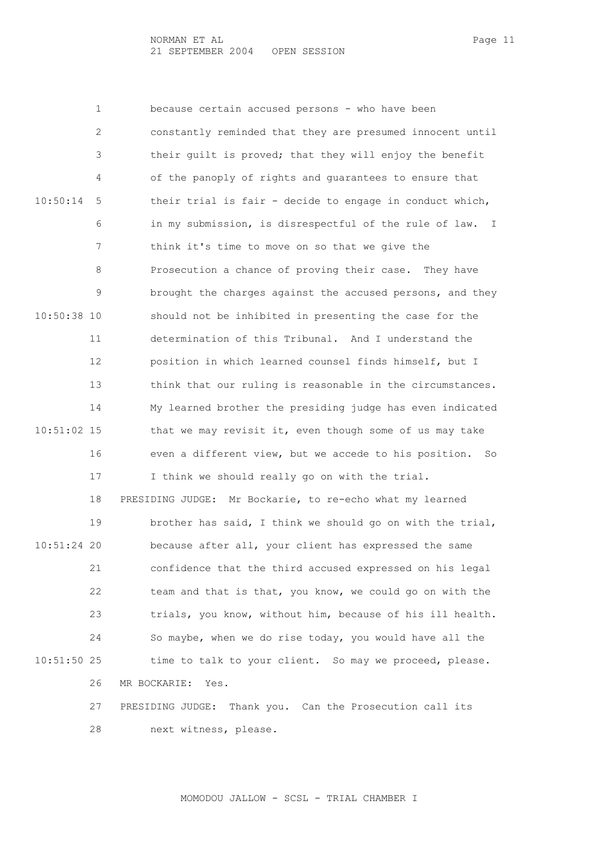NORMAN ET AL Page 11 21 SEPTEMBER 2004 OPEN SESSION

 1 because certain accused persons - who have been 2 constantly reminded that they are presumed innocent until 3 their guilt is proved; that they will enjoy the benefit 4 of the panoply of rights and guarantees to ensure that 10:50:14 5 their trial is fair - decide to engage in conduct which, 6 in my submission, is disrespectful of the rule of law. I 7 think it's time to move on so that we give the 8 Prosecution a chance of proving their case. They have 9 brought the charges against the accused persons, and they 10:50:38 10 should not be inhibited in presenting the case for the 11 determination of this Tribunal. And I understand the 12 position in which learned counsel finds himself, but I 13 think that our ruling is reasonable in the circumstances. 14 My learned brother the presiding judge has even indicated 10:51:02 15 that we may revisit it, even though some of us may take 16 even a different view, but we accede to his position. So 17 I think we should really go on with the trial. 18 PRESIDING JUDGE: Mr Bockarie, to re-echo what my learned 19 brother has said, I think we should go on with the trial, 10:51:24 20 because after all, your client has expressed the same 21 confidence that the third accused expressed on his legal 22 team and that is that, you know, we could go on with the 23 trials, you know, without him, because of his ill health. 24 So maybe, when we do rise today, you would have all the 10:51:50 25 time to talk to your client. So may we proceed, please. 26 MR BOCKARIE: Yes. 27 PRESIDING JUDGE: Thank you. Can the Prosecution call its

28 next witness, please.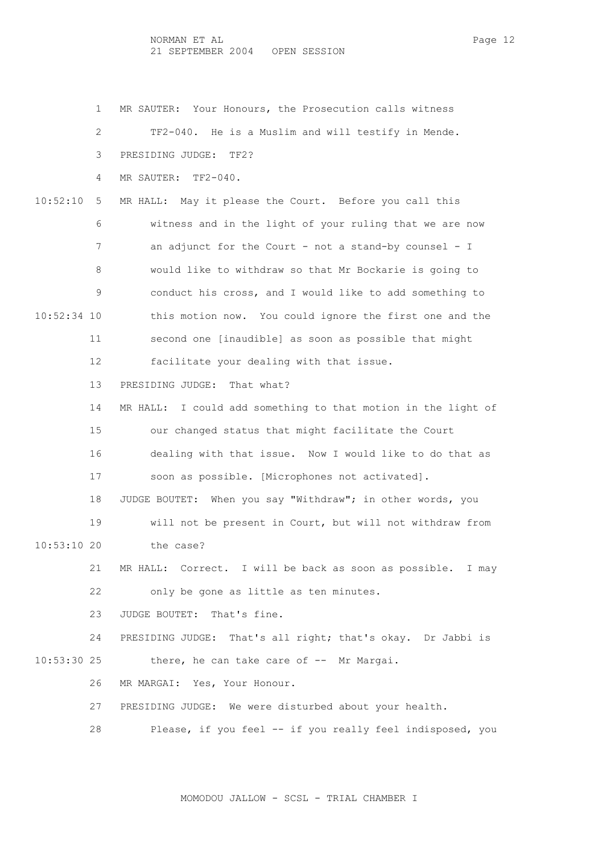NORMAN ET AL Page 12 21 SEPTEMBER 2004 OPEN SESSION

 1 MR SAUTER: Your Honours, the Prosecution calls witness 2 TF2-040. He is a Muslim and will testify in Mende. 3 PRESIDING JUDGE: TF2? 4 MR SAUTER: TF2-040. 10:52:10 5 MR HALL: May it please the Court. Before you call this 6 witness and in the light of your ruling that we are now 7 an adjunct for the Court - not a stand-by counsel - I 8 would like to withdraw so that Mr Bockarie is going to 9 conduct his cross, and I would like to add something to 10:52:34 10 this motion now. You could ignore the first one and the 11 second one [inaudible] as soon as possible that might 12 facilitate your dealing with that issue. 13 PRESIDING JUDGE: That what? 14 MR HALL: I could add something to that motion in the light of 15 our changed status that might facilitate the Court 16 dealing with that issue. Now I would like to do that as 17 soon as possible. [Microphones not activated]. 18 JUDGE BOUTET: When you say "Withdraw"; in other words, you 19 will not be present in Court, but will not withdraw from 10:53:10 20 the case? 21 MR HALL: Correct. I will be back as soon as possible. I may 22 only be gone as little as ten minutes. 23 JUDGE BOUTET: That's fine. 24 PRESIDING JUDGE: That's all right; that's okay. Dr Jabbi is 10:53:30 25 there, he can take care of -- Mr Margai. 26 MR MARGAI: Yes, Your Honour. 27 PRESIDING JUDGE: We were disturbed about your health. 28 Please, if you feel -- if you really feel indisposed, you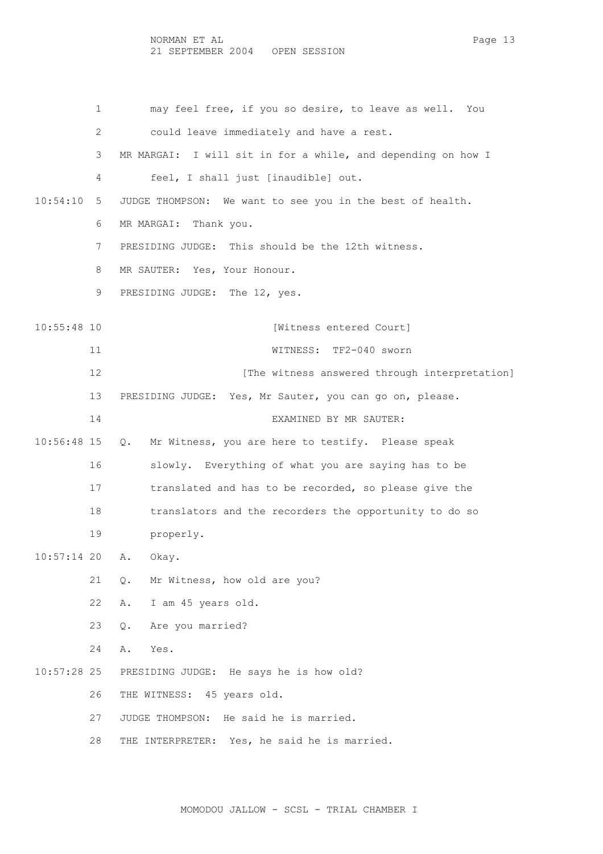1 may feel free, if you so desire, to leave as well. You 2 could leave immediately and have a rest. 3 MR MARGAI: I will sit in for a while, and depending on how I 4 feel, I shall just [inaudible] out. 10:54:10 5 JUDGE THOMPSON: We want to see you in the best of health. 6 MR MARGAI: Thank you. 7 PRESIDING JUDGE: This should be the 12th witness. 8 MR SAUTER: Yes, Your Honour. 9 PRESIDING JUDGE: The 12, yes. 10:55:48 10 [Witness entered Court] 11 WITNESS: TF2-040 sworn 12 **12** [The witness answered through interpretation] 13 PRESIDING JUDGE: Yes, Mr Sauter, you can go on, please. 14 EXAMINED BY MR SAUTER: 10:56:48 15 Q. Mr Witness, you are here to testify. Please speak 16 slowly. Everything of what you are saying has to be 17 translated and has to be recorded, so please give the 18 translators and the recorders the opportunity to do so 19 properly. 10:57:14 20 A. Okay. 21 Q. Mr Witness, how old are you? 22 A. I am 45 years old. 23 Q. Are you married? 24 A. Yes. 10:57:28 25 PRESIDING JUDGE: He says he is how old? 26 THE WITNESS: 45 years old. 27 JUDGE THOMPSON: He said he is married. 28 THE INTERPRETER: Yes, he said he is married.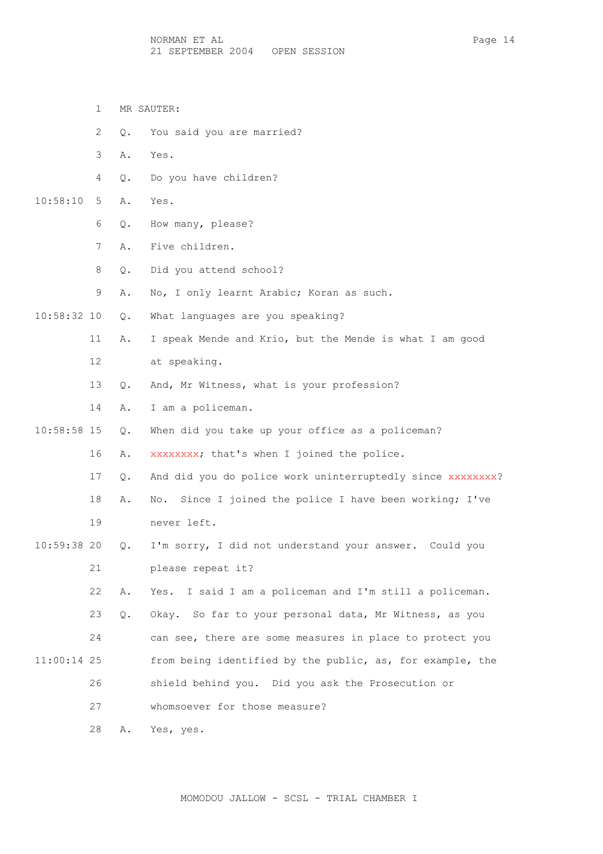- 1 MR SAUTER:
- 2 Q. You said you are married?
- 3 A. Yes.
- 4 Q. Do you have children?

10:58:10 5 A. Yes.

- 6 Q. How many, please?
- 7 A. Five children.
- 8 Q. Did you attend school?
- 9 A. No, I only learnt Arabic; Koran as such.
- 10:58:32 10 Q. What languages are you speaking?
	- 11 A. I speak Mende and Krio, but the Mende is what I am good 12 at speaking.
	- 13 Q. And, Mr Witness, what is your profession?
	- 14 A. I am a policeman.
- 10:58:58 15 Q. When did you take up your office as a policeman?
	- 16 A. xxxxxxxx; that's when I joined the police.
		- 17 Q. And did you do police work uninterruptedly since xxxxxxxx?
		- 18 A. No. Since I joined the police I have been working; I've 19 never left.
- 10:59:38 20 Q. I'm sorry, I did not understand your answer. Could you 21 please repeat it?
- 22 A. Yes. I said I am a policeman and I'm still a policeman. 23 Q. Okay. So far to your personal data, Mr Witness, as you 24 can see, there are some measures in place to protect you 11:00:14 25 from being identified by the public, as, for example, the 26 shield behind you. Did you ask the Prosecution or 27 whomsoever for those measure?

28 A. Yes, yes.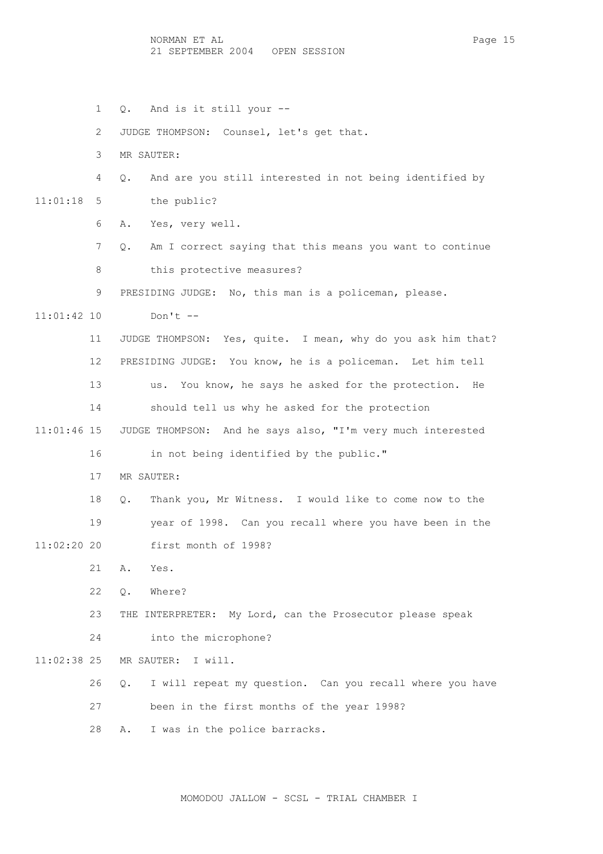1 Q. And is it still your --

2 JUDGE THOMPSON: Counsel, let's get that.

3 MR SAUTER:

- 4 Q. And are you still interested in not being identified by 11:01:18 5 the public?
	- 6 A. Yes, very well.
	- 7 Q. Am I correct saying that this means you want to continue 8 this protective measures?

9 PRESIDING JUDGE: No, this man is a policeman, please.

- 11:01:42 10 Don't --
	- 11 JUDGE THOMPSON: Yes, quite. I mean, why do you ask him that? 12 PRESIDING JUDGE: You know, he is a policeman. Let him tell 13 us. You know, he says he asked for the protection. He 14 should tell us why he asked for the protection
- 11:01:46 15 JUDGE THOMPSON: And he says also, "I'm very much interested 16 in not being identified by the public."
	- 17 MR SAUTER:

 18 Q. Thank you, Mr Witness. I would like to come now to the 19 year of 1998. Can you recall where you have been in the 11:02:20 20 first month of 1998?

- 21 A. Yes.
- 22 Q. Where?
- 23 THE INTERPRETER: My Lord, can the Prosecutor please speak
- 24 into the microphone?
- 11:02:38 25 MR SAUTER: I will.
	- 26 Q. I will repeat my question. Can you recall where you have 27 been in the first months of the year 1998?
	- 28 A. I was in the police barracks.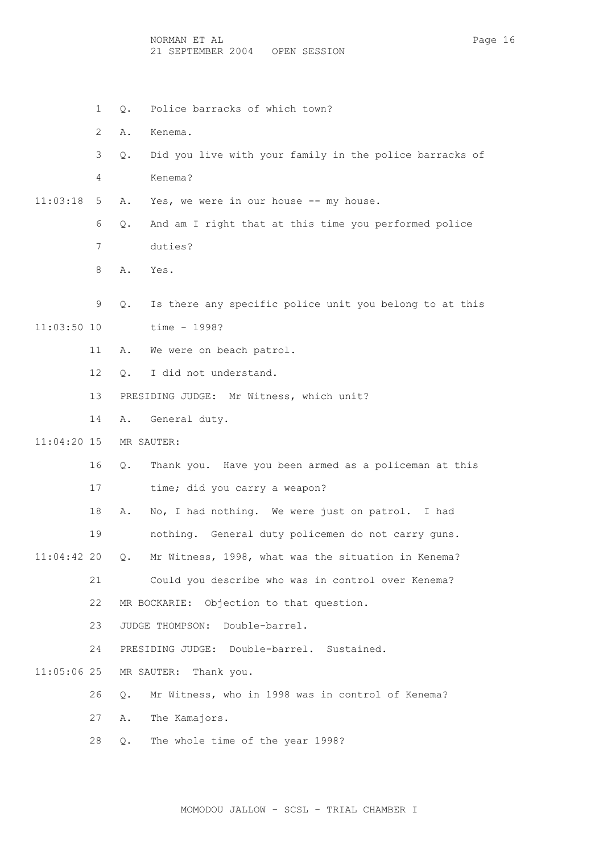NORMAN ET AL Page 16 21 SEPTEMBER 2004 OPEN SESSION

1 Q. Police barracks of which town?

2 A. Kenema.

3 Q. Did you live with your family in the police barracks of

4 Kenema?

11:03:18 5 A. Yes, we were in our house -- my house.

- 6 Q. And am I right that at this time you performed police 7 duties?
- 8 A. Yes.
- 9 Q. Is there any specific police unit you belong to at this 11:03:50 10 time - 1998?
	- 11 A. We were on beach patrol.

12 Q. I did not understand.

- 13 PRESIDING JUDGE: Mr Witness, which unit?
- 14 A. General duty.
- 11:04:20 15 MR SAUTER:
	- 16 Q. Thank you. Have you been armed as a policeman at this 17 time; did you carry a weapon?
	- 18 A. No, I had nothing. We were just on patrol. I had

19 nothing. General duty policemen do not carry guns.

- 11:04:42 20 Q. Mr Witness, 1998, what was the situation in Kenema?
	- 21 Could you describe who was in control over Kenema?
	- 22 MR BOCKARIE: Objection to that question.
	- 23 JUDGE THOMPSON: Double-barrel.
	- 24 PRESIDING JUDGE: Double-barrel. Sustained.
- 11:05:06 25 MR SAUTER: Thank you.
	- 26 Q. Mr Witness, who in 1998 was in control of Kenema?
	- 27 A. The Kamajors.
	- 28 Q. The whole time of the year 1998?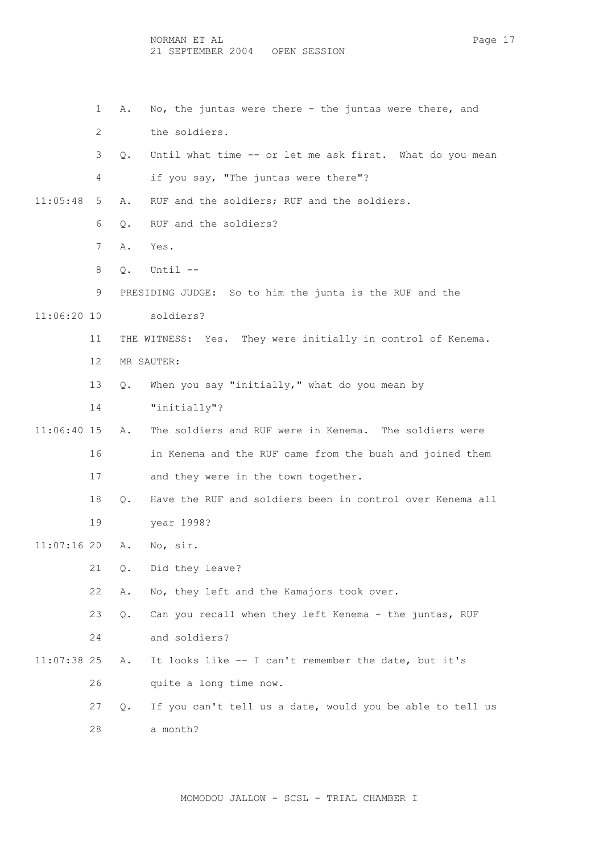NORMAN ET AL Page 17 21 SEPTEMBER 2004 OPEN SESSION

 1 A. No, the juntas were there - the juntas were there, and 2 the soldiers. 3 Q. Until what time -- or let me ask first. What do you mean 4 if you say, "The juntas were there"? 11:05:48 5 A. RUF and the soldiers; RUF and the soldiers. 6 Q. RUF and the soldiers? 7 A. Yes. 8 Q. Until -- 9 PRESIDING JUDGE: So to him the junta is the RUF and the 11:06:20 10 soldiers? 11 THE WITNESS: Yes. They were initially in control of Kenema. 12 MR SAUTER: 13 Q. When you say "initially," what do you mean by 14 "initially"? 11:06:40 15 A. The soldiers and RUF were in Kenema. The soldiers were 16 in Kenema and the RUF came from the bush and joined them 17 and they were in the town together. 18 Q. Have the RUF and soldiers been in control over Kenema all 19 year 1998? 11:07:16 20 A. No, sir. 21 Q. Did they leave? 22 A. No, they left and the Kamajors took over. 23 Q. Can you recall when they left Kenema - the juntas, RUF 24 and soldiers? 11:07:38 25 A. It looks like -- I can't remember the date, but it's 26 quite a long time now. 27 Q. If you can't tell us a date, would you be able to tell us 28 a month?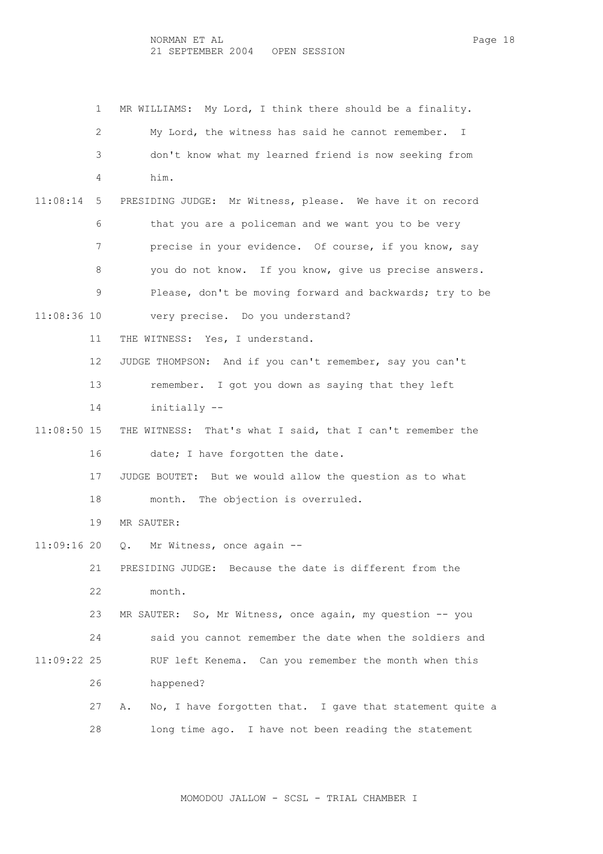1 MR WILLIAMS: My Lord, I think there should be a finality. 2 My Lord, the witness has said he cannot remember. I 3 don't know what my learned friend is now seeking from 4 him. 11:08:14 5 PRESIDING JUDGE: Mr Witness, please. We have it on record 6 that you are a policeman and we want you to be very 7 precise in your evidence. Of course, if you know, say 8 you do not know. If you know, give us precise answers. 9 Please, don't be moving forward and backwards; try to be 11:08:36 10 very precise. Do you understand? 11 THE WITNESS: Yes, I understand. 12 JUDGE THOMPSON: And if you can't remember, say you can't 13 remember. I got you down as saying that they left 14 initially -- 11:08:50 15 THE WITNESS: That's what I said, that I can't remember the 16 date; I have forgotten the date. 17 JUDGE BOUTET: But we would allow the question as to what 18 month. The objection is overruled. 19 MR SAUTER: 11:09:16 20 Q. Mr Witness, once again -- 21 PRESIDING JUDGE: Because the date is different from the 22 month. 23 MR SAUTER: So, Mr Witness, once again, my question -- you 24 said you cannot remember the date when the soldiers and 11:09:22 25 RUF left Kenema. Can you remember the month when this 26 happened? 27 A. No, I have forgotten that. I gave that statement quite a 28 long time ago. I have not been reading the statement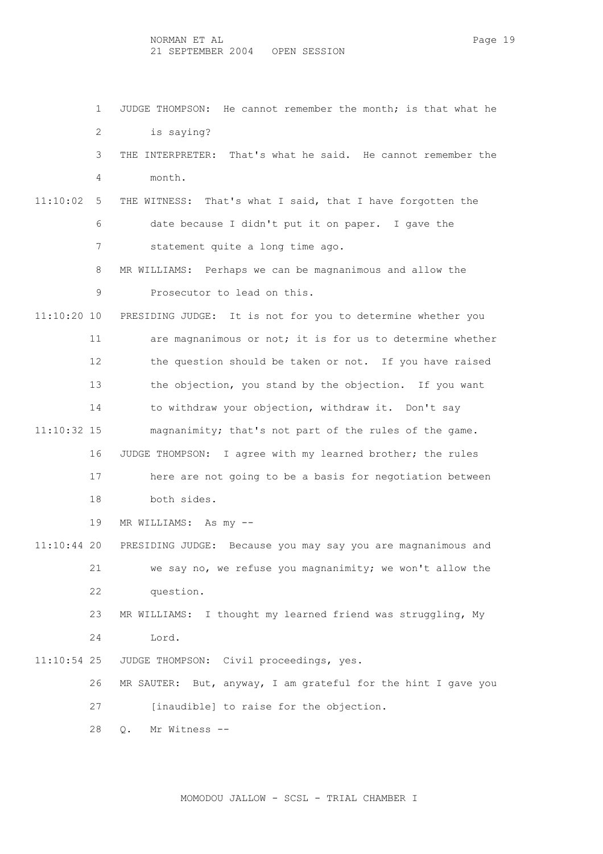1 JUDGE THOMPSON: He cannot remember the month; is that what he 2 is saying? 3 THE INTERPRETER: That's what he said. He cannot remember the 4 month. 11:10:02 5 THE WITNESS: That's what I said, that I have forgotten the 6 date because I didn't put it on paper. I gave the 7 statement quite a long time ago. 8 MR WILLIAMS: Perhaps we can be magnanimous and allow the 9 Prosecutor to lead on this. 11:10:20 10 PRESIDING JUDGE: It is not for you to determine whether you 11 are magnanimous or not; it is for us to determine whether 12 the question should be taken or not. If you have raised 13 the objection, you stand by the objection. If you want 14 to withdraw your objection, withdraw it. Don't say 11:10:32 15 magnanimity; that's not part of the rules of the game. 16 JUDGE THOMPSON: I agree with my learned brother; the rules 17 here are not going to be a basis for negotiation between 18 both sides. 19 MR WILLIAMS: As my -- 11:10:44 20 PRESIDING JUDGE: Because you may say you are magnanimous and 21 we say no, we refuse you magnanimity; we won't allow the 22 question. 23 MR WILLIAMS: I thought my learned friend was struggling, My 24 Lord. 11:10:54 25 JUDGE THOMPSON: Civil proceedings, yes. 26 MR SAUTER: But, anyway, I am grateful for the hint I gave you 27 [inaudible] to raise for the objection. 28 Q. Mr Witness --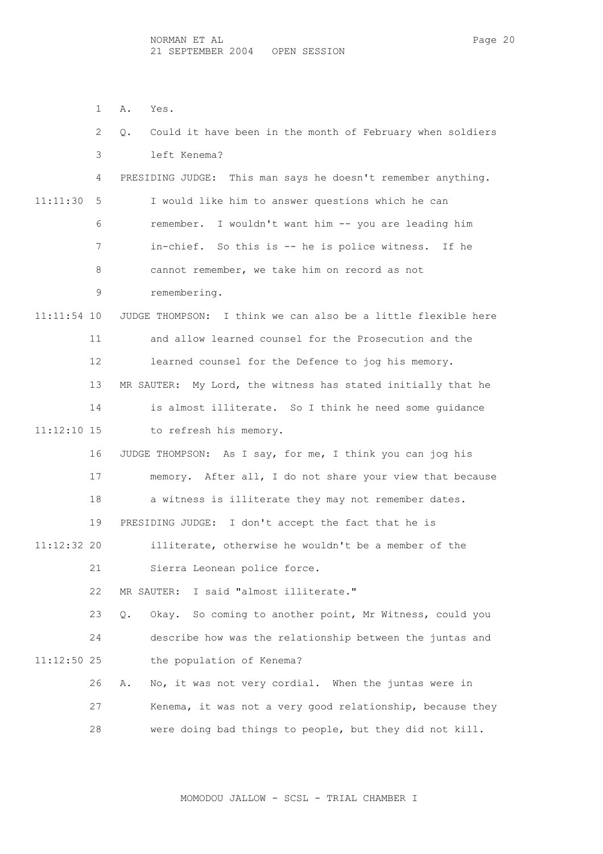1 A. Yes.

|               | 2  | Could it have been in the month of February when soldiers<br>0.  |
|---------------|----|------------------------------------------------------------------|
|               | 3  | left Kenema?                                                     |
|               | 4  | PRESIDING JUDGE: This man says he doesn't remember anything.     |
| 11:11:30      | 5  | I would like him to answer questions which he can                |
|               | 6  | remember.<br>I wouldn't want him -- you are leading him          |
|               | 7  | in-chief. So this is -- he is police witness. If he              |
|               | 8  | cannot remember, we take him on record as not                    |
|               | 9  | remembering.                                                     |
| $11:11:54$ 10 |    | JUDGE THOMPSON: I think we can also be a little flexible here    |
|               | 11 | and allow learned counsel for the Prosecution and the            |
|               | 12 | learned counsel for the Defence to jog his memory.               |
|               | 13 | MR SAUTER: My Lord, the witness has stated initially that he     |
|               | 14 | is almost illiterate. So I think he need some guidance           |
| $11:12:10$ 15 |    | to refresh his memory.                                           |
|               | 16 | JUDGE THOMPSON: As I say, for me, I think you can jog his        |
|               | 17 | memory. After all, I do not share your view that because         |
|               | 18 | a witness is illiterate they may not remember dates.             |
|               | 19 | PRESIDING JUDGE: I don't accept the fact that he is              |
| $11:12:32$ 20 |    | illiterate, otherwise he wouldn't be a member of the             |
|               | 21 | Sierra Leonean police force.                                     |
|               | 22 | MR SAUTER: I said "almost illiterate."                           |
|               | 23 | Okay. So coming to another point, Mr Witness, could you<br>$Q$ . |
|               | 24 | describe how was the relationship between the juntas and         |
| 11:12:50 25   |    | the population of Kenema?                                        |
|               | 26 | No, it was not very cordial. When the juntas were in<br>Α.       |
|               | 27 | Kenema, it was not a very good relationship, because they        |

MOMODOU JALLOW - SCSL - TRIAL CHAMBER I

28 were doing bad things to people, but they did not kill.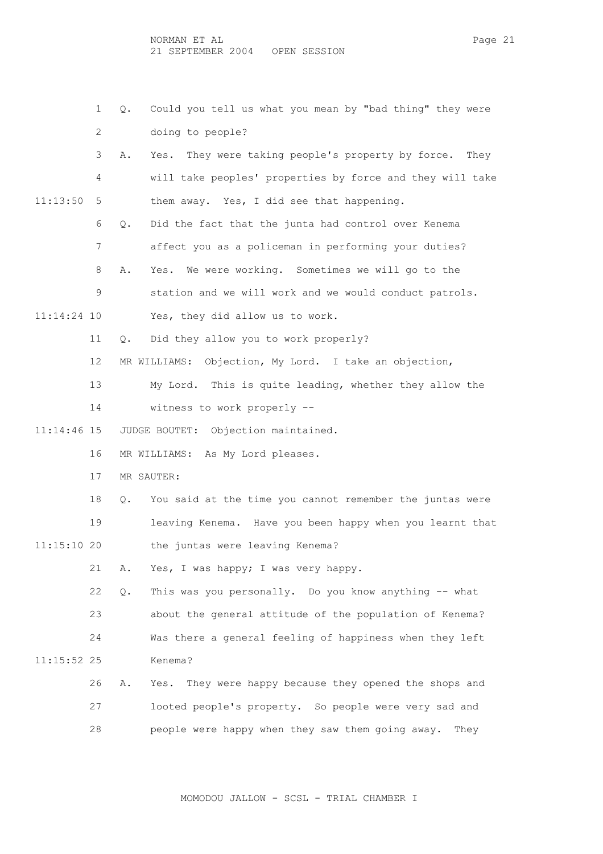1 Q. Could you tell us what you mean by "bad thing" they were 2 doing to people? 3 A. Yes. They were taking people's property by force. They 4 will take peoples' properties by force and they will take 11:13:50 5 them away. Yes, I did see that happening. 6 Q. Did the fact that the junta had control over Kenema 7 affect you as a policeman in performing your duties? 8 A. Yes. We were working. Sometimes we will go to the 9 station and we will work and we would conduct patrols. 11:14:24 10 Yes, they did allow us to work. 11 Q. Did they allow you to work properly? 12 MR WILLIAMS: Objection, My Lord. I take an objection, 13 My Lord. This is quite leading, whether they allow the 14 witness to work properly -- 11:14:46 15 JUDGE BOUTET: Objection maintained. 16 MR WILLIAMS: As My Lord pleases. 17 MR SAUTER: 18 Q. You said at the time you cannot remember the juntas were 19 leaving Kenema. Have you been happy when you learnt that 11:15:10 20 the juntas were leaving Kenema? 21 A. Yes, I was happy; I was very happy. 22 Q. This was you personally. Do you know anything -- what 23 about the general attitude of the population of Kenema? 24 Was there a general feeling of happiness when they left 11:15:52 25 Kenema? 26 A. Yes. They were happy because they opened the shops and 27 looted people's property. So people were very sad and 28 people were happy when they saw them going away. They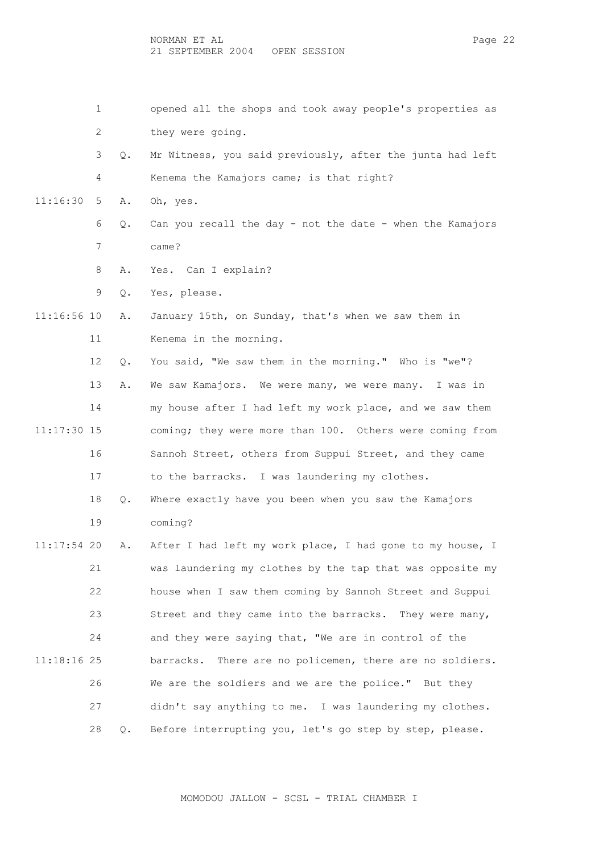NORMAN ET AL PAGE 22 21 SEPTEMBER 2004 OPEN SESSION

 1 opened all the shops and took away people's properties as 2 they were going. 3 Q. Mr Witness, you said previously, after the junta had left 4 Kenema the Kamajors came; is that right? 11:16:30 5 A. Oh, yes. 6 Q. Can you recall the day - not the date - when the Kamajors 7 came? 8 A. Yes. Can I explain? 9 Q. Yes, please. 11:16:56 10 A. January 15th, on Sunday, that's when we saw them in 11 Kenema in the morning. 12 Q. You said, "We saw them in the morning." Who is "we"? 13 A. We saw Kamajors. We were many, we were many. I was in 14 my house after I had left my work place, and we saw them 11:17:30 15 coming; they were more than 100. Others were coming from 16 Sannoh Street, others from Suppui Street, and they came 17 to the barracks. I was laundering my clothes. 18 Q. Where exactly have you been when you saw the Kamajors 19 coming? 11:17:54 20 A. After I had left my work place, I had gone to my house, I 21 was laundering my clothes by the tap that was opposite my 22 house when I saw them coming by Sannoh Street and Suppui 23 Street and they came into the barracks. They were many, 24 and they were saying that, "We are in control of the 11:18:16 25 barracks. There are no policemen, there are no soldiers. 26 We are the soldiers and we are the police." But they 27 didn't say anything to me. I was laundering my clothes. 28 Q. Before interrupting you, let's go step by step, please.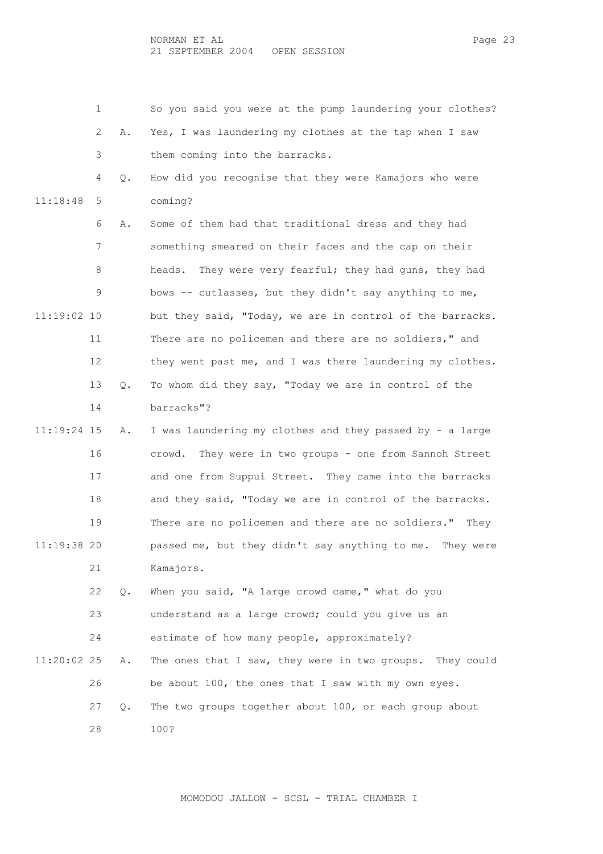1 So you said you were at the pump laundering your clothes? 2 A. Yes, I was laundering my clothes at the tap when I saw 3 them coming into the barracks. 4 Q. How did you recognise that they were Kamajors who were 11:18:48 5 coming? 6 A. Some of them had that traditional dress and they had 7 something smeared on their faces and the cap on their 8 heads. They were very fearful; they had guns, they had 9 bows -- cutlasses, but they didn't say anything to me, 11:19:02 10 but they said, "Today, we are in control of the barracks. 11 There are no policemen and there are no soldiers," and 12 they went past me, and I was there laundering my clothes. 13 Q. To whom did they say, "Today we are in control of the 14 barracks"? 11:19:24 15 A. I was laundering my clothes and they passed by - a large 16 crowd. They were in two groups - one from Sannoh Street 17 and one from Suppui Street. They came into the barracks 18 and they said, "Today we are in control of the barracks. 19 There are no policemen and there are no soldiers." They 11:19:38 20 passed me, but they didn't say anything to me. They were 21 Kamajors. 22 Q. When you said, "A large crowd came," what do you 23 understand as a large crowd; could you give us an 24 estimate of how many people, approximately? 11:20:02 25 A. The ones that I saw, they were in two groups. They could 26 be about 100, the ones that I saw with my own eyes. 27 Q. The two groups together about 100, or each group about 28 100?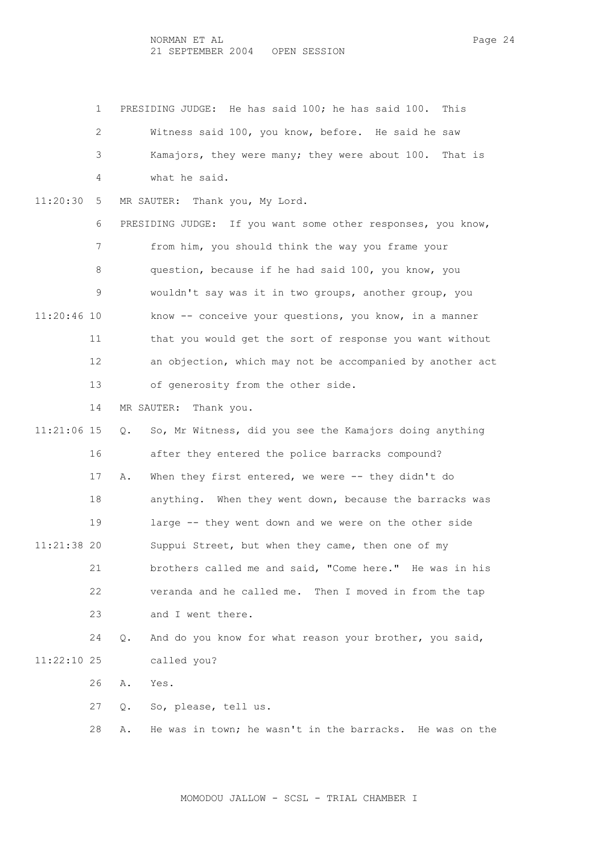1 PRESIDING JUDGE: He has said 100; he has said 100. This 2 Witness said 100, you know, before. He said he saw 3 Kamajors, they were many; they were about 100. That is 4 what he said. 11:20:30 5 MR SAUTER: Thank you, My Lord. 6 PRESIDING JUDGE: If you want some other responses, you know, 7 from him, you should think the way you frame your 8 question, because if he had said 100, you know, you

 11:20:46 10 know -- conceive your questions, you know, in a manner 11 that you would get the sort of response you want without 12 an objection, which may not be accompanied by another act 13 of generosity from the other side.

9 wouldn't say was it in two groups, another group, you

14 MR SAUTER: Thank you.

|               |    |    | 11:21:06 15 Q. So, Mr Witness, did you see the Kamajors doing anything |
|---------------|----|----|------------------------------------------------------------------------|
|               | 16 |    | after they entered the police barracks compound?                       |
|               | 17 | Α. | When they first entered, we were -- they didn't do                     |
|               | 18 |    | anything. When they went down, because the barracks was                |
|               | 19 |    | large -- they went down and we were on the other side                  |
| $11:21:38$ 20 |    |    | Suppui Street, but when they came, then one of my                      |
|               | 21 |    | brothers called me and said, "Come here." He was in his                |
|               | 22 |    | veranda and he called me. Then I moved in from the tap                 |
|               | 23 |    | and I went there.                                                      |
|               |    |    |                                                                        |

 24 Q. And do you know for what reason your brother, you said, 11:22:10 25 called you?

26 A. Yes.

27 Q. So, please, tell us.

28 A. He was in town; he wasn't in the barracks. He was on the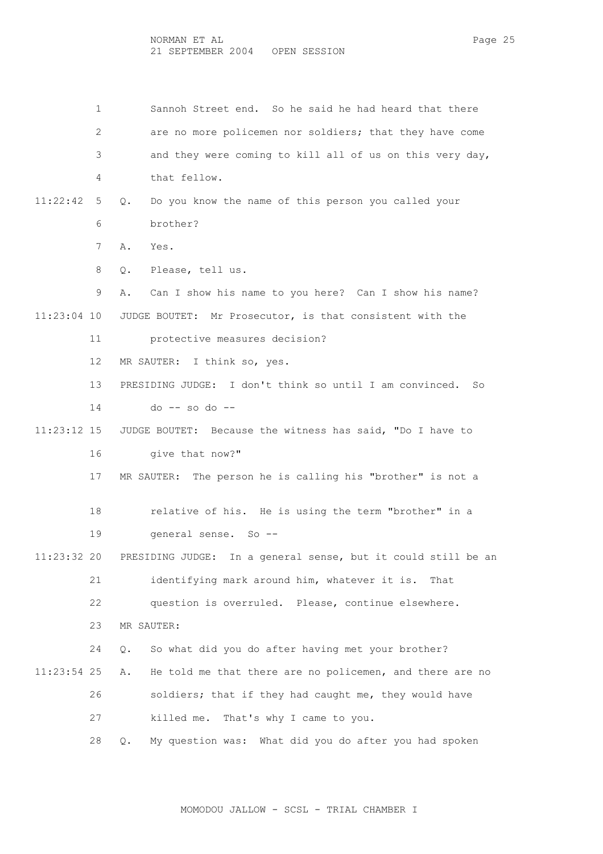1 Sannoh Street end. So he said he had heard that there 2 are no more policemen nor soldiers; that they have come 3 and they were coming to kill all of us on this very day, 4 that fellow. 11:22:42 5 Q. Do you know the name of this person you called your 6 brother? 7 A. Yes. 8 Q. Please, tell us. 9 A. Can I show his name to you here? Can I show his name? 11:23:04 10 JUDGE BOUTET: Mr Prosecutor, is that consistent with the 11 protective measures decision? 12 MR SAUTER: I think so, yes. 13 PRESIDING JUDGE: I don't think so until I am convinced. So  $14$  do  $-$  so do  $-$  11:23:12 15 JUDGE BOUTET: Because the witness has said, "Do I have to 16 give that now?" 17 MR SAUTER: The person he is calling his "brother" is not a 18 relative of his. He is using the term "brother" in a 19 general sense. So -- 11:23:32 20 PRESIDING JUDGE: In a general sense, but it could still be an 21 identifying mark around him, whatever it is. That 22 question is overruled. Please, continue elsewhere. 23 MR SAUTER: 24 Q. So what did you do after having met your brother? 11:23:54 25 A. He told me that there are no policemen, and there are no 26 soldiers; that if they had caught me, they would have 27 killed me. That's why I came to you. 28 Q. My question was: What did you do after you had spoken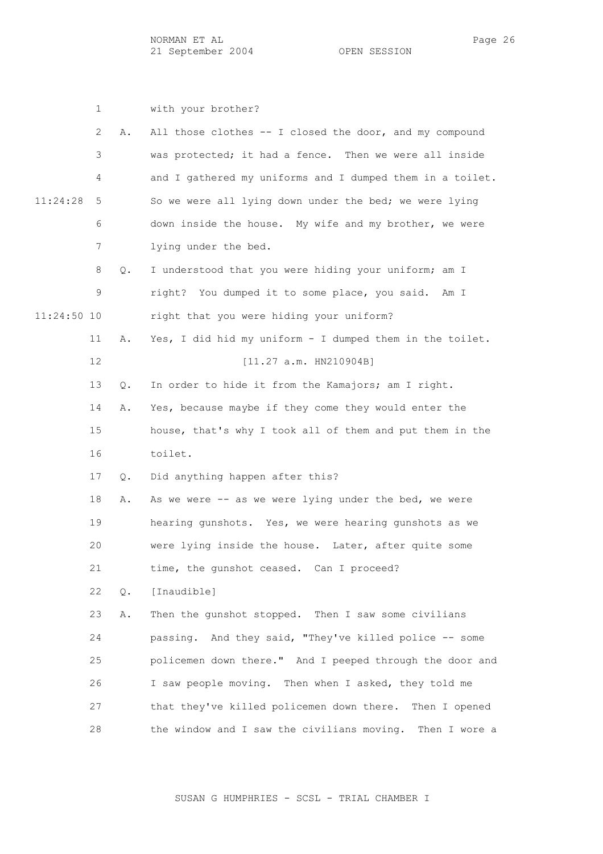|             | 1            |    | with your brother?                                         |
|-------------|--------------|----|------------------------------------------------------------|
|             | $\mathbf{2}$ | Α. | All those clothes -- I closed the door, and my compound    |
|             | 3            |    | was protected; it had a fence. Then we were all inside     |
|             | 4            |    | and I gathered my uniforms and I dumped them in a toilet.  |
| 11:24:28    | 5            |    | So we were all lying down under the bed; we were lying     |
|             | 6            |    | down inside the house. My wife and my brother, we were     |
|             | 7            |    | lying under the bed.                                       |
|             | 8            | Q. | I understood that you were hiding your uniform; am I       |
|             | 9            |    | right? You dumped it to some place, you said. Am I         |
| 11:24:50 10 |              |    | right that you were hiding your uniform?                   |
|             | 11           | Α. | Yes, I did hid my uniform - I dumped them in the toilet.   |
|             | 12           |    | [11.27 a.m. H N210904B]                                    |
|             | 13           | Q. | In order to hide it from the Kamajors; am I right.         |
|             | 14           | Α. | Yes, because maybe if they come they would enter the       |
|             | 15           |    | house, that's why I took all of them and put them in the   |
|             | 16           |    | toilet.                                                    |
|             | 17           | Q. | Did anything happen after this?                            |
|             | 18           | Α. | As we were -- as we were lying under the bed, we were      |
|             | 19           |    | hearing gunshots. Yes, we were hearing gunshots as we      |
|             | 20           |    | were lying inside the house. Later, after quite some       |
|             | 21           |    | time, the gunshot ceased. Can I proceed?                   |
|             | 22           | Q. | [Inaudible]                                                |
|             | 23           | Α. | Then the gunshot stopped. Then I saw some civilians        |
|             | 24           |    | passing. And they said, "They've killed police -- some     |
|             | 25           |    | policemen down there." And I peeped through the door and   |
|             | 26           |    | I saw people moving. Then when I asked, they told me       |
|             | 27           |    | that they've killed policemen down there.<br>Then I opened |
|             | 28           |    | the window and I saw the civilians moving. Then I wore a   |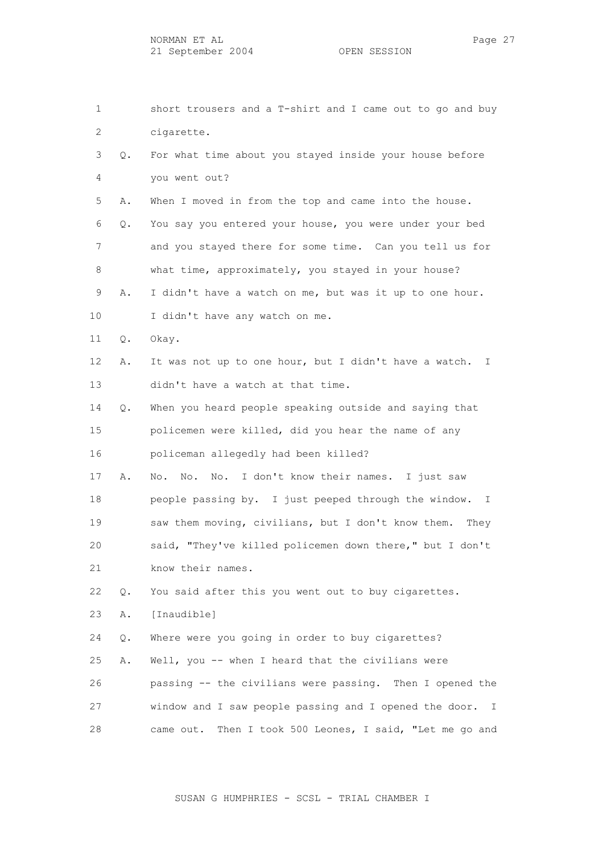1 short trousers and a T-shirt and I came out to go and buy 2 cigarette. 3 Q. For what time about you stayed inside your house before 4 you went out? 5 A. When I moved in from the top and came into the house. 6 Q. You say you entered your house, you were under your bed 7 and you stayed there for some time. Can you tell us for 8 what time, approximately, you stayed in your house? 9 A. I didn't have a watch on me, but was it up to one hour. 10 I didn't have any watch on me. 11 Q. Okay. 12 A. It was not up to one hour, but I didn't have a watch. I 13 didn't have a watch at that time. 14 Q. When you heard people speaking outside and saying that 15 policemen were killed, did you hear the name of any 16 policeman allegedly had been killed? 17 A. No. No. No. I don't know their names. I just saw 18 people passing by. I just peeped through the window. I 19 saw them moving, civilians, but I don't know them. They 20 said, "They've killed policemen down there," but I don't 21 know their names. 22 Q. You said after this you went out to buy cigarettes. 23 A. [Inaudible] 24 Q. Where were you going in order to buy cigarettes? 25 A. Well, you -- when I heard that the civilians were 26 passing -- the civilians were passing. Then I opened the 27 window and I saw people passing and I opened the door. I 28 came out. Then I took 500 Leones, I said, "Let me go and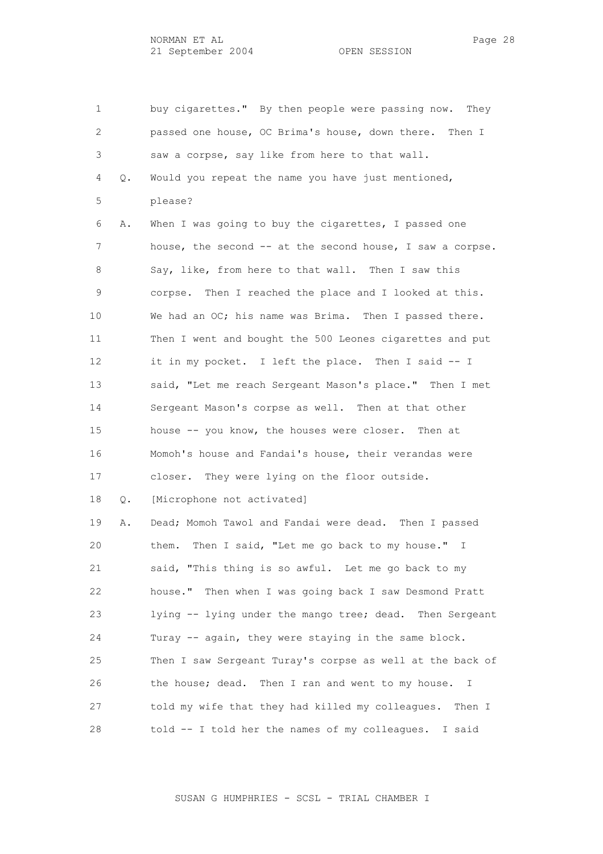NORMAN ET AL Page 28 21 September 2004

 1 buy cigarettes." By then people were passing now. They 2 passed one house, OC Brima's house, down there. Then I 3 saw a corpse, say like from here to that wall. 4 Q. Would you repeat the name you have just mentioned, 5 please? 6 A. When I was going to buy the cigarettes, I passed one 7 house, the second -- at the second house, I saw a corpse. 8 Say, like, from here to that wall. Then I saw this 9 corpse. Then I reached the place and I looked at this. 10 We had an OC; his name was Brima. Then I passed there. 11 Then I went and bought the 500 Leones cigarettes and put 12 it in my pocket. I left the place. Then I said -- I 13 said, "Let me reach Sergeant Mason's place." Then I met 14 Sergeant Mason's corpse as well. Then at that other 15 house -- you know, the houses were closer. Then at 16 Momoh's house and Fandai's house, their verandas were 17 closer. They were lying on the floor outside. 18 Q. [Microphone not activated] 19 A. Dead; Momoh Tawol and Fandai were dead. Then I passed 20 them. Then I said, "Let me go back to my house." I 21 said, "This thing is so awful. Let me go back to my 22 house." Then when I was going back I saw Desmond Pratt 23 lying -- lying under the mango tree; dead. Then Sergeant 24 Turay -- again, they were staying in the same block. 25 Then I saw Sergeant Turay's corpse as well at the back of 26 the house; dead. Then I ran and went to my house. I 27 told my wife that they had killed my colleagues. Then I 28 told -- I told her the names of my colleagues. I said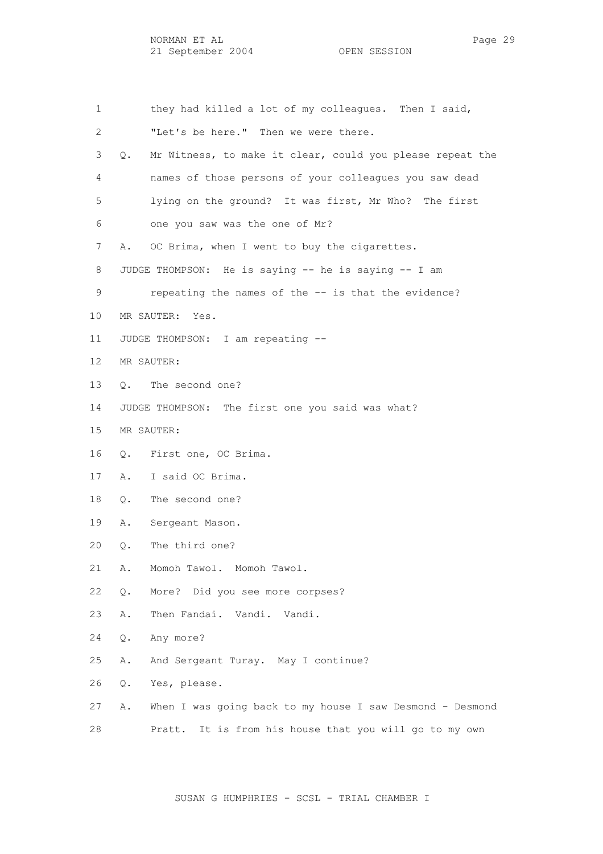1 they had killed a lot of my colleagues. Then I said, 2 "Let's be here." Then we were there. 3 Q. Mr Witness, to make it clear, could you please repeat the 4 names of those persons of your colleagues you saw dead 5 lying on the ground? It was first, Mr Who? The first 6 one you saw was the one of Mr? 7 A. OC Brima, when I went to buy the cigarettes. 8 JUDGE THOMPSON: He is saying -- he is saying -- I am 9 repeating the names of the -- is that the evidence? 10 MR SAUTER: Yes. 11 JUDGE THOMPSON: I am repeating -- 12 MR SAUTER: 13 Q. The second one? 14 JUDGE THOMPSON: The first one you said was what? 15 MR SAUTER: 16 Q. First one, OC Brima. 17 A. I said OC Brima. 18 Q. The second one? 19 A. Sergeant Mason. 20 Q. The third one? 21 A. Momoh Tawol. Momoh Tawol. 22 Q. More? Did you see more corpses? 23 A. Then Fandai. Vandi. Vandi. 24 Q. Any more? 25 A. And Sergeant Turay. May I continue? 26 Q. Yes, please. 27 A. When I was going back to my house I saw Desmond - Desmond 28 Pratt. It is from his house that you will go to my own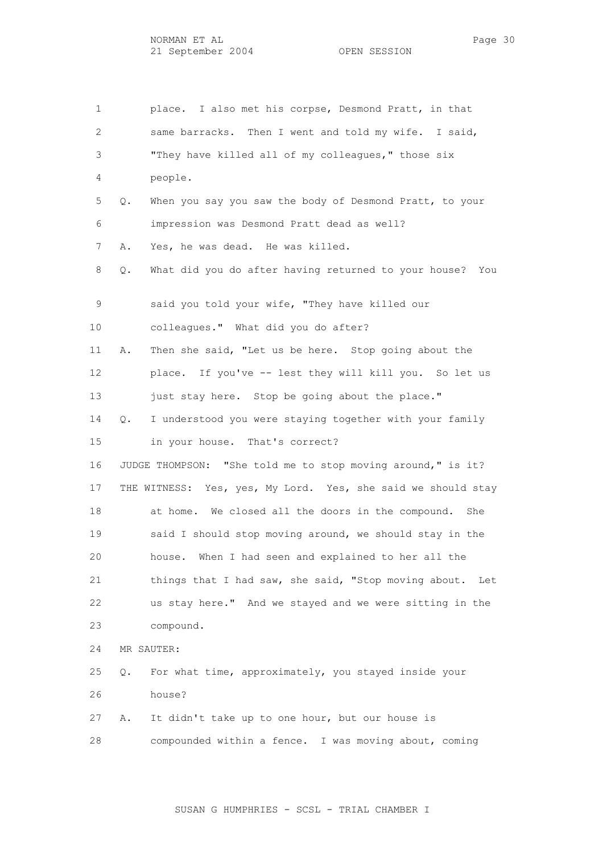1 place. I also met his corpse, Desmond Pratt, in that 2 same barracks. Then I went and told my wife. I said, 3 "They have killed all of my colleagues," those six 4 people. 5 Q. When you say you saw the body of Desmond Pratt, to your 6 impression was Desmond Pratt dead as well? 7 A. Yes, he was dead. He was killed. 8 Q. What did you do after having returned to your house? You 9 said you told your wife, "They have killed our 10 colleagues." What did you do after? 11 A. Then she said, "Let us be here. Stop going about the 12 place. If you've -- lest they will kill you. So let us 13 just stay here. Stop be going about the place." 14 Q. I understood you were staying together with your family 15 in your house. That's correct? 16 JUDGE THOMPSON: "She told me to stop moving around," is it? 17 THE WITNESS: Yes, yes, My Lord. Yes, she said we should stay 18 at home. We closed all the doors in the compound. She 19 said I should stop moving around, we should stay in the 20 house. When I had seen and explained to her all the 21 things that I had saw, she said, "Stop moving about. Let 22 us stay here." And we stayed and we were sitting in the 23 compound. 24 MR SAUTER: 25 Q. For what time, approximately, you stayed inside your 26 house? 27 A. It didn't take up to one hour, but our house is 28 compounded within a fence. I was moving about, coming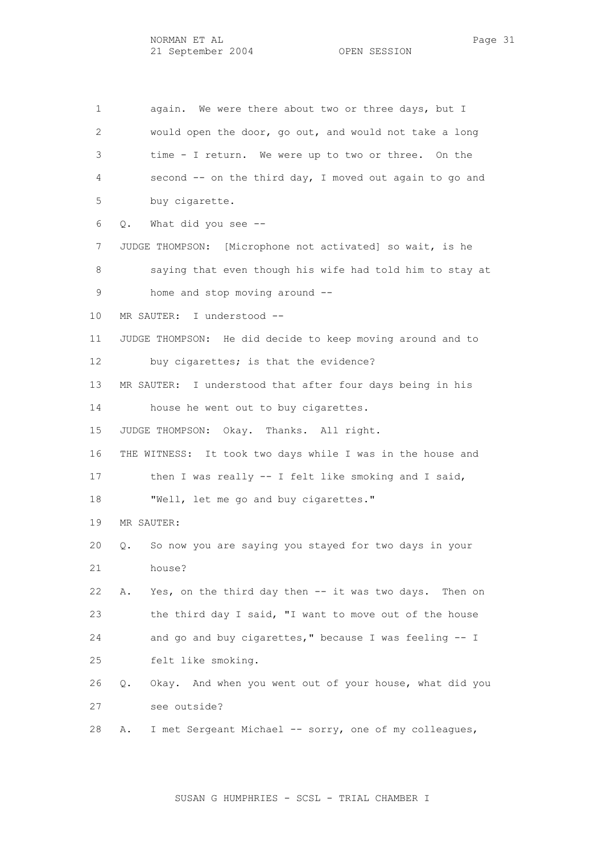1 again. We were there about two or three days, but I 2 would open the door, go out, and would not take a long 3 time - I return. We were up to two or three. On the 4 second -- on the third day, I moved out again to go and 6 Q. What did you see -- 7 JUDGE THOMPSON: [Microphone not activated] so wait, is he 8 saying that even though his wife had told him to stay at 9 home and stop moving around --

10 MR SAUTER: I understood --

5 buy cigarette.

 11 JUDGE THOMPSON: He did decide to keep moving around and to 12 buy cigarettes; is that the evidence?

 13 MR SAUTER: I understood that after four days being in his 14 house he went out to buy cigarettes.

15 JUDGE THOMPSON: Okay. Thanks. All right.

 16 THE WITNESS: It took two days while I was in the house and 17 then I was really -- I felt like smoking and I said,

18 "Well, let me go and buy cigarettes."

19 MR SAUTER:

 20 Q. So now you are saying you stayed for two days in your 21 house?

 22 A. Yes, on the third day then -- it was two days. Then on 23 the third day I said, "I want to move out of the house 24 and go and buy cigarettes," because I was feeling -- I 25 felt like smoking.

 26 Q. Okay. And when you went out of your house, what did you 27 see outside?

28 A. I met Sergeant Michael -- sorry, one of my colleagues,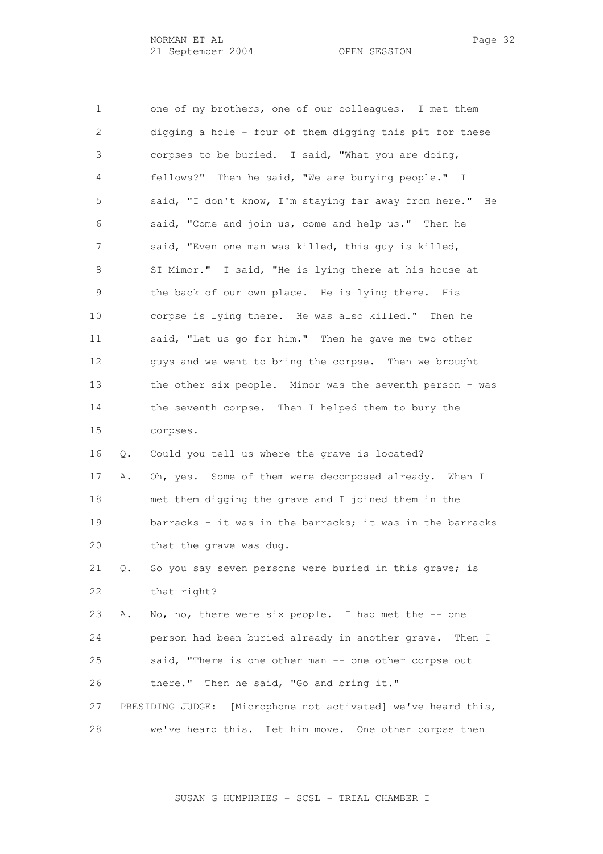OPEN SESSION

 1 one of my brothers, one of our colleagues. I met them 2 digging a hole - four of them digging this pit for these 3 corpses to be buried. I said, "What you are doing, 4 fellows?" Then he said, "We are burying people." I 5 said, "I don't know, I'm staying far away from here." He 6 said, "Come and join us, come and help us." Then he 7 said, "Even one man was killed, this guy is killed, 8 SI Mimor." I said, "He is lying there at his house at 9 the back of our own place. He is lying there. His 10 corpse is lying there. He was also killed." Then he 11 said, "Let us go for him." Then he gave me two other 12 guys and we went to bring the corpse. Then we brought

 13 the other six people. Mimor was the seventh person - was 14 the seventh corpse. Then I helped them to bury the 15 corpses.

 16 Q. Could you tell us where the grave is located? 17 A. Oh, yes. Some of them were decomposed already. When I 18 met them digging the grave and I joined them in the 19 barracks - it was in the barracks; it was in the barracks 20 that the grave was dug.

 21 Q. So you say seven persons were buried in this grave; is 22 that right?

 23 A. No, no, there were six people. I had met the -- one 24 person had been buried already in another grave. Then I 25 said, "There is one other man -- one other corpse out 26 there." Then he said, "Go and bring it." 27 PRESIDING JUDGE: [Microphone not activated] we've heard this,

28 we've heard this. Let him move. One other corpse then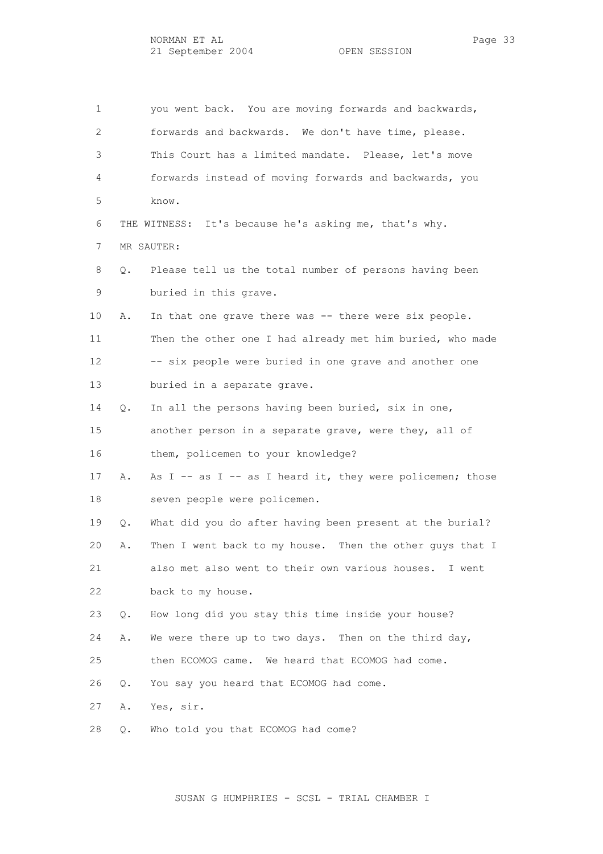1 you went back. You are moving forwards and backwards, 2 forwards and backwards. We don't have time, please. 3 This Court has a limited mandate. Please, let's move 4 forwards instead of moving forwards and backwards, you 5 know. 6 THE WITNESS: It's because he's asking me, that's why. 7 MR SAUTER: 8 Q. Please tell us the total number of persons having been 9 buried in this grave. 10 A. In that one grave there was -- there were six people. 11 Then the other one I had already met him buried, who made 12 -- six people were buried in one grave and another one 13 buried in a separate grave. 14 Q. In all the persons having been buried, six in one, 15 another person in a separate grave, were they, all of 16 them, policemen to your knowledge? 17 A. As I -- as I -- as I heard it, they were policemen; those 18 seven people were policemen. 19 Q. What did you do after having been present at the burial? 20 A. Then I went back to my house. Then the other guys that I 21 also met also went to their own various houses. I went 22 back to my house. 23 Q. How long did you stay this time inside your house? 24 A. We were there up to two days. Then on the third day, 25 then ECOMOG came. We heard that ECOMOG had come. 26 Q. You say you heard that ECOMOG had come. 27 A. Yes, sir.

28 Q. Who told you that ECOMOG had come?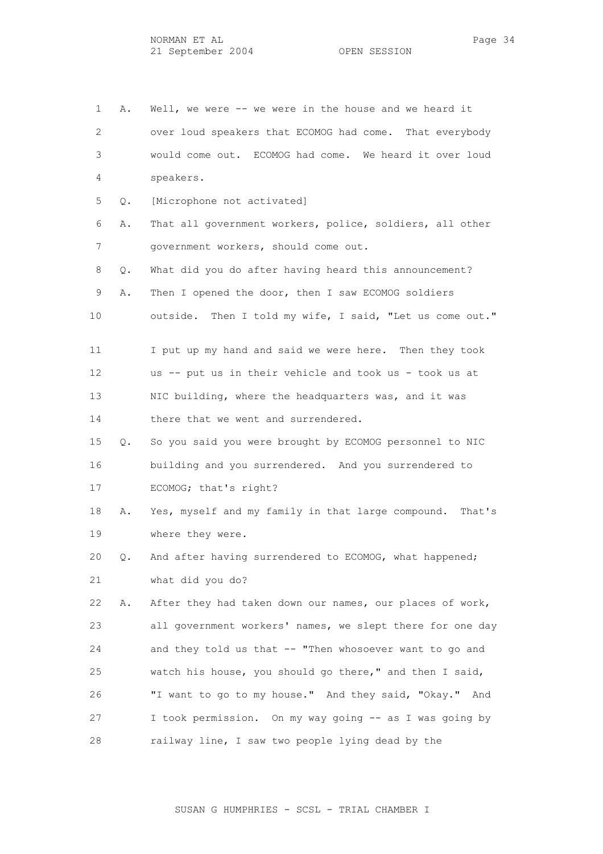| 1  | Α.    | Well, we were -- we were in the house and we heard it       |
|----|-------|-------------------------------------------------------------|
| 2  |       | over loud speakers that ECOMOG had come. That everybody     |
| 3  |       | would come out. ECOMOG had come. We heard it over loud      |
| 4  |       | speakers.                                                   |
| 5  | Q.    | [Microphone not activated]                                  |
| 6  | Α.    | That all government workers, police, soldiers, all other    |
| 7  |       | government workers, should come out.                        |
| 8  | $Q$ . | What did you do after having heard this announcement?       |
| 9  | Α.    | Then I opened the door, then I saw ECOMOG soldiers          |
| 10 |       | outside. Then I told my wife, I said, "Let us come out."    |
|    |       |                                                             |
| 11 |       | I put up my hand and said we were here. Then they took      |
| 12 |       | us -- put us in their vehicle and took us - took us at      |
| 13 |       | NIC building, where the headquarters was, and it was        |
| 14 |       | there that we went and surrendered.                         |
| 15 | Q.    | So you said you were brought by ECOMOG personnel to NIC     |
| 16 |       | building and you surrendered. And you surrendered to        |
| 17 |       | ECOMOG; that's right?                                       |
| 18 | Α.    | Yes, myself and my family in that large compound.<br>That's |
| 19 |       | where they were.                                            |
| 20 | Q.    | And after having surrendered to ECOMOG, what happened;      |
| 21 |       | what did you do?                                            |
| 22 | Α.    | After they had taken down our names, our places of work,    |
| 23 |       | all government workers' names, we slept there for one day   |
| 24 |       | and they told us that -- "Then whosoever want to go and     |
| 25 |       | watch his house, you should go there," and then I said,     |
| 26 |       | "I want to go to my house." And they said, "Okay." And      |
| 27 |       | I took permission. On my way going -- as I was going by     |
| 28 |       | railway line, I saw two people lying dead by the            |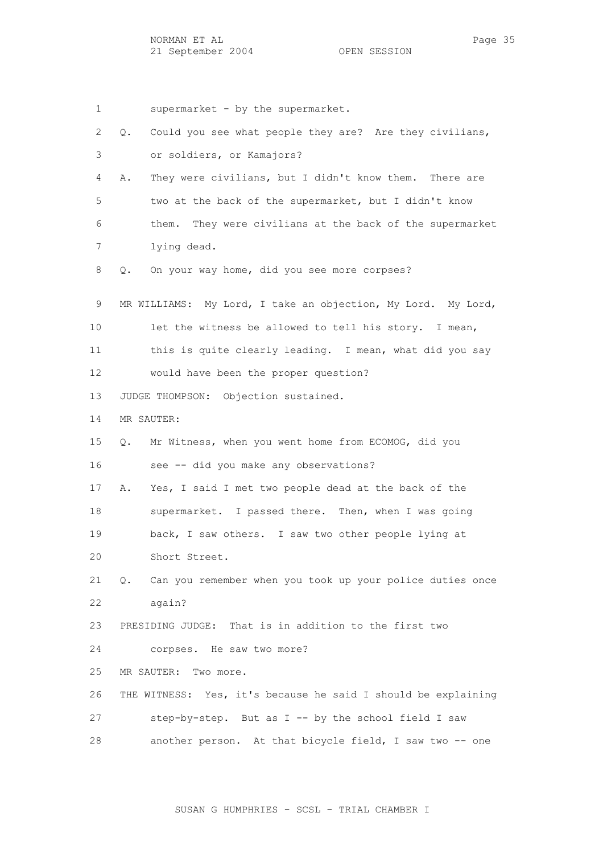1 supermarket - by the supermarket. 2 Q. Could you see what people they are? Are they civilians, 3 or soldiers, or Kamajors? 4 A. They were civilians, but I didn't know them. There are 5 two at the back of the supermarket, but I didn't know 6 them. They were civilians at the back of the supermarket 7 lying dead. 8 Q. On your way home, did you see more corpses? 9 MR WILLIAMS: My Lord, I take an objection, My Lord. My Lord, 10 let the witness be allowed to tell his story. I mean, 11 this is quite clearly leading. I mean, what did you say 12 would have been the proper question? 13 JUDGE THOMPSON: Objection sustained. 14 MR SAUTER: 15 Q. Mr Witness, when you went home from ECOMOG, did you 16 see -- did you make any observations? 17 A. Yes, I said I met two people dead at the back of the 18 supermarket. I passed there. Then, when I was going 19 back, I saw others. I saw two other people lying at 20 Short Street. 21 Q. Can you remember when you took up your police duties once 22 again? 23 PRESIDING JUDGE: That is in addition to the first two 24 corpses. He saw two more? 25 MR SAUTER: Two more. 26 THE WITNESS: Yes, it's because he said I should be explaining 27 step-by-step. But as I -- by the school field I saw 28 another person. At that bicycle field, I saw two -- one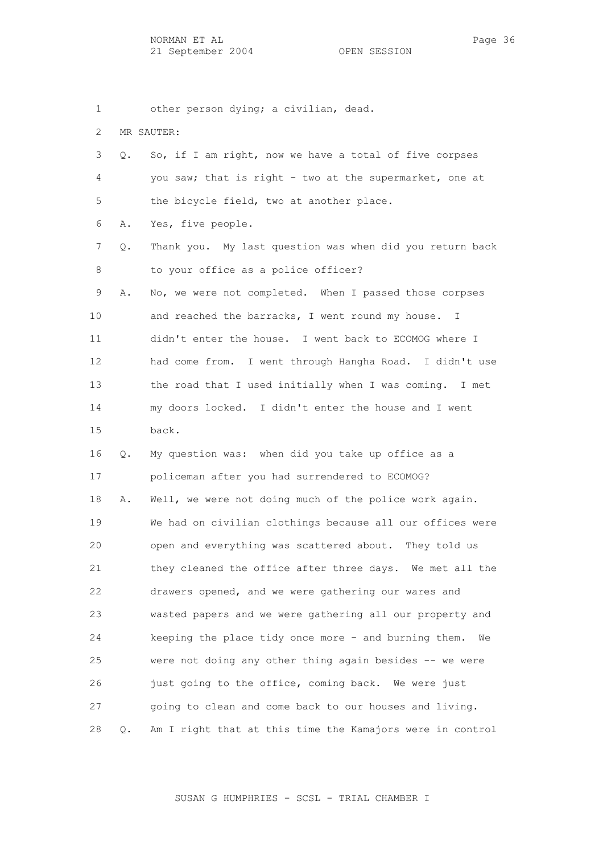OPEN SESSION

 1 other person dying; a civilian, dead. 2 MR SAUTER: 3 Q. So, if I am right, now we have a total of five corpses 4 you saw; that is right - two at the supermarket, one at 5 the bicycle field, two at another place. 6 A. Yes, five people. 7 Q. Thank you. My last question was when did you return back 8 to your office as a police officer? 9 A. No, we were not completed. When I passed those corpses 10 and reached the barracks, I went round my house. I 11 didn't enter the house. I went back to ECOMOG where I 12 had come from. I went through Hangha Road. I didn't use 13 the road that I used initially when I was coming. I met 14 my doors locked. I didn't enter the house and I went 15 back. 16 Q. My question was: when did you take up office as a 17 policeman after you had surrendered to ECOMOG? 18 A. Well, we were not doing much of the police work again. 19 We had on civilian clothings because all our offices were 20 open and everything was scattered about. They told us 21 they cleaned the office after three days. We met all the 22 drawers opened, and we were gathering our wares and 23 wasted papers and we were gathering all our property and 24 keeping the place tidy once more - and burning them. We 25 were not doing any other thing again besides -- we were 26 just going to the office, coming back. We were just 27 going to clean and come back to our houses and living.

28 Q. Am I right that at this time the Kamajors were in control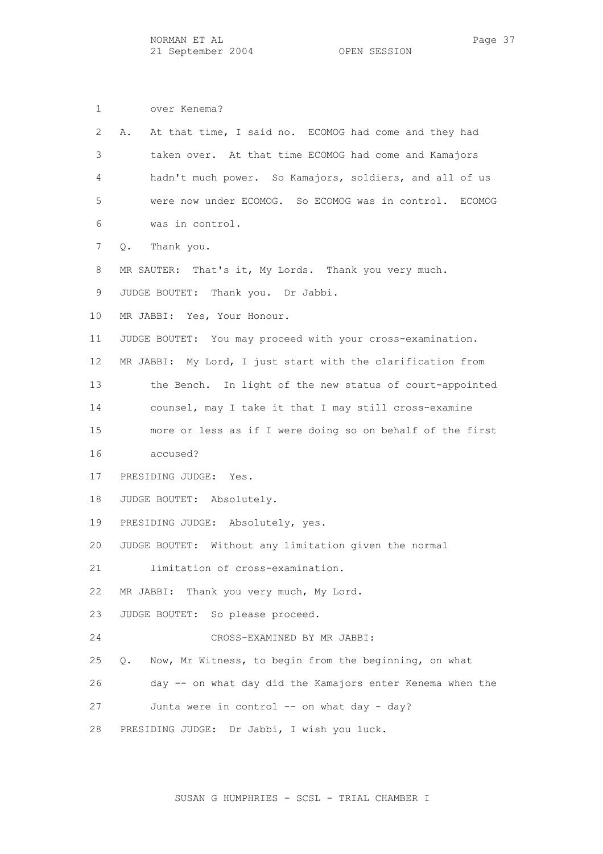1 over Kenema? 2 A. At that time, I said no. ECOMOG had come and they had 3 taken over. At that time ECOMOG had come and Kamajors 4 hadn't much power. So Kamajors, soldiers, and all of us 5 were now under ECOMOG. So ECOMOG was in control. ECOMOG 6 was in control. 7 Q. Thank you. 8 MR SAUTER: That's it, My Lords. Thank you very much. 9 JUDGE BOUTET: Thank you. Dr Jabbi. 10 MR JABBI: Yes, Your Honour. 11 JUDGE BOUTET: You may proceed with your cross-examination. 12 MR JABBI: My Lord, I just start with the clarification from 13 the Bench. In light of the new status of court-appointed 14 counsel, may I take it that I may still cross-examine 15 more or less as if I were doing so on behalf of the first 16 accused? 17 PRESIDING JUDGE: Yes. 18 JUDGE BOUTET: Absolutely. 19 PRESIDING JUDGE: Absolutely, yes. 20 JUDGE BOUTET: Without any limitation given the normal 21 limitation of cross-examination. 22 MR JABBI: Thank you very much, My Lord. 23 JUDGE BOUTET: So please proceed. 24 CROSS-EXAMINED BY MR JABBI: 25 Q. Now, Mr Witness, to begin from the beginning, on what 26 day -- on what day did the Kamajors enter Kenema when the 27 Junta were in control -- on what day - day? 28 PRESIDING JUDGE: Dr Jabbi, I wish you luck.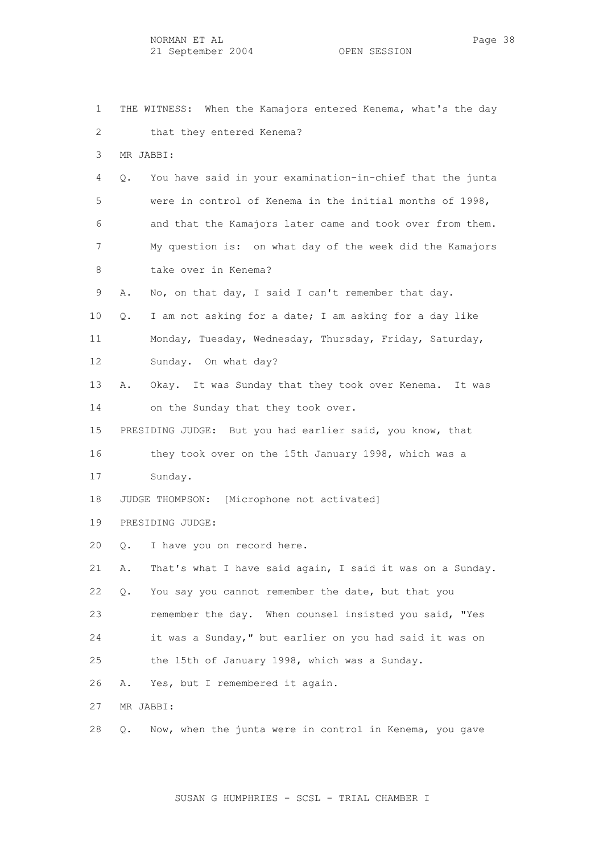1 THE WITNESS: When the Kamajors entered Kenema, what's the day 2 that they entered Kenema? 3 MR JABBI: 4 Q. You have said in your examination-in-chief that the junta 5 were in control of Kenema in the initial months of 1998, 6 and that the Kamajors later came and took over from them. 7 My question is: on what day of the week did the Kamajors 8 take over in Kenema? 9 A. No, on that day, I said I can't remember that day. 10 Q. I am not asking for a date; I am asking for a day like 11 Monday, Tuesday, Wednesday, Thursday, Friday, Saturday, 12 Sunday. On what day? 13 A. Okay. It was Sunday that they took over Kenema. It was 14 on the Sunday that they took over. 15 PRESIDING JUDGE: But you had earlier said, you know, that 16 they took over on the 15th January 1998, which was a 17 Sunday. 18 JUDGE THOMPSON: [Microphone not activated] 19 PRESIDING JUDGE: 20 Q. I have you on record here. 21 A. That's what I have said again, I said it was on a Sunday. 22 Q. You say you cannot remember the date, but that you 23 remember the day. When counsel insisted you said, "Yes 24 it was a Sunday," but earlier on you had said it was on 25 the 15th of January 1998, which was a Sunday. 26 A. Yes, but I remembered it again. 27 MR JABBI: 28 Q. Now, when the junta were in control in Kenema, you gave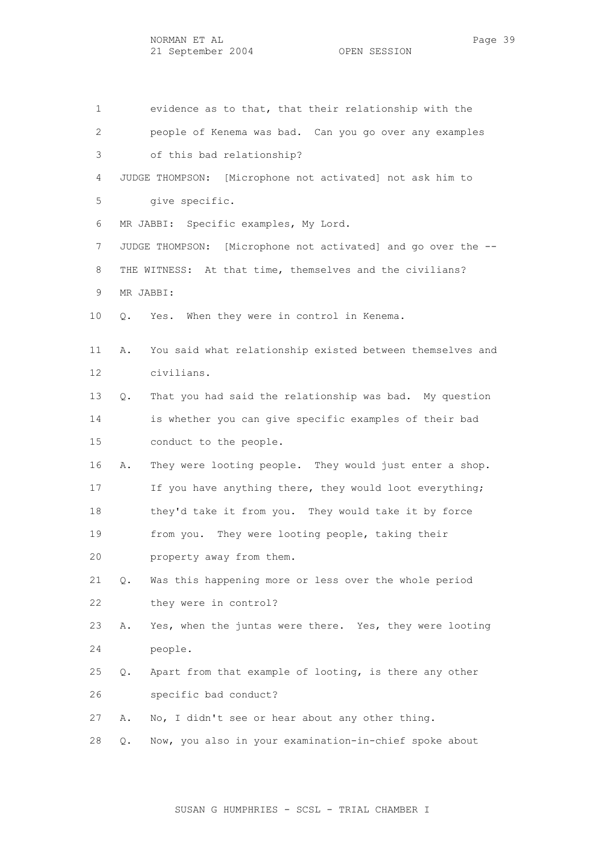1 evidence as to that, that their relationship with the 2 people of Kenema was bad. Can you go over any examples 3 of this bad relationship? 4 JUDGE THOMPSON: [Microphone not activated] not ask him to 5 give specific. 6 MR JABBI: Specific examples, My Lord. 7 JUDGE THOMPSON: [Microphone not activated] and go over the -- 8 THE WITNESS: At that time, themselves and the civilians? 9 MR JABBI: 10 Q. Yes. When they were in control in Kenema. 11 A. You said what relationship existed between themselves and 12 civilians. 13 Q. That you had said the relationship was bad. My question 14 is whether you can give specific examples of their bad 15 conduct to the people. 16 A. They were looting people. They would just enter a shop. 17 If you have anything there, they would loot everything; 18 they'd take it from you. They would take it by force 19 from you. They were looting people, taking their 20 property away from them. 21 Q. Was this happening more or less over the whole period 22 they were in control? 23 A. Yes, when the juntas were there. Yes, they were looting 24 people. 25 Q. Apart from that example of looting, is there any other 26 specific bad conduct? 27 A. No, I didn't see or hear about any other thing. 28 Q. Now, you also in your examination-in-chief spoke about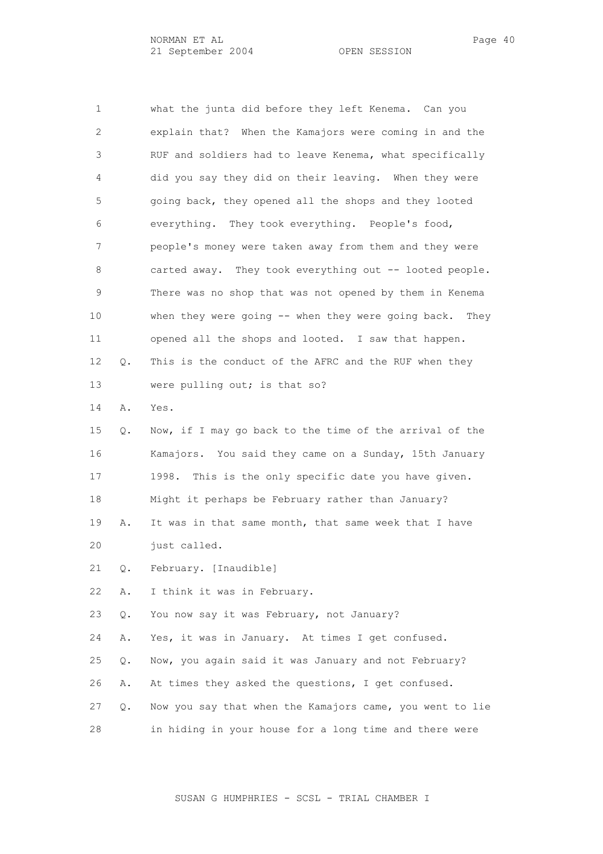1 what the junta did before they left Kenema. Can you 2 explain that? When the Kamajors were coming in and the 3 RUF and soldiers had to leave Kenema, what specifically 4 did you say they did on their leaving. When they were 5 going back, they opened all the shops and they looted

 6 everything. They took everything. People's food, 7 people's money were taken away from them and they were 8 carted away. They took everything out -- looted people. 9 There was no shop that was not opened by them in Kenema 10 when they were going -- when they were going back. They 11 opened all the shops and looted. I saw that happen. 12 Q. This is the conduct of the AFRC and the RUF when they 13 were pulling out; is that so?

14 A. Yes.

 15 Q. Now, if I may go back to the time of the arrival of the 16 Kamajors. You said they came on a Sunday, 15th January 17 1998. This is the only specific date you have given. 18 Might it perhaps be February rather than January? 19 A. It was in that same month, that same week that I have 20 just called.

21 Q. February. [Inaudible]

22 A. I think it was in February.

23 Q. You now say it was February, not January?

24 A. Yes, it was in January. At times I get confused.

25 Q. Now, you again said it was January and not February?

26 A. At times they asked the questions, I get confused.

 27 Q. Now you say that when the Kamajors came, you went to lie 28 in hiding in your house for a long time and there were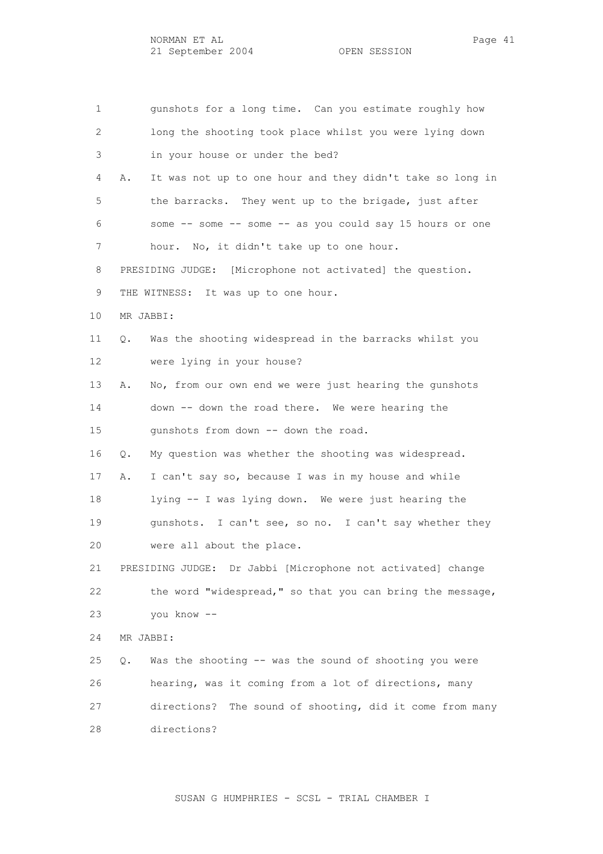1 gunshots for a long time. Can you estimate roughly how 2 long the shooting took place whilst you were lying down 3 in your house or under the bed? 4 A. It was not up to one hour and they didn't take so long in 5 the barracks. They went up to the brigade, just after 6 some -- some -- some -- as you could say 15 hours or one 7 hour. No, it didn't take up to one hour. 8 PRESIDING JUDGE: [Microphone not activated] the question. 9 THE WITNESS: It was up to one hour. 10 MR JABBI: 11 Q. Was the shooting widespread in the barracks whilst you 12 were lying in your house? 13 A. No, from our own end we were just hearing the gunshots 14 down -- down the road there. We were hearing the 15 gunshots from down -- down the road. 16 Q. My question was whether the shooting was widespread. 17 A. I can't say so, because I was in my house and while 18 lying -- I was lying down. We were just hearing the 19 gunshots. I can't see, so no. I can't say whether they 20 were all about the place. 21 PRESIDING JUDGE: Dr Jabbi [Microphone not activated] change 22 the word "widespread," so that you can bring the message, 23 you know -- 24 MR JABBI: 25 Q. Was the shooting -- was the sound of shooting you were 26 hearing, was it coming from a lot of directions, many 27 directions? The sound of shooting, did it come from many 28 directions?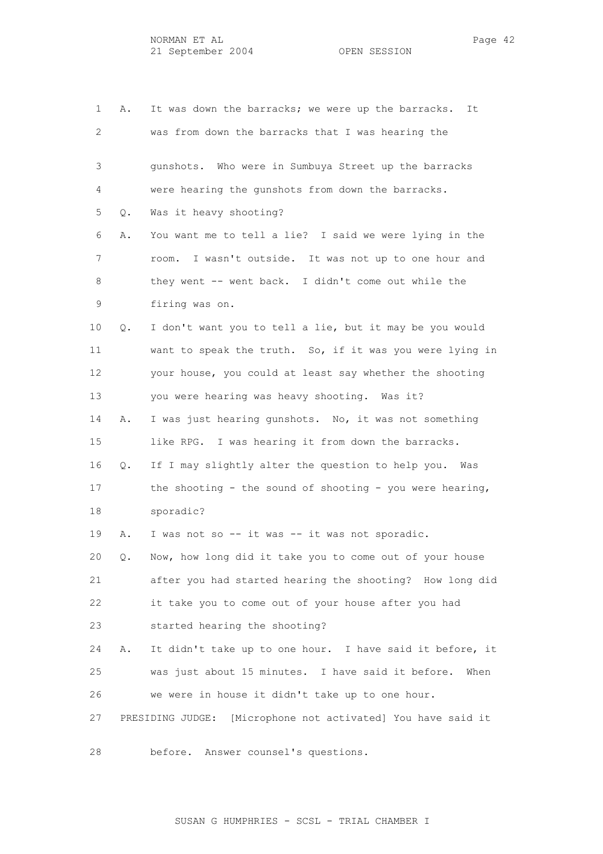1 A. It was down the barracks; we were up the barracks. It 2 was from down the barracks that I was hearing the 3 gunshots. Who were in Sumbuya Street up the barracks 4 were hearing the gunshots from down the barracks. 5 Q. Was it heavy shooting? 6 A. You want me to tell a lie? I said we were lying in the 7 room. I wasn't outside. It was not up to one hour and 8 they went -- went back. I didn't come out while the 9 firing was on. 10 Q. I don't want you to tell a lie, but it may be you would 11 want to speak the truth. So, if it was you were lying in 12 your house, you could at least say whether the shooting 13 you were hearing was heavy shooting. Was it? 14 A. I was just hearing gunshots. No, it was not something 15 like RPG. I was hearing it from down the barracks. 16 Q. If I may slightly alter the question to help you. Was 17 the shooting - the sound of shooting - you were hearing, 18 sporadic? 19 A. I was not so -- it was -- it was not sporadic. 20 Q. Now, how long did it take you to come out of your house 21 after you had started hearing the shooting? How long did 22 it take you to come out of your house after you had 23 started hearing the shooting? 24 A. It didn't take up to one hour. I have said it before, it 25 was just about 15 minutes. I have said it before. When 26 we were in house it didn't take up to one hour. 27 PRESIDING JUDGE: [Microphone not activated] You have said it

28 before. Answer counsel's questions.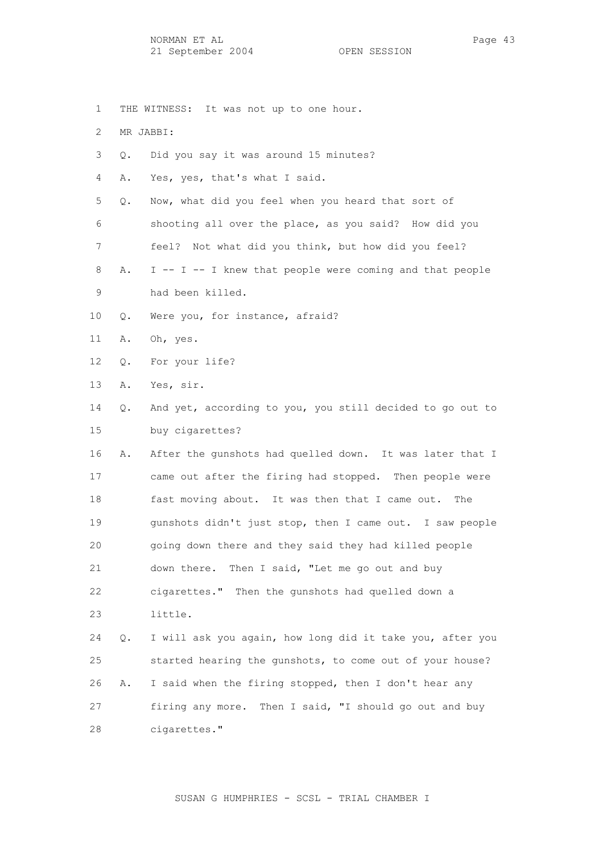- 1 THE WITNESS: It was not up to one hour. 3 Q. Did you say it was around 15 minutes? 4 A. Yes, yes, that's what I said. 5 Q. Now, what did you feel when you heard that sort of 6 shooting all over the place, as you said? How did you 7 feel? Not what did you think, but how did you feel?
- 8 A. I -- I -- I knew that people were coming and that people 9 had been killed.
- 10 Q. Were you, for instance, afraid?
- 11 A. Oh, yes.

2 MR JABBI:

- 12 Q. For your life?
- 13 A. Yes, sir.
- 14 Q. And yet, according to you, you still decided to go out to 15 buy cigarettes?
- 16 A. After the gunshots had quelled down. It was later that I 17 came out after the firing had stopped. Then people were 18 fast moving about. It was then that I came out. The 19 gunshots didn't just stop, then I came out. I saw people 20 going down there and they said they had killed people 21 down there. Then I said, "Let me go out and buy 22 cigarettes." Then the gunshots had quelled down a 23 little.

 24 Q. I will ask you again, how long did it take you, after you 25 started hearing the gunshots, to come out of your house? 26 A. I said when the firing stopped, then I don't hear any 27 firing any more. Then I said, "I should go out and buy 28 cigarettes."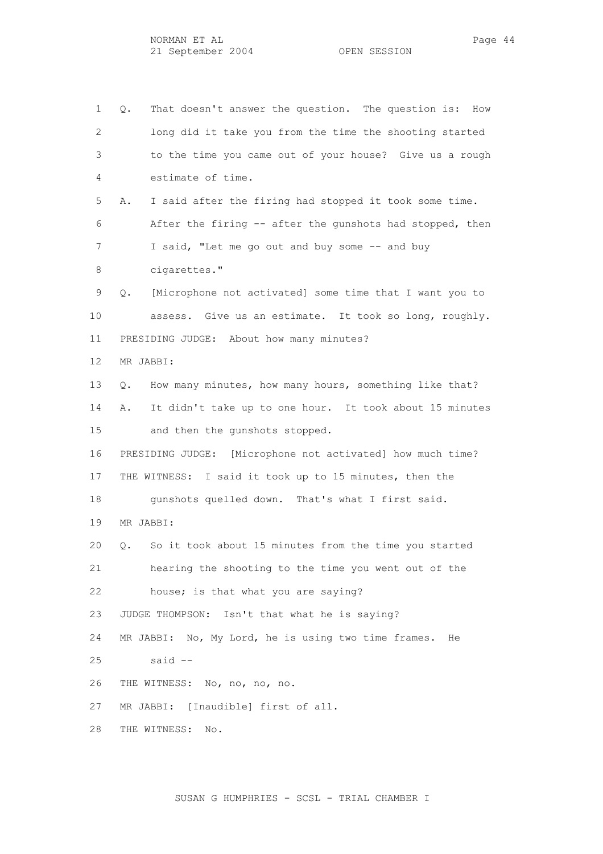1 Q. That doesn't answer the question. The question is: How 2 long did it take you from the time the shooting started 3 to the time you came out of your house? Give us a rough 4 estimate of time. 5 A. I said after the firing had stopped it took some time. 6 After the firing -- after the gunshots had stopped, then 7 I said, "Let me go out and buy some -- and buy 8 cigarettes." 9 Q. [Microphone not activated] some time that I want you to 10 assess. Give us an estimate. It took so long, roughly. 11 PRESIDING JUDGE: About how many minutes? 12 MR JABBI: 13 Q. How many minutes, how many hours, something like that? 14 A. It didn't take up to one hour. It took about 15 minutes 15 and then the gunshots stopped. 16 PRESIDING JUDGE: [Microphone not activated] how much time? 17 THE WITNESS: I said it took up to 15 minutes, then the 18 gunshots quelled down. That's what I first said. 19 MR JABBI: 20 Q. So it took about 15 minutes from the time you started 21 hearing the shooting to the time you went out of the 22 house; is that what you are saying? 23 JUDGE THOMPSON: Isn't that what he is saying? 24 MR JABBI: No, My Lord, he is using two time frames. He 25 said -- 26 THE WITNESS: No, no, no, no. 27 MR JABBI: [Inaudible] first of all. 28 THE WITNESS: No.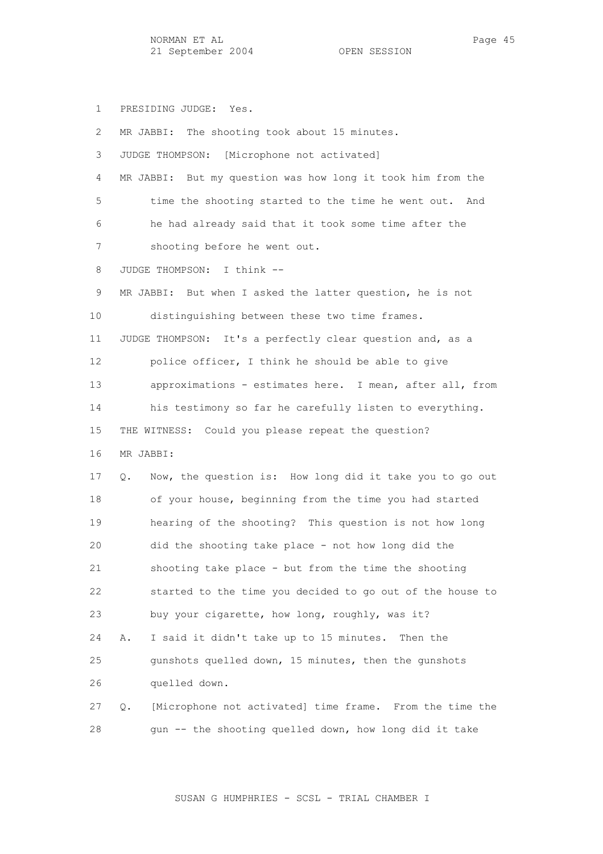1 PRESIDING JUDGE: Yes.

| 2                 | MR JABBI: The shooting took about 15 minutes.                  |
|-------------------|----------------------------------------------------------------|
| 3                 | JUDGE THOMPSON:<br>[Microphone not activated]                  |
| 4                 | MR JABBI: But my question was how long it took him from the    |
| 5                 | time the shooting started to the time he went out. And         |
| 6                 | he had already said that it took some time after the           |
| 7                 | shooting before he went out.                                   |
| 8                 | JUDGE THOMPSON: I think --                                     |
| 9                 | MR JABBI: But when I asked the latter question, he is not      |
| 10                | distinguishing between these two time frames.                  |
| 11                | JUDGE THOMPSON: It's a perfectly clear question and, as a      |
| $12 \overline{ }$ | police officer, I think he should be able to give              |
| 13                | approximations - estimates here. I mean, after all, from       |
| 14                | his testimony so far he carefully listen to everything.        |
| 15                | THE WITNESS: Could you please repeat the question?             |
| 16                | MR JABBI:                                                      |
| 17                | Now, the question is: How long did it take you to go out<br>Q. |
| 18                | of your house, beginning from the time you had started         |
| 19                | hearing of the shooting? This question is not how long         |
| 20                | did the shooting take place - not how long did the             |
| 21                | shooting take place - but from the time the shooting           |
| 22                | started to the time you decided to go out of the house to      |
| 23                | buy your cigarette, how long, roughly, was it?                 |
| 24                | I said it didn't take up to 15 minutes. Then the<br>Α.         |
| 25                | gunshots quelled down, 15 minutes, then the gunshots           |
| 26                | quelled down.                                                  |
| 27                | [Microphone not activated] time frame. From the time the<br>О. |
| 28                | gun -- the shooting quelled down, how long did it take         |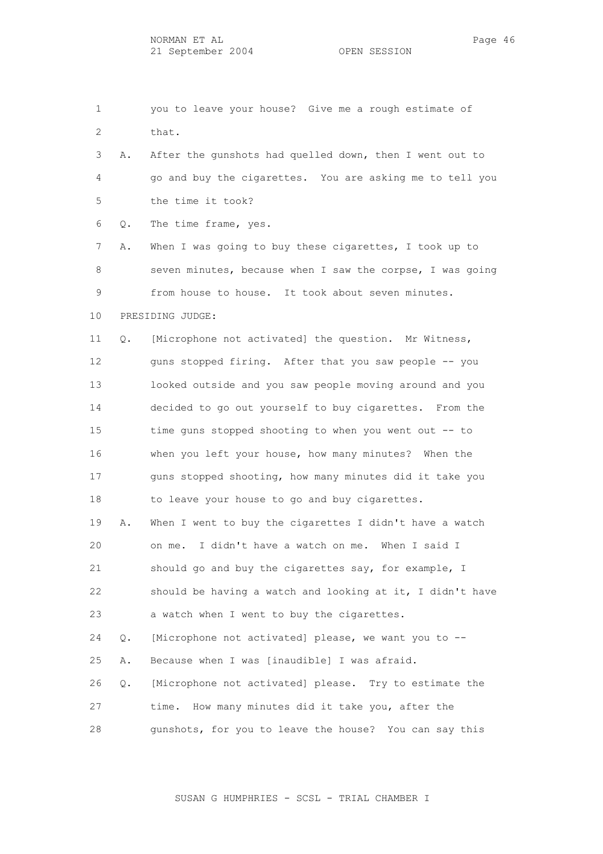1 you to leave your house? Give me a rough estimate of 2 that. 3 A. After the gunshots had quelled down, then I went out to 4 go and buy the cigarettes. You are asking me to tell you 5 the time it took? 6 Q. The time frame, yes. 7 A. When I was going to buy these cigarettes, I took up to 8 seven minutes, because when I saw the corpse, I was going 9 from house to house. It took about seven minutes. 10 PRESIDING JUDGE: 11 Q. [Microphone not activated] the question. Mr Witness, 12 guns stopped firing. After that you saw people -- you 13 looked outside and you saw people moving around and you 14 decided to go out yourself to buy cigarettes. From the 15 time guns stopped shooting to when you went out -- to 16 when you left your house, how many minutes? When the 17 guns stopped shooting, how many minutes did it take you 18 to leave your house to go and buy cigarettes. 19 A. When I went to buy the cigarettes I didn't have a watch 20 on me. I didn't have a watch on me. When I said I 21 should go and buy the cigarettes say, for example, I 22 should be having a watch and looking at it, I didn't have 23 a watch when I went to buy the cigarettes. 24 Q. [Microphone not activated] please, we want you to -- 25 A. Because when I was [inaudible] I was afraid. 26 Q. [Microphone not activated] please. Try to estimate the 27 time. How many minutes did it take you, after the

SUSAN G HUMPHRIES - SCSL - TRIAL CHAMBER I

28 gunshots, for you to leave the house? You can say this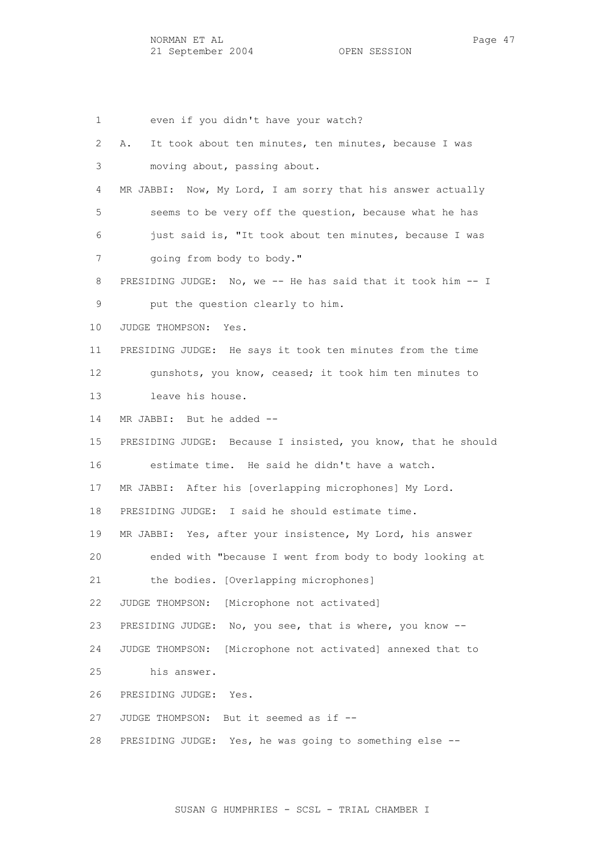1 even if you didn't have your watch? 2 A. It took about ten minutes, ten minutes, because I was 3 moving about, passing about. 4 MR JABBI: Now, My Lord, I am sorry that his answer actually 5 seems to be very off the question, because what he has 6 just said is, "It took about ten minutes, because I was 7 going from body to body." 8 PRESIDING JUDGE: No, we -- He has said that it took him -- I 9 put the question clearly to him. 10 JUDGE THOMPSON: Yes. 11 PRESIDING JUDGE: He says it took ten minutes from the time 12 gunshots, you know, ceased; it took him ten minutes to 13 leave his house. 14 MR JABBI: But he added -- 15 PRESIDING JUDGE: Because I insisted, you know, that he should 16 estimate time. He said he didn't have a watch. 17 MR JABBI: After his [overlapping microphones] My Lord. 18 PRESIDING JUDGE: I said he should estimate time. 19 MR JABBI: Yes, after your insistence, My Lord, his answer 20 ended with "because I went from body to body looking at 21 the bodies. [Overlapping microphones] 22 JUDGE THOMPSON: [Microphone not activated] 23 PRESIDING JUDGE: No, you see, that is where, you know -- 24 JUDGE THOMPSON: [Microphone not activated] annexed that to 25 his answer. 26 PRESIDING JUDGE: Yes. 27 JUDGE THOMPSON: But it seemed as if -- 28 PRESIDING JUDGE: Yes, he was going to something else --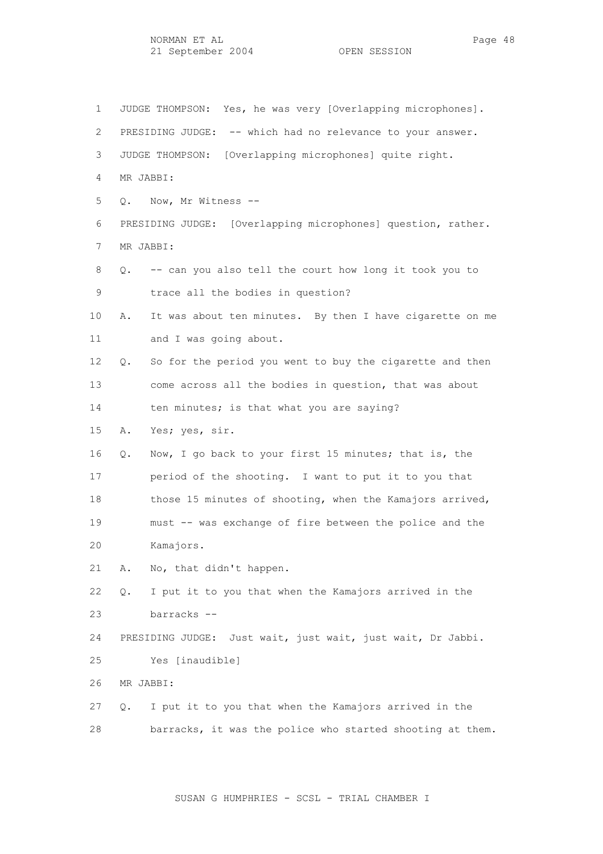NORMAN ET AL Page 48 21 September 2004

 1 JUDGE THOMPSON: Yes, he was very [Overlapping microphones]. 2 PRESIDING JUDGE: -- which had no relevance to your answer. 3 JUDGE THOMPSON: [Overlapping microphones] quite right. 4 MR JABBI: 5 Q. Now, Mr Witness -- 6 PRESIDING JUDGE: [Overlapping microphones] question, rather. 7 MR JABBI: 8 Q. -- can you also tell the court how long it took you to 9 trace all the bodies in question? 10 A. It was about ten minutes. By then I have cigarette on me 11 and I was going about. 12 Q. So for the period you went to buy the cigarette and then 13 come across all the bodies in question, that was about 14 ten minutes; is that what you are saying? 15 A. Yes; yes, sir. 16 Q. Now, I go back to your first 15 minutes; that is, the 17 period of the shooting. I want to put it to you that 18 those 15 minutes of shooting, when the Kamajors arrived, 19 must -- was exchange of fire between the police and the 20 Kamajors. 21 A. No, that didn't happen. 22 Q. I put it to you that when the Kamajors arrived in the 23 barracks -- 24 PRESIDING JUDGE: Just wait, just wait, just wait, Dr Jabbi. 25 Yes [inaudible] 26 MR JABBI: 27 Q. I put it to you that when the Kamajors arrived in the 28 barracks, it was the police who started shooting at them.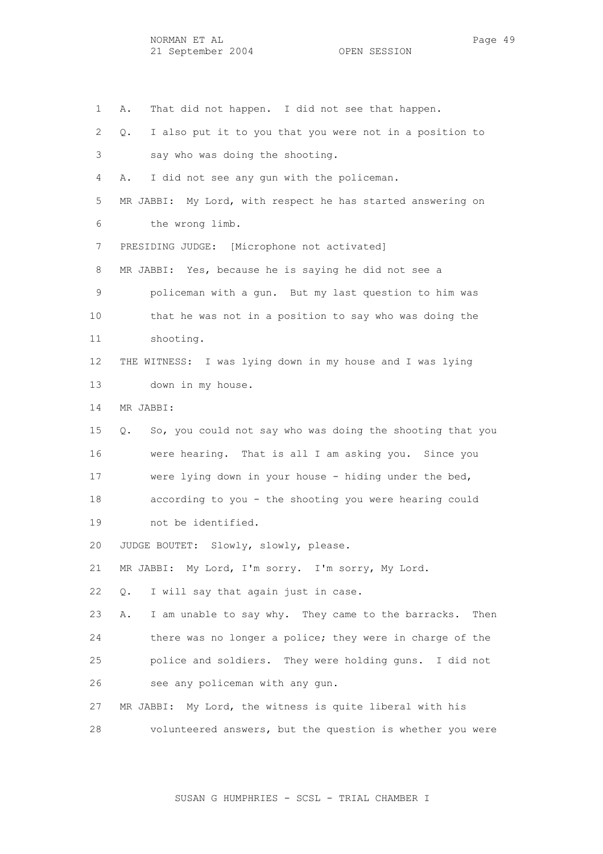1 A. That did not happen. I did not see that happen.

 2 Q. I also put it to you that you were not in a position to 3 say who was doing the shooting. 4 A. I did not see any gun with the policeman. 5 MR JABBI: My Lord, with respect he has started answering on 6 the wrong limb. 7 PRESIDING JUDGE: [Microphone not activated] 8 MR JABBI: Yes, because he is saying he did not see a 9 policeman with a gun. But my last question to him was 10 that he was not in a position to say who was doing the 11 shooting. 12 THE WITNESS: I was lying down in my house and I was lying 13 down in my house. 14 MR JABBI: 15 Q. So, you could not say who was doing the shooting that you 16 were hearing. That is all I am asking you. Since you 17 were lying down in your house - hiding under the bed, 18 according to you - the shooting you were hearing could 19 not be identified. 20 JUDGE BOUTET: Slowly, slowly, please. 21 MR JABBI: My Lord, I'm sorry. I'm sorry, My Lord. 22 Q. I will say that again just in case. 23 A. I am unable to say why. They came to the barracks. Then 24 there was no longer a police; they were in charge of the 25 police and soldiers. They were holding guns. I did not 26 see any policeman with any gun. 27 MR JABBI: My Lord, the witness is quite liberal with his 28 volunteered answers, but the question is whether you were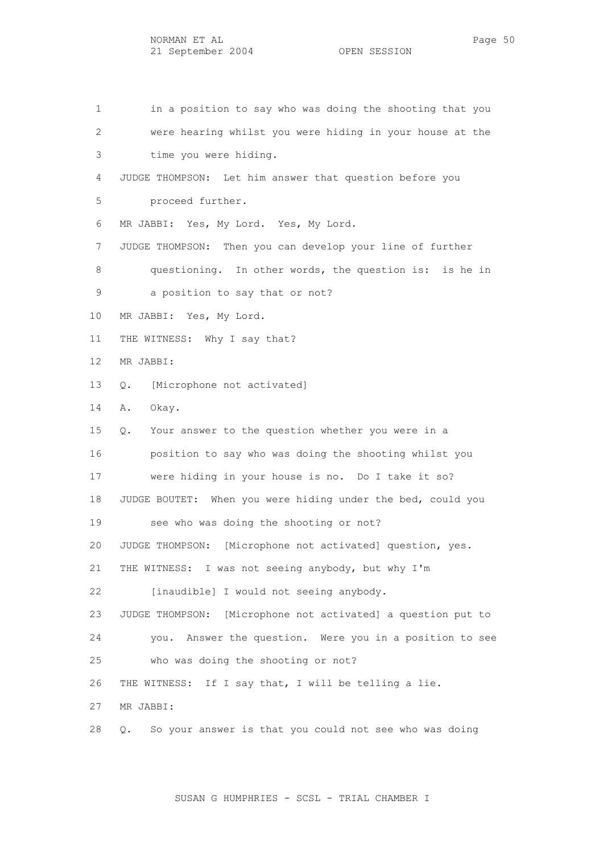NORMAN ET AL Page 50 21 September 2004 OPEN SESSION

 1 in a position to say who was doing the shooting that you 2 were hearing whilst you were hiding in your house at the 3 time you were hiding. 4 JUDGE THOMPSON: Let him answer that question before you 5 proceed further. 6 MR JABBI: Yes, My Lord. Yes, My Lord. 7 JUDGE THOMPSON: Then you can develop your line of further 8 questioning. In other words, the question is: is he in 9 a position to say that or not? 10 MR JABBI: Yes, My Lord. 11 THE WITNESS: Why I say that? 12 MR JABBI: 13 Q. [Microphone not activated] 14 A. Okay. 15 Q. Your answer to the question whether you were in a 16 position to say who was doing the shooting whilst you 17 were hiding in your house is no. Do I take it so? 18 JUDGE BOUTET: When you were hiding under the bed, could you 19 see who was doing the shooting or not? 20 JUDGE THOMPSON: [Microphone not activated] question, yes. 21 THE WITNESS: I was not seeing anybody, but why I'm

22 [inaudible] I would not seeing anybody.

 23 JUDGE THOMPSON: [Microphone not activated] a question put to 24 you. Answer the question. Were you in a position to see

25 who was doing the shooting or not?

26 THE WITNESS: If I say that, I will be telling a lie.

27 MR JABBI:

28 Q. So your answer is that you could not see who was doing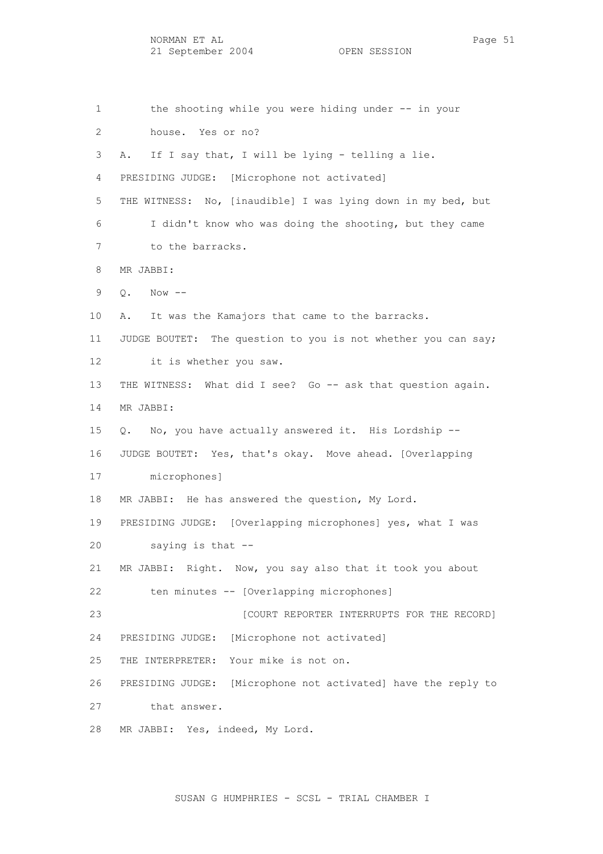NORMAN ET AL Page 51 21 September 2004 OPEN SESSION

 1 the shooting while you were hiding under -- in your 2 house. Yes or no? 3 A. If I say that, I will be lying - telling a lie. 4 PRESIDING JUDGE: [Microphone not activated] 5 THE WITNESS: No, [inaudible] I was lying down in my bed, but 6 I didn't know who was doing the shooting, but they came 7 to the barracks. 8 MR JABBI: 9 Q. Now -- 10 A. It was the Kamajors that came to the barracks. 11 JUDGE BOUTET: The question to you is not whether you can say; 12 it is whether you saw. 13 THE WITNESS: What did I see? Go -- ask that question again. 14 MR JABBI: 15 Q. No, you have actually answered it. His Lordship -- 16 JUDGE BOUTET: Yes, that's okay. Move ahead. [Overlapping 17 microphones] 18 MR JABBI: He has answered the question, My Lord. 19 PRESIDING JUDGE: [Overlapping microphones] yes, what I was 20 saying is that -- 21 MR JABBI: Right. Now, you say also that it took you about 22 ten minutes -- [Overlapping microphones] 23 [COURT REPORTER INTERRUPTS FOR THE RECORD] 24 PRESIDING JUDGE: [Microphone not activated] 25 THE INTERPRETER: Your mike is not on. 26 PRESIDING JUDGE: [Microphone not activated] have the reply to 27 that answer. 28 MR JABBI: Yes, indeed, My Lord.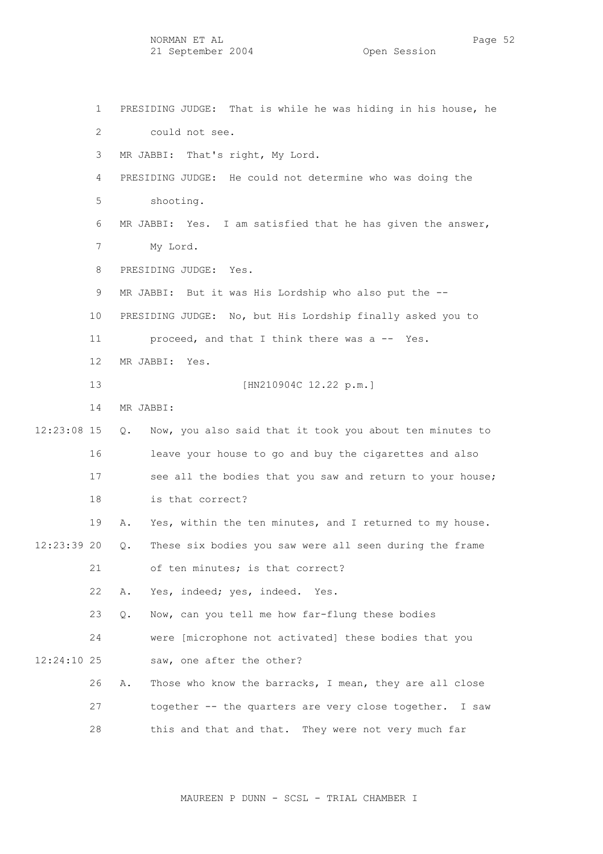1 PRESIDING JUDGE: That is while he was hiding in his house, he 2 could not see. 3 MR JABBI: That's right, My Lord. 4 PRESIDING JUDGE: He could not determine who was doing the 5 shooting. 6 MR JABBI: Yes. I am satisfied that he has given the answer, 7 My Lord. 8 PRESIDING JUDGE: Yes. 9 MR JABBI: But it was His Lordship who also put the -- 10 PRESIDING JUDGE: No, but His Lordship finally asked you to 11 proceed, and that I think there was a -- Yes. 12 MR JABBI: Yes. 13 [HN210904C 12.22 p.m.] 14 MR JABBI: 12:23:08 15 Q. Now, you also said that it took you about ten minutes to 16 leave your house to go and buy the cigarettes and also 17 see all the bodies that you saw and return to your house; 18 is that correct? 19 A. Yes, within the ten minutes, and I returned to my house. 12:23:39 20 Q. These six bodies you saw were all seen during the frame 21 of ten minutes; is that correct? 22 A. Yes, indeed; yes, indeed. Yes. 23 Q. Now, can you tell me how far-flung these bodies 24 were [microphone not activated] these bodies that you 12:24:10 25 saw, one after the other? 26 A. Those who know the barracks, I mean, they are all close 27 together -- the quarters are very close together. I saw

28 this and that and that. They were not very much far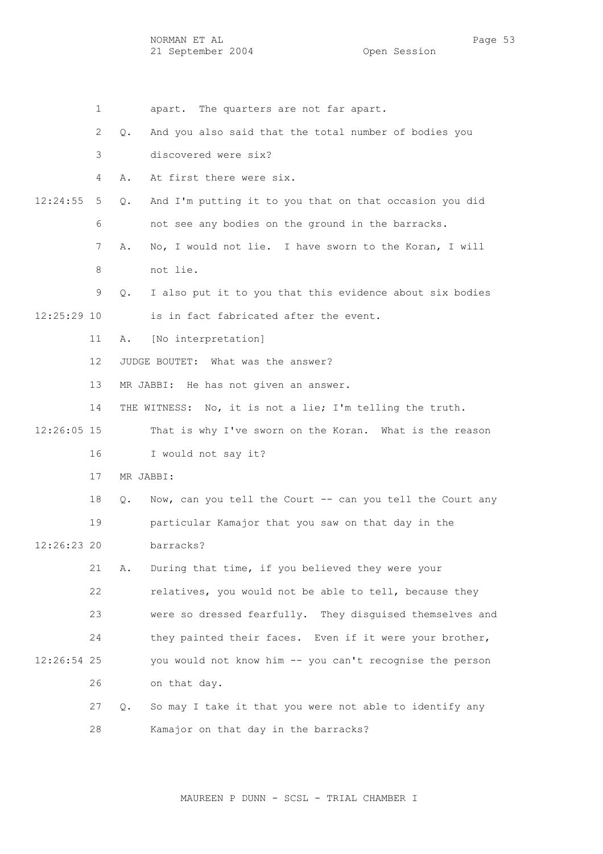1 apart. The quarters are not far apart.

 2 Q. And you also said that the total number of bodies you 3 discovered were six? 4 A. At first there were six. 12:24:55 5 Q. And I'm putting it to you that on that occasion you did 6 not see any bodies on the ground in the barracks. 7 A. No, I would not lie. I have sworn to the Koran, I will 8 not lie. 9 Q. I also put it to you that this evidence about six bodies 12:25:29 10 is in fact fabricated after the event. 11 A. [No interpretation] 12 JUDGE BOUTET: What was the answer? 13 MR JABBI: He has not given an answer. 14 THE WITNESS: No, it is not a lie; I'm telling the truth. 12:26:05 15 That is why I've sworn on the Koran. What is the reason 16 I would not say it? 17 MR JABBI: 18 Q. Now, can you tell the Court -- can you tell the Court any 19 particular Kamajor that you saw on that day in the 12:26:23 20 barracks? 21 A. During that time, if you believed they were your 22 relatives, you would not be able to tell, because they 23 were so dressed fearfully. They disguised themselves and 24 they painted their faces. Even if it were your brother, 12:26:54 25 you would not know him -- you can't recognise the person 26 on that day. 27 Q. So may I take it that you were not able to identify any 28 Kamajor on that day in the barracks?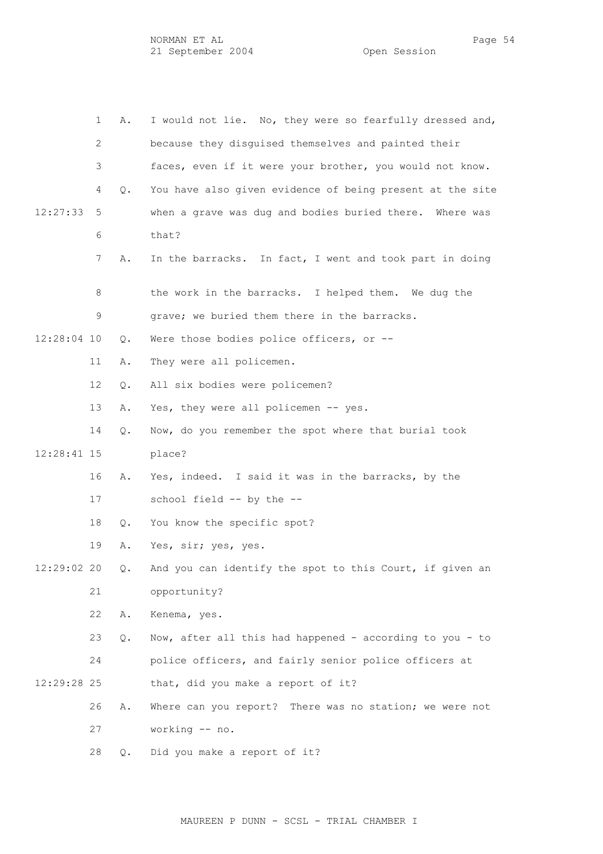|             | 1                 | Α. | I would not lie. No, they were so fearfully dressed and,  |
|-------------|-------------------|----|-----------------------------------------------------------|
|             | 2                 |    | because they disguised themselves and painted their       |
|             | 3                 |    | faces, even if it were your brother, you would not know.  |
|             | 4                 | Q. | You have also given evidence of being present at the site |
| 12:27:33    | 5                 |    | when a grave was dug and bodies buried there. Where was   |
|             | 6                 |    | that?                                                     |
|             | 7                 | Α. | In the barracks. In fact, I went and took part in doing   |
|             | 8                 |    | the work in the barracks. I helped them. We dug the       |
|             | 9                 |    | grave; we buried them there in the barracks.              |
| 12:28:04 10 |                   | Q. | Were those bodies police officers, or --                  |
|             | 11                | Α. | They were all policemen.                                  |
|             | $12 \overline{ }$ | Q. | All six bodies were policemen?                            |
|             | 13                | Α. | Yes, they were all policemen -- yes.                      |
|             | 14                | Q. | Now, do you remember the spot where that burial took      |
| 12:28:41 15 |                   |    | place?                                                    |
|             | 16                | Α. | Yes, indeed. I said it was in the barracks, by the        |
|             | 17                |    | school field -- by the --                                 |
|             | 18                | Q. | You know the specific spot?                               |
|             | 19                | Α. | Yes, sir; yes, yes.                                       |
| 12:29:02 20 |                   | Q. | And you can identify the spot to this Court, if given an  |
|             | 21                |    | opportunity?                                              |
|             | 22                | Α. | Kenema, yes.                                              |
|             | 23                | Q. | Now, after all this had happened - according to you - to  |
|             | 24                |    | police officers, and fairly senior police officers at     |
| 12:29:28 25 |                   |    | that, did you make a report of it?                        |
|             | 26                | Α. | Where can you report? There was no station; we were not   |
|             | 27                |    | working -- no.                                            |
|             | 28                | Q. | Did you make a report of it?                              |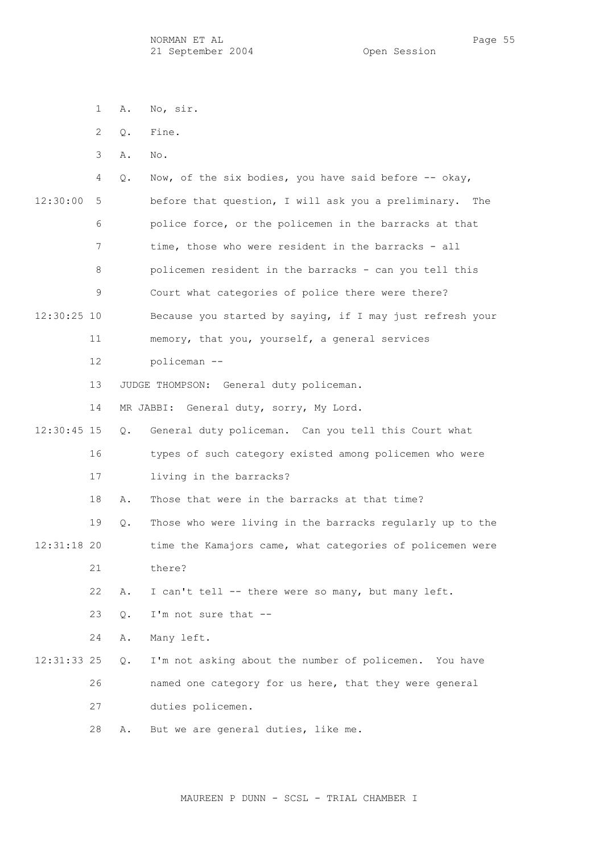1 A. No, sir. 2 Q. Fine. 3 A. No. 4 Q. Now, of the six bodies, you have said before -- okay, 12:30:00 5 before that question, I will ask you a preliminary. The 6 police force, or the policemen in the barracks at that 7 time, those who were resident in the barracks - all 8 **b** policemen resident in the barracks - can you tell this 9 Court what categories of police there were there? 12:30:25 10 Because you started by saying, if I may just refresh your 11 memory, that you, yourself, a general services 12 policeman -- 13 JUDGE THOMPSON: General duty policeman. 14 MR JABBI: General duty, sorry, My Lord. 12:30:45 15 Q. General duty policeman. Can you tell this Court what 16 types of such category existed among policemen who were 17 living in the barracks? 18 A. Those that were in the barracks at that time? 19 Q. Those who were living in the barracks regularly up to the 12:31:18 20 time the Kamajors came, what categories of policemen were 21 there? 22 A. I can't tell -- there were so many, but many left. 23 Q. I'm not sure that -- 24 A. Many left. 12:31:33 25 Q. I'm not asking about the number of policemen. You have 26 named one category for us here, that they were general 27 duties policemen. 28 A. But we are general duties, like me.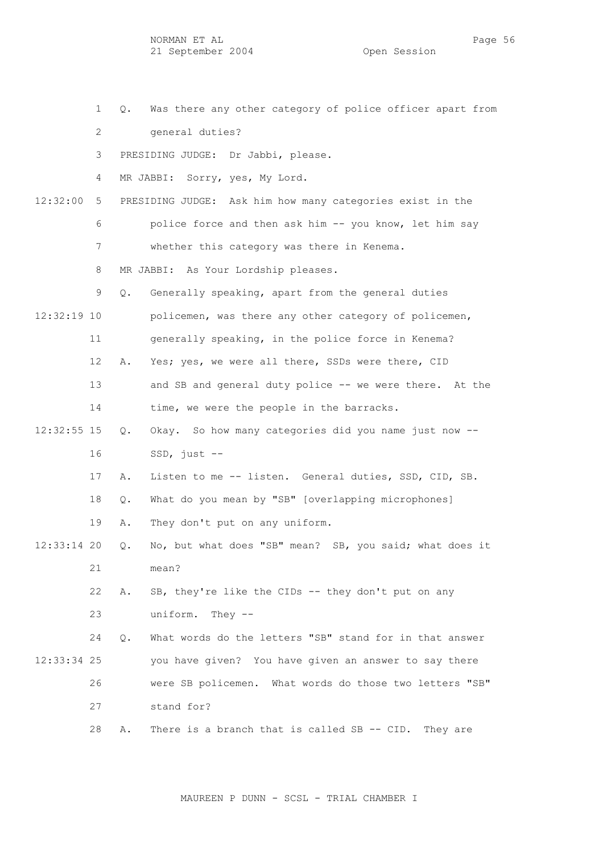1 Q. Was there any other category of police officer apart from 2 general duties? 3 PRESIDING JUDGE: Dr Jabbi, please. 4 MR JABBI: Sorry, yes, My Lord. 12:32:00 5 PRESIDING JUDGE: Ask him how many categories exist in the 6 police force and then ask him -- you know, let him say 7 whether this category was there in Kenema. 8 MR JABBI: As Your Lordship pleases. 9 Q. Generally speaking, apart from the general duties 12:32:19 10 policemen, was there any other category of policemen, 11 generally speaking, in the police force in Kenema? 12 A. Yes; yes, we were all there, SSDs were there, CID 13 and SB and general duty police -- we were there. At the 14 time, we were the people in the barracks. 12:32:55 15 Q. Okay. So how many categories did you name just now -- 16 SSD, just -- 17 A. Listen to me -- listen. General duties, SSD, CID, SB. 18 Q. What do you mean by "SB" [overlapping microphones] 19 A. They don't put on any uniform. 12:33:14 20 Q. No, but what does "SB" mean? SB, you said; what does it 21 mean? 22 A. SB, they're like the CIDs -- they don't put on any 23 uniform. They -- 24 Q. What words do the letters "SB" stand for in that answer 12:33:34 25 you have given? You have given an answer to say there 26 were SB policemen. What words do those two letters "SB" 27 stand for? 28 A. There is a branch that is called SB -- CID. They are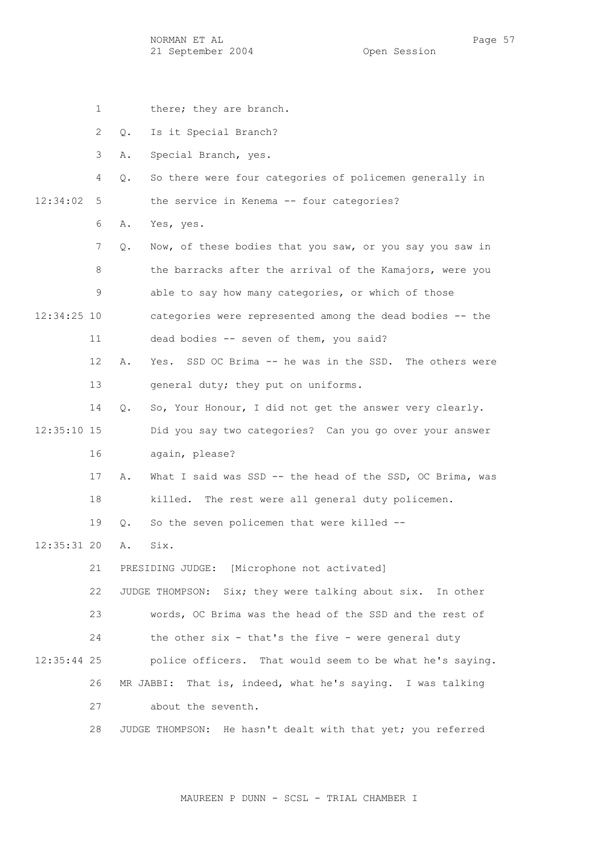1 there; they are branch. 2 Q. Is it Special Branch? 3 A. Special Branch, yes. 4 Q. So there were four categories of policemen generally in 12:34:02 5 the service in Kenema -- four categories? 6 A. Yes, yes. 7 Q. Now, of these bodies that you saw, or you say you saw in 8 the barracks after the arrival of the Kamajors, were you 9 able to say how many categories, or which of those 12:34:25 10 categories were represented among the dead bodies -- the 11 dead bodies -- seven of them, you said? 12 A. Yes. SSD OC Brima -- he was in the SSD. The others were 13 general duty; they put on uniforms. 14 Q. So, Your Honour, I did not get the answer very clearly. 12:35:10 15 Did you say two categories? Can you go over your answer 16 again, please? 17 A. What I said was SSD -- the head of the SSD, OC Brima, was 18 killed. The rest were all general duty policemen. 19 Q. So the seven policemen that were killed -- 12:35:31 20 A. Six. 21 PRESIDING JUDGE: [Microphone not activated] 22 JUDGE THOMPSON: Six; they were talking about six. In other 23 words, OC Brima was the head of the SSD and the rest of 24 the other six - that's the five - were general duty 12:35:44 25 police officers. That would seem to be what he's saying. 26 MR JABBI: That is, indeed, what he's saying. I was talking 27 about the seventh. 28 JUDGE THOMPSON: He hasn't dealt with that yet; you referred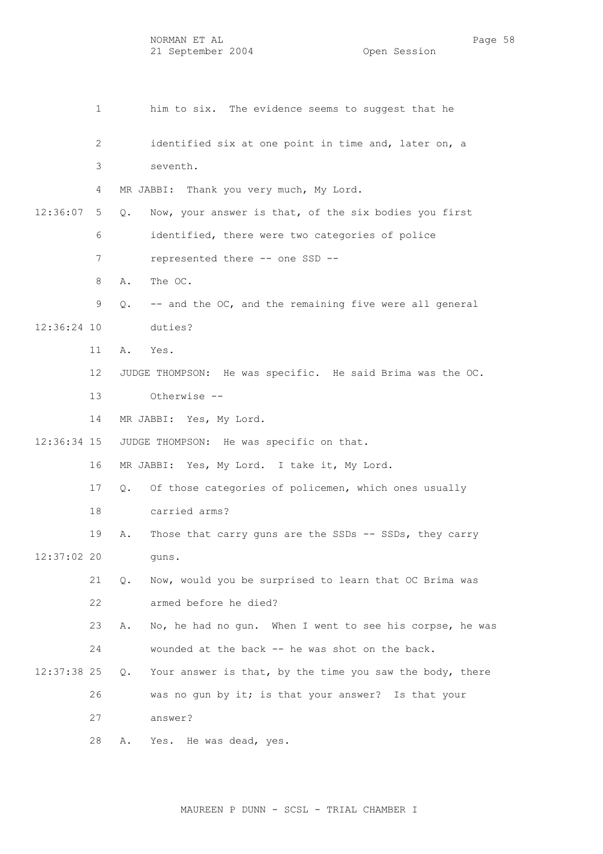1 him to six. The evidence seems to suggest that he 2 identified six at one point in time and, later on, a 3 seventh. 4 MR JABBI: Thank you very much, My Lord. 12:36:07 5 Q. Now, your answer is that, of the six bodies you first 6 identified, there were two categories of police 7 represented there -- one SSD -- 8 A. The OC. 9 Q. -- and the OC, and the remaining five were all general 12:36:24 10 duties? 11 A. Yes. 12 JUDGE THOMPSON: He was specific. He said Brima was the OC. 13 Otherwise -- 14 MR JABBI: Yes, My Lord. 12:36:34 15 JUDGE THOMPSON: He was specific on that. 16 MR JABBI: Yes, My Lord. I take it, My Lord. 17 Q. Of those categories of policemen, which ones usually 18 carried arms? 19 A. Those that carry guns are the SSDs -- SSDs, they carry 12:37:02 20 guns. 21 Q. Now, would you be surprised to learn that OC Brima was 22 armed before he died? 23 A. No, he had no gun. When I went to see his corpse, he was 24 wounded at the back -- he was shot on the back. 12:37:38 25 Q. Your answer is that, by the time you saw the body, there 26 was no gun by it; is that your answer? Is that your 27 answer? 28 A. Yes. He was dead, yes.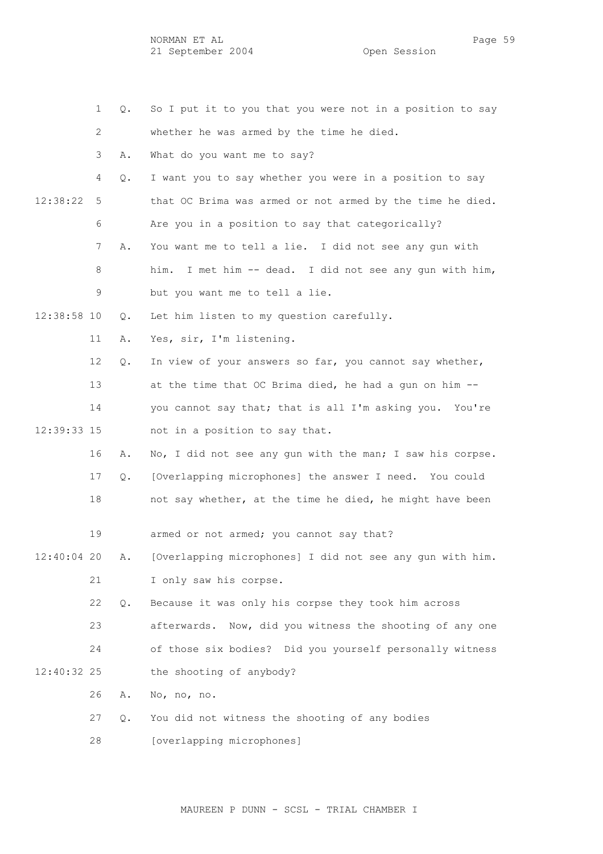1 Q. So I put it to you that you were not in a position to say 2 whether he was armed by the time he died. 3 A. What do you want me to say? 4 Q. I want you to say whether you were in a position to say 12:38:22 5 that OC Brima was armed or not armed by the time he died. 6 Are you in a position to say that categorically? 7 A. You want me to tell a lie. I did not see any gun with 8 him. I met him -- dead. I did not see any gun with him, 9 but you want me to tell a lie. 12:38:58 10 Q. Let him listen to my question carefully. 11 A. Yes, sir, I'm listening. 12 Q. In view of your answers so far, you cannot say whether, 13 at the time that OC Brima died, he had a gun on him -- 14 you cannot say that; that is all I'm asking you. You're 12:39:33 15 not in a position to say that. 16 A. No, I did not see any gun with the man; I saw his corpse. 17 Q. [Overlapping microphones] the answer I need. You could 18 not say whether, at the time he died, he might have been 19 armed or not armed; you cannot say that? 12:40:04 20 A. [Overlapping microphones] I did not see any gun with him. 21 I only saw his corpse. 22 Q. Because it was only his corpse they took him across 23 afterwards. Now, did you witness the shooting of any one 24 of those six bodies? Did you yourself personally witness 12:40:32 25 the shooting of anybody? 26 A. No, no, no. 27 Q. You did not witness the shooting of any bodies 28 [overlapping microphones]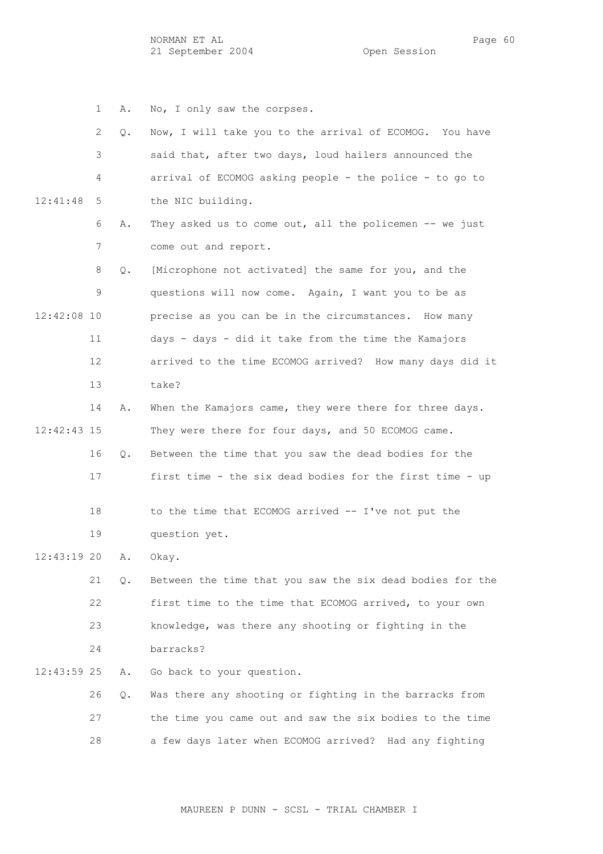1 A. No, I only saw the corpses.

12:41:48 5 the NIC building.

 2 Q. Now, I will take you to the arrival of ECOMOG. You have 3 said that, after two days, loud hailers announced the 4 arrival of ECOMOG asking people - the police - to go to

 6 A. They asked us to come out, all the policemen -- we just 7 come out and report.

 8 Q. [Microphone not activated] the same for you, and the 9 questions will now come. Again, I want you to be as 12:42:08 10 precise as you can be in the circumstances. How many 11 days - days - did it take from the time the Kamajors 12 arrived to the time ECOMOG arrived? How many days did it 13 take?

 14 A. When the Kamajors came, they were there for three days. 12:42:43 15 They were there for four days, and 50 ECOMOG came. 16 Q. Between the time that you saw the dead bodies for the 17 first time - the six dead bodies for the first time - up

 18 to the time that ECOMOG arrived -- I've not put the 19 question yet.

12:43:19 20 A. Okay.

 21 Q. Between the time that you saw the six dead bodies for the 22 first time to the time that ECOMOG arrived, to your own 23 knowledge, was there any shooting or fighting in the 24 barracks?

12:43:59 25 A. Go back to your question.

 26 Q. Was there any shooting or fighting in the barracks from 27 the time you came out and saw the six bodies to the time 28 a few days later when ECOMOG arrived? Had any fighting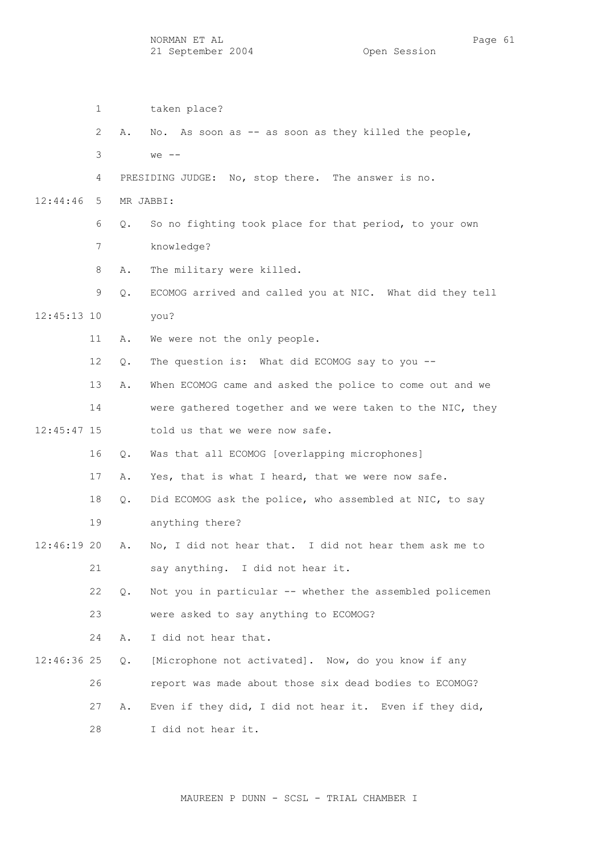1 taken place? 2 A. No. As soon as -- as soon as they killed the people, 3 we -- 4 PRESIDING JUDGE: No, stop there. The answer is no. 12:44:46 5 MR JABBI: 6 Q. So no fighting took place for that period, to your own 7 knowledge? 8 A. The military were killed. 9 Q. ECOMOG arrived and called you at NIC. What did they tell 12:45:13 10 you? 11 A. We were not the only people. 12 Q. The question is: What did ECOMOG say to you -- 13 A. When ECOMOG came and asked the police to come out and we 14 were gathered together and we were taken to the NIC, they 12:45:47 15 told us that we were now safe. 16 Q. Was that all ECOMOG [overlapping microphones] 17 A. Yes, that is what I heard, that we were now safe. 18 Q. Did ECOMOG ask the police, who assembled at NIC, to say 19 anything there? 12:46:19 20 A. No, I did not hear that. I did not hear them ask me to 21 say anything. I did not hear it. 22 Q. Not you in particular -- whether the assembled policemen 23 were asked to say anything to ECOMOG? 24 A. I did not hear that. 12:46:36 25 Q. [Microphone not activated]. Now, do you know if any 26 report was made about those six dead bodies to ECOMOG? 27 A. Even if they did, I did not hear it. Even if they did, 28 I did not hear it.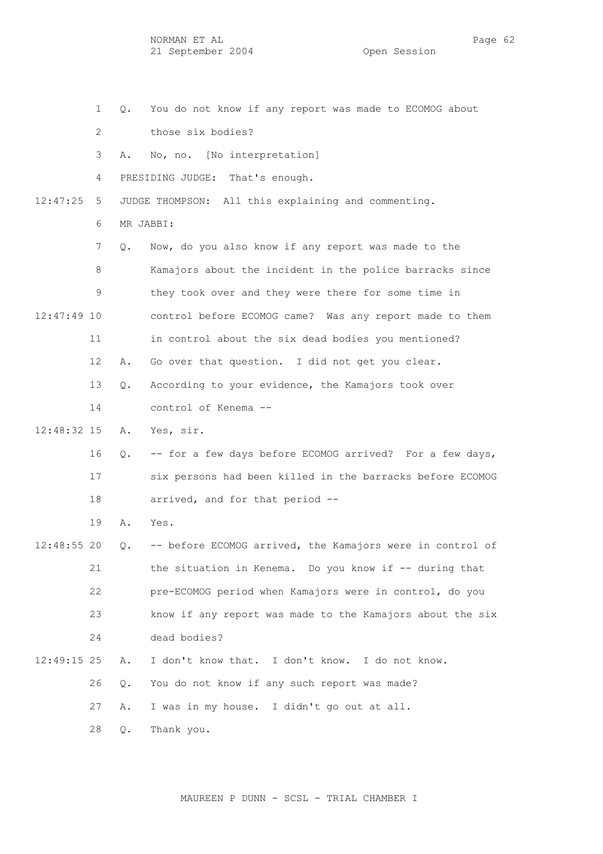- 1 Q. You do not know if any report was made to ECOMOG about
- 2 those six bodies?
- 3 A. No, no. [No interpretation]
- 4 PRESIDING JUDGE: That's enough.

12:47:25 5 JUDGE THOMPSON: All this explaining and commenting.

6 MR JABBI:

- 7 Q. Now, do you also know if any report was made to the 8 Kamajors about the incident in the police barracks since 9 they took over and they were there for some time in 12:47:49 10 control before ECOMOG came? Was any report made to them 11 in control about the six dead bodies you mentioned? 12 A. Go over that question. I did not get you clear. 13 Q. According to your evidence, the Kamajors took over
	- 14 control of Kenema --

12:48:32 15 A. Yes, sir.

- 16 Q. -- for a few days before ECOMOG arrived? For a few days, 17 six persons had been killed in the barracks before ECOMOG 18 arrived, and for that period --
	- 19 A. Yes.
- 12:48:55 20 Q. -- before ECOMOG arrived, the Kamajors were in control of 21 the situation in Kenema. Do you know if -- during that 22 pre-ECOMOG period when Kamajors were in control, do you 23 know if any report was made to the Kamajors about the six 24 dead bodies? 12:49:15 25 A. I don't know that. I don't know. I do not know.
	- 26 Q. You do not know if any such report was made?

27 A. I was in my house. I didn't go out at all.

28 Q. Thank you.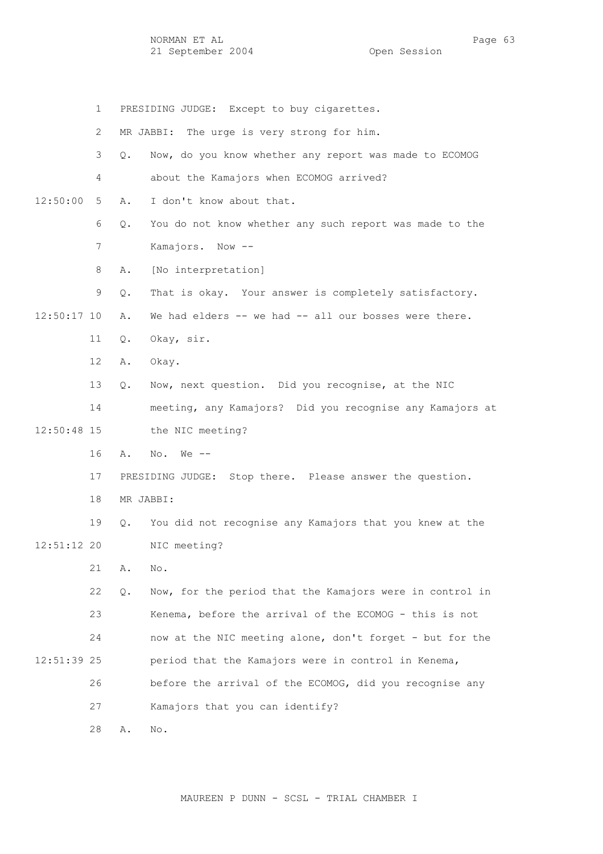NORMAN ET AL<br>21 September 2004 - Page 63 21 September 2004

 1 PRESIDING JUDGE: Except to buy cigarettes. 2 MR JABBI: The urge is very strong for him. 3 Q. Now, do you know whether any report was made to ECOMOG 4 about the Kamajors when ECOMOG arrived? 12:50:00 5 A. I don't know about that. 6 Q. You do not know whether any such report was made to the 7 Kamajors. Now -- 8 A. [No interpretation] 9 Q. That is okay. Your answer is completely satisfactory. 12:50:17 10 A. We had elders -- we had -- all our bosses were there. 11 Q. Okay, sir. 12 A. Okay. 13 Q. Now, next question. Did you recognise, at the NIC 14 meeting, any Kamajors? Did you recognise any Kamajors at 12:50:48 15 the NIC meeting? 16 A. No. We -- 17 PRESIDING JUDGE: Stop there. Please answer the question. 18 MR JABBI: 19 Q. You did not recognise any Kamajors that you knew at the 12:51:12 20 NIC meeting? 21 A. No. 22 Q. Now, for the period that the Kamajors were in control in 23 Kenema, before the arrival of the ECOMOG - this is not 24 now at the NIC meeting alone, don't forget - but for the 12:51:39 25 period that the Kamajors were in control in Kenema, 26 before the arrival of the ECOMOG, did you recognise any 27 Kamajors that you can identify? 28 A. No.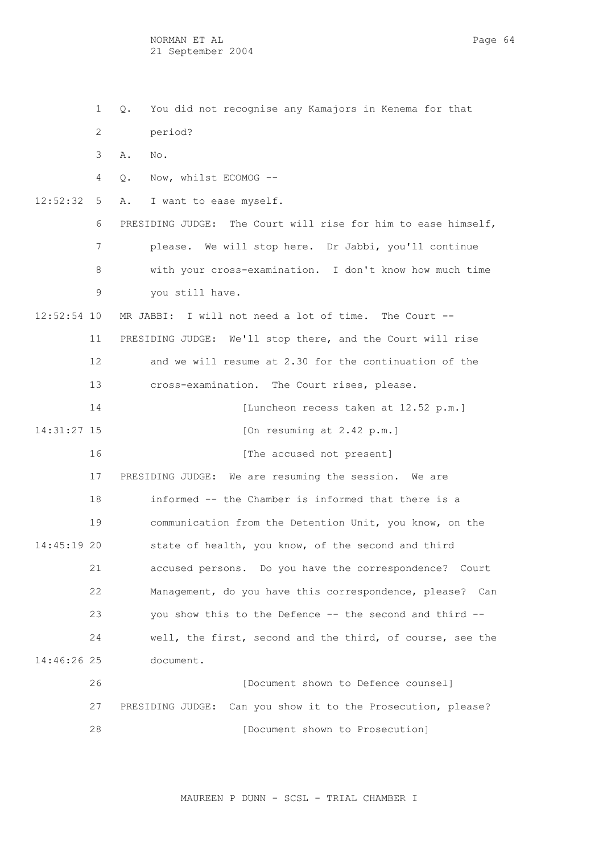1 Q. You did not recognise any Kamajors in Kenema for that 2 period? 3 A. No. 4 Q. Now, whilst ECOMOG -- 12:52:32 5 A. I want to ease myself. 6 PRESIDING JUDGE: The Court will rise for him to ease himself, 7 please. We will stop here. Dr Jabbi, you'll continue 8 with your cross-examination. I don't know how much time 9 you still have. 12:52:54 10 MR JABBI: I will not need a lot of time. The Court -- 11 PRESIDING JUDGE: We'll stop there, and the Court will rise 12 and we will resume at 2.30 for the continuation of the 13 cross-examination. The Court rises, please. 14 [Luncheon recess taken at 12.52 p.m.] 14:31:27 15 [On resuming at 2.42 p.m.] 16 **16** [The accused not present] 17 PRESIDING JUDGE: We are resuming the session. We are 18 informed -- the Chamber is informed that there is a 19 communication from the Detention Unit, you know, on the 14:45:19 20 state of health, you know, of the second and third 21 accused persons. Do you have the correspondence? Court 22 Management, do you have this correspondence, please? Can 23 you show this to the Defence -- the second and third -- 24 well, the first, second and the third, of course, see the 14:46:26 25 document. 26 [Document shown to Defence counsel] 27 PRESIDING JUDGE: Can you show it to the Prosecution, please? 28 [Document shown to Prosecution]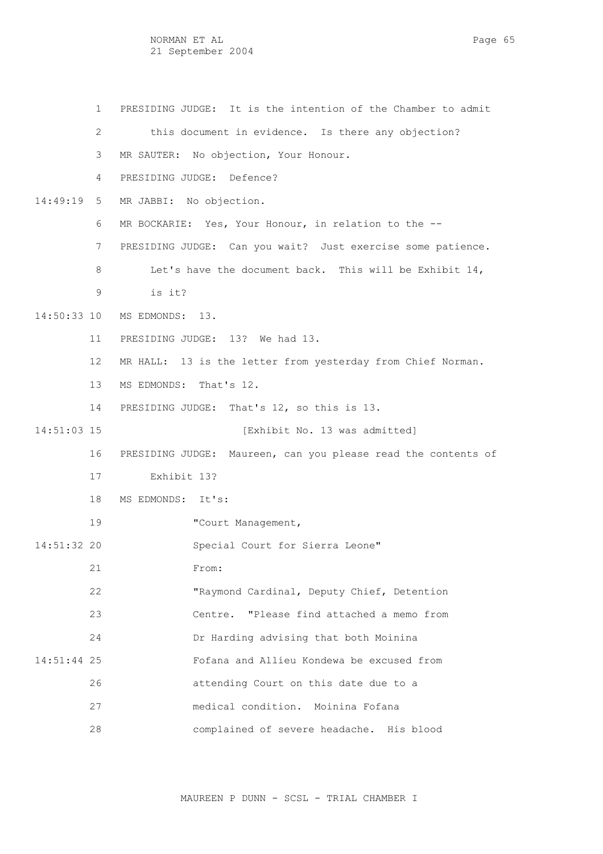1 PRESIDING JUDGE: It is the intention of the Chamber to admit 2 this document in evidence. Is there any objection? 3 MR SAUTER: No objection, Your Honour. 4 PRESIDING JUDGE: Defence? 14:49:19 5 MR JABBI: No objection. 6 MR BOCKARIE: Yes, Your Honour, in relation to the -- 7 PRESIDING JUDGE: Can you wait? Just exercise some patience. 8 Let's have the document back. This will be Exhibit 14, 9 is it? 14:50:33 10 MS EDMONDS: 13. 11 PRESIDING JUDGE: 13? We had 13. 12 MR HALL: 13 is the letter from yesterday from Chief Norman. 13 MS EDMONDS: That's 12. 14 PRESIDING JUDGE: That's 12, so this is 13. 14:51:03 15 [Exhibit No. 13 was admitted] 16 PRESIDING JUDGE: Maureen, can you please read the contents of 17 Exhibit 13? 18 MS EDMONDS: It's: 19 "Court Management, 14:51:32 20 Special Court for Sierra Leone" 21 From: 22 "Raymond Cardinal, Deputy Chief, Detention 23 Centre. "Please find attached a memo from 24 Dr Harding advising that both Moinina 14:51:44 25 Fofana and Allieu Kondewa be excused from 26 attending Court on this date due to a 27 medical condition. Moinina Fofana 28 complained of severe headache. His blood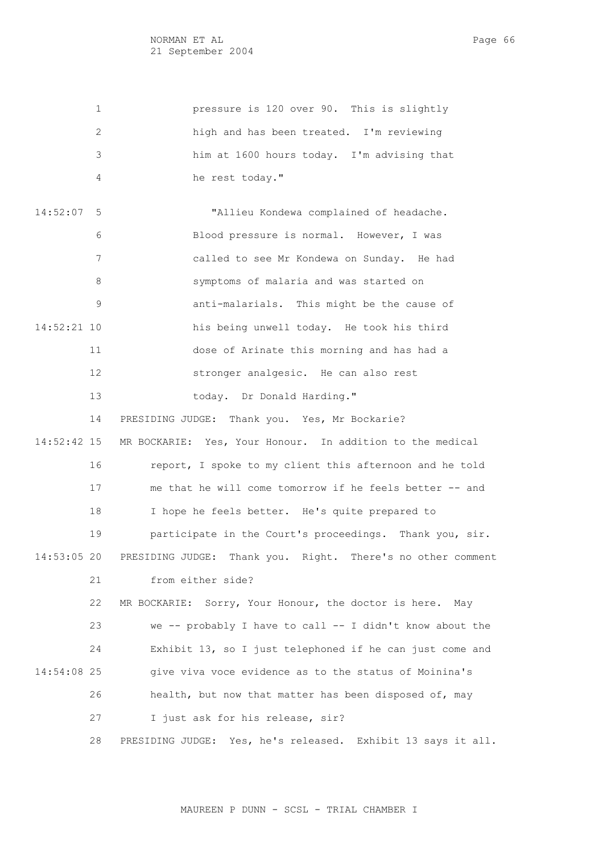| 1             | pressure is 120 over 90. This is slightly                    |
|---------------|--------------------------------------------------------------|
| 2             | high and has been treated. I'm reviewing                     |
| 3             | him at 1600 hours today. I'm advising that                   |
| 4             | he rest today."                                              |
|               |                                                              |
| $14:52:07$ 5  | "Allieu Kondewa complained of headache.                      |
| 6             | Blood pressure is normal. However, I was                     |
| 7             | called to see Mr Kondewa on Sunday. He had                   |
| 8             | symptoms of malaria and was started on                       |
| 9             | anti-malarials. This might be the cause of                   |
| 14:52:21 10   | his being unwell today. He took his third                    |
| 11            | dose of Arinate this morning and has had a                   |
| 12            | stronger analgesic. He can also rest                         |
| 13            | today. Dr Donald Harding."                                   |
| 14            | PRESIDING JUDGE: Thank you. Yes, Mr Bockarie?                |
| $14:52:42$ 15 | MR BOCKARIE: Yes, Your Honour. In addition to the medical    |
| 16            | report, I spoke to my client this afternoon and he told      |
| 17            | me that he will come tomorrow if he feels better -- and      |
| 18            | I hope he feels better. He's quite prepared to               |
| 19            | participate in the Court's proceedings. Thank you, sir.      |
| 14:53:05 20   | PRESIDING JUDGE: Thank you. Right. There's no other comment  |
| 21            | from either side?                                            |
| 22            | Sorry, Your Honour, the doctor is here. May<br>MR BOCKARIE:  |
| 23            | we -- probably I have to call -- I didn't know about the     |
| 24            | Exhibit 13, so I just telephoned if he can just come and     |
| 14:54:08 25   | give viva voce evidence as to the status of Moinina's        |
| 26            | health, but now that matter has been disposed of, may        |
| 27            | I just ask for his release, sir?                             |
| 28            | PRESIDING JUDGE: Yes, he's released. Exhibit 13 says it all. |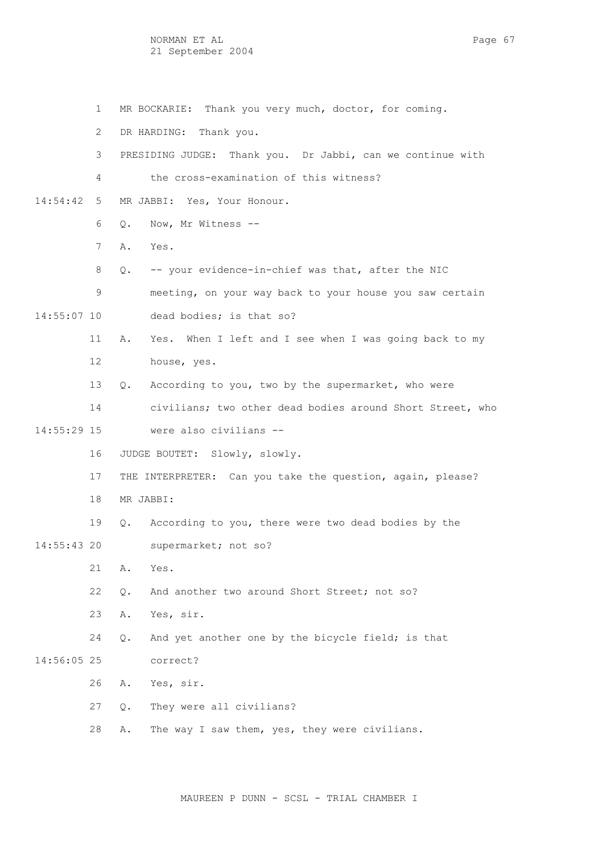NORMAN ET AL Page 67 21 September 2004

 1 MR BOCKARIE: Thank you very much, doctor, for coming. 2 DR HARDING: Thank you. 3 PRESIDING JUDGE: Thank you. Dr Jabbi, can we continue with 4 the cross-examination of this witness? 14:54:42 5 MR JABBI: Yes, Your Honour. 6 Q. Now, Mr Witness -- 7 A. Yes. 8 Q. -- your evidence-in-chief was that, after the NIC 9 meeting, on your way back to your house you saw certain 14:55:07 10 dead bodies; is that so? 11 A. Yes. When I left and I see when I was going back to my 12 house, yes. 13 Q. According to you, two by the supermarket, who were 14 civilians; two other dead bodies around Short Street, who 14:55:29 15 were also civilians -- 16 JUDGE BOUTET: Slowly, slowly. 17 THE INTERPRETER: Can you take the question, again, please? 18 MR JABBI: 19 Q. According to you, there were two dead bodies by the 14:55:43 20 supermarket; not so? 21 A. Yes. 22 Q. And another two around Short Street; not so? 23 A. Yes, sir. 24 Q. And yet another one by the bicycle field; is that 14:56:05 25 correct? 26 A. Yes, sir. 27 Q. They were all civilians?

28 A. The way I saw them, yes, they were civilians.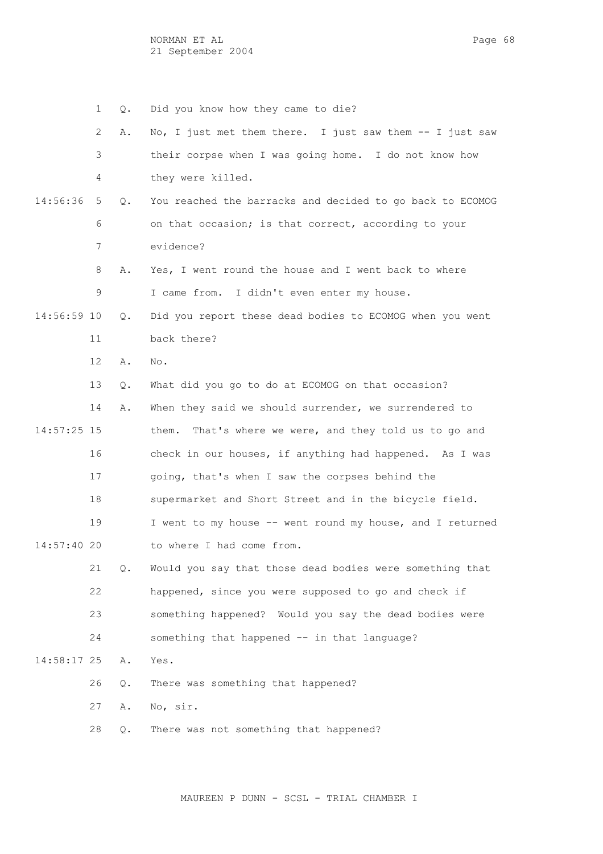1 Q. Did you know how they came to die? 2 A. No, I just met them there. I just saw them -- I just saw 3 their corpse when I was going home. I do not know how 4 they were killed. 14:56:36 5 Q. You reached the barracks and decided to go back to ECOMOG 6 on that occasion; is that correct, according to your 7 evidence? 8 A. Yes, I went round the house and I went back to where 9 I came from. I didn't even enter my house. 14:56:59 10 Q. Did you report these dead bodies to ECOMOG when you went 11 back there? 12 A. No. 13 Q. What did you go to do at ECOMOG on that occasion? 14 A. When they said we should surrender, we surrendered to 14:57:25 15 them. That's where we were, and they told us to go and 16 check in our houses, if anything had happened. As I was 17 going, that's when I saw the corpses behind the 18 supermarket and Short Street and in the bicycle field. 19 I went to my house -- went round my house, and I returned 14:57:40 20 to where I had come from. 21 Q. Would you say that those dead bodies were something that 22 happened, since you were supposed to go and check if 23 something happened? Would you say the dead bodies were 24 something that happened -- in that language? 14:58:17 25 A. Yes. 26 Q. There was something that happened? 27 A. No, sir. 28 Q. There was not something that happened?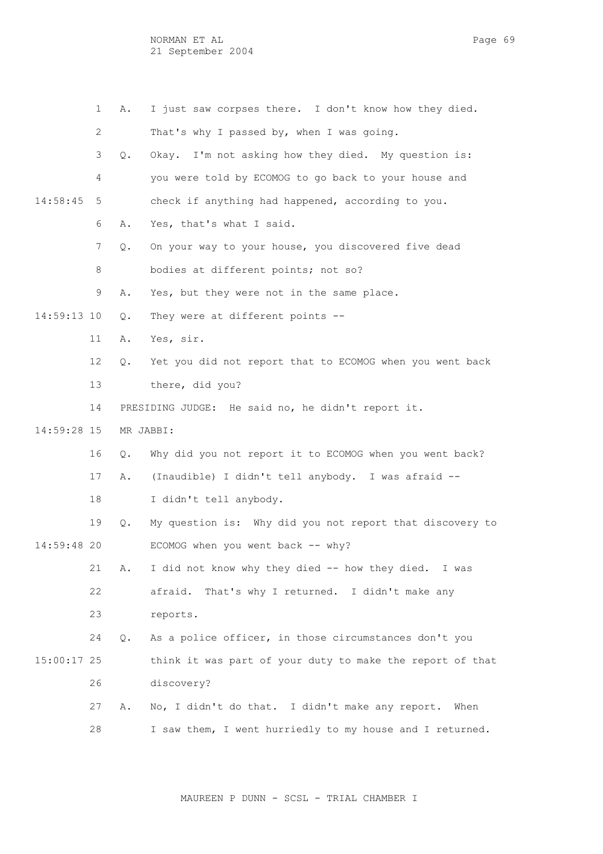NORMAN ET AL PAGE 69 21 September 2004

 1 A. I just saw corpses there. I don't know how they died. 2 That's why I passed by, when I was going. 3 Q. Okay. I'm not asking how they died. My question is: 4 you were told by ECOMOG to go back to your house and 14:58:45 5 check if anything had happened, according to you. 6 A. Yes, that's what I said. 7 Q. On your way to your house, you discovered five dead 8 bodies at different points; not so? 9 A. Yes, but they were not in the same place. 14:59:13 10 Q. They were at different points -- 11 A. Yes, sir. 12 Q. Yet you did not report that to ECOMOG when you went back 13 there, did you? 14 PRESIDING JUDGE: He said no, he didn't report it. 14:59:28 15 MR JABBI: 16 Q. Why did you not report it to ECOMOG when you went back? 17 A. (Inaudible) I didn't tell anybody. I was afraid -- 18 I didn't tell anybody. 19 Q. My question is: Why did you not report that discovery to 14:59:48 20 ECOMOG when you went back -- why? 21 A. I did not know why they died -- how they died. I was 22 afraid. That's why I returned. I didn't make any 23 reports. 24 Q. As a police officer, in those circumstances don't you 15:00:17 25 think it was part of your duty to make the report of that 26 discovery? 27 A. No, I didn't do that. I didn't make any report. When 28 I saw them, I went hurriedly to my house and I returned.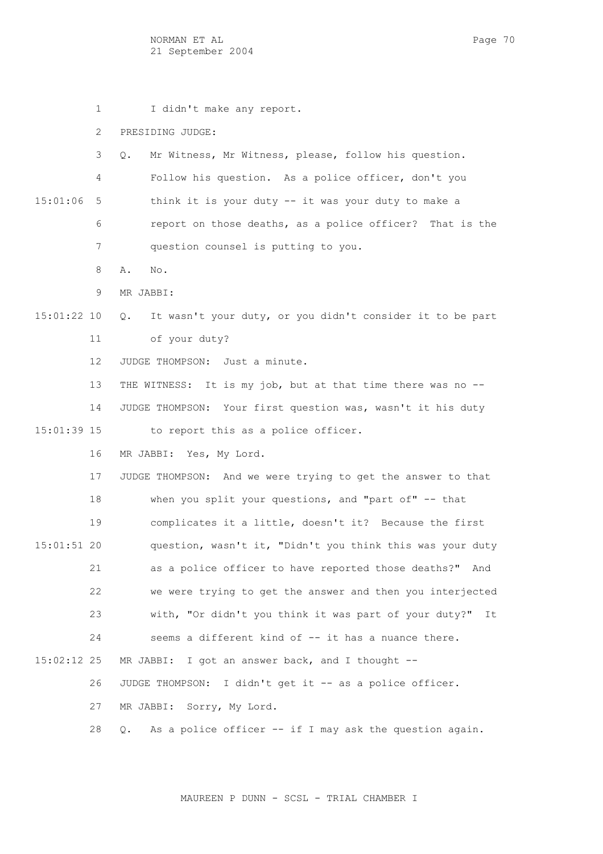NORMAN ET AL PAGE 70 21 September 2004

1 I didn't make any report.

2 PRESIDING JUDGE:

 3 Q. Mr Witness, Mr Witness, please, follow his question. 4 Follow his question. As a police officer, don't you 15:01:06 5 think it is your duty -- it was your duty to make a 6 report on those deaths, as a police officer? That is the 7 question counsel is putting to you.

8 A. No.

9 MR JABBI:

 15:01:22 10 Q. It wasn't your duty, or you didn't consider it to be part 11 of your duty?

12 JUDGE THOMPSON: Just a minute.

 13 THE WITNESS: It is my job, but at that time there was no -- 14 JUDGE THOMPSON: Your first question was, wasn't it his duty 15:01:39 15 to report this as a police officer.

16 MR JABBI: Yes, My Lord.

 17 JUDGE THOMPSON: And we were trying to get the answer to that 18 when you split your questions, and "part of" -- that 19 complicates it a little, doesn't it? Because the first 15:01:51 20 question, wasn't it, "Didn't you think this was your duty 21 as a police officer to have reported those deaths?" And 22 we were trying to get the answer and then you interjected 23 with, "Or didn't you think it was part of your duty?" It 24 seems a different kind of -- it has a nuance there. 15:02:12 25 MR JABBI: I got an answer back, and I thought -- 26 JUDGE THOMPSON: I didn't get it -- as a police officer. 27 MR JABBI: Sorry, My Lord.

28 Q. As a police officer -- if I may ask the question again.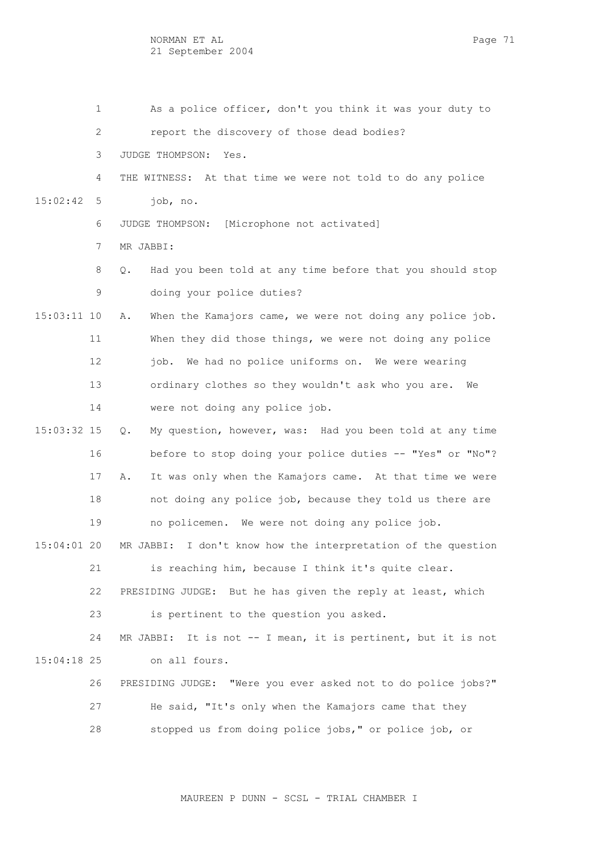| 1             | As a police officer, don't you think it was your duty to          |
|---------------|-------------------------------------------------------------------|
| $\mathbf{2}$  | report the discovery of those dead bodies?                        |
| 3             | JUDGE THOMPSON:<br>Yes.                                           |
| 4             | THE WITNESS: At that time we were not told to do any police       |
| 15:02:42<br>5 | job, no.                                                          |
| 6             | JUDGE THOMPSON: [Microphone not activated]                        |
| 7             | MR JABBI:                                                         |
| 8             | Had you been told at any time before that you should stop<br>Q.   |
| 9             | doing your police duties?                                         |
| $15:03:11$ 10 | When the Kamajors came, we were not doing any police job.<br>Α.   |
| 11            | When they did those things, we were not doing any police          |
| 12            | job. We had no police uniforms on. We were wearing                |
| 13            | ordinary clothes so they wouldn't ask who you are. We             |
| 14            | were not doing any police job.                                    |
| 15:03:32 15   | My question, however, was: Had you been told at any time<br>$Q$ . |
| 16            | before to stop doing your police duties -- "Yes" or "No"?         |
| 17            | It was only when the Kamajors came. At that time we were<br>Α.    |
| 18            | not doing any police job, because they told us there are          |
| 19            | no policemen. We were not doing any police job.                   |
| $15:04:01$ 20 | I don't know how the interpretation of the question<br>MR JABBI:  |
| 21            | is reaching him, because I think it's quite clear.                |
| 22            | PRESIDING JUDGE: But he has given the reply at least, which       |
| 23            | is pertinent to the question you asked.                           |
| 24            | It is not -- I mean, it is pertinent, but it is not<br>MR JABBI:  |
| 15:04:18 25   | on all fours.                                                     |
| 26            | PRESIDING JUDGE: "Were you ever asked not to do police jobs?"     |
| 27            | He said, "It's only when the Kamajors came that they              |
| 28            | stopped us from doing police jobs," or police job, or             |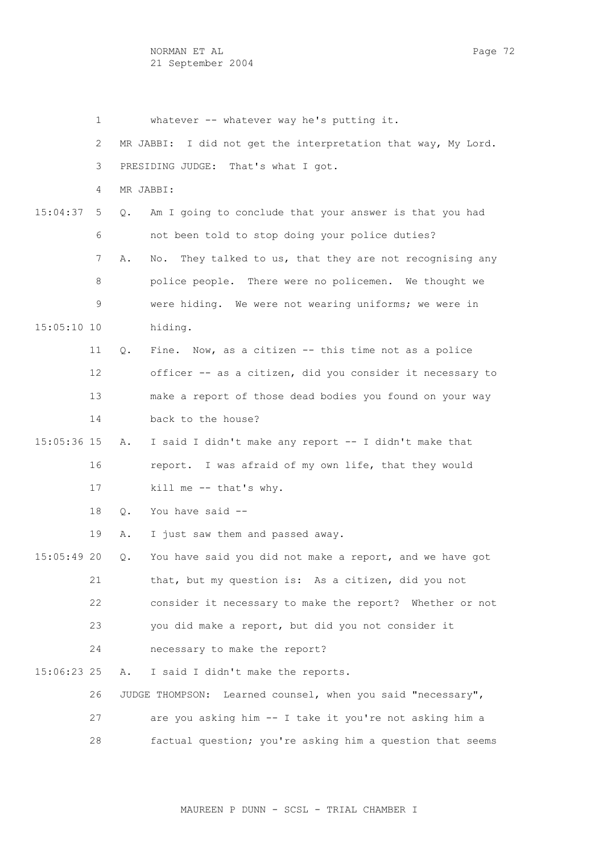|               | 1  | whatever -- whatever way he's putting it.                             |
|---------------|----|-----------------------------------------------------------------------|
|               | 2  | MR JABBI: I did not get the interpretation that way, My Lord.         |
|               | 3  | PRESIDING JUDGE:<br>That's what I got.                                |
|               | 4  | MR JABBI:                                                             |
| 15:04:37      | 5  | Am I going to conclude that your answer is that you had<br>Q.         |
|               | 6  | not been told to stop doing your police duties?                       |
|               | 7  | No. They talked to us, that they are not recognising any<br>Α.        |
|               | 8  | police people. There were no policemen. We thought we                 |
|               | 9  | were hiding. We were not wearing uniforms; we were in                 |
| $15:05:10$ 10 |    | hiding.                                                               |
|               | 11 | Fine. Now, as a citizen -- this time not as a police<br>$Q_{\bullet}$ |
|               | 12 | officer -- as a citizen, did you consider it necessary to             |
|               | 13 | make a report of those dead bodies you found on your way              |
|               | 14 | back to the house?                                                    |
| $15:05:36$ 15 |    | I said I didn't make any report -- I didn't make that<br>Α.           |
|               | 16 | report. I was afraid of my own life, that they would                  |
|               | 17 | kill me -- that's why.                                                |
|               | 18 | You have said --<br>Q.                                                |
|               | 19 | I just saw them and passed away.<br>Α.                                |
| $15:05:49$ 20 |    | You have said you did not make a report, and we have got<br>$Q$ .     |
|               | 21 | that, but my question is: As a citizen, did you not                   |
|               | 22 | consider it necessary to make the report? Whether or not              |
|               | 23 | you did make a report, but did you not consider it                    |
|               | 24 | necessary to make the report?                                         |
| $15:06:23$ 25 |    | I said I didn't make the reports.<br>Α.                               |
|               | 26 | JUDGE THOMPSON: Learned counsel, when you said "necessary",           |
|               | 27 | are you asking him -- I take it you're not asking him a               |
|               | 28 | factual question; you're asking him a question that seems             |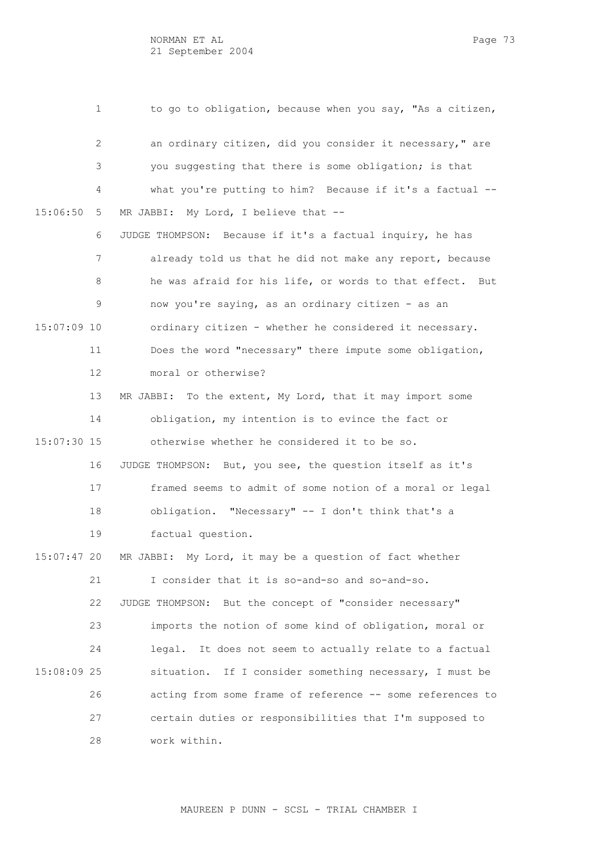|             | 1  | to go to obligation, because when you say, "As a citizen,  |
|-------------|----|------------------------------------------------------------|
|             | 2  | an ordinary citizen, did you consider it necessary," are   |
|             | 3  | you suggesting that there is some obligation; is that      |
|             | 4  | what you're putting to him? Because if it's a factual --   |
| 15:06:50    | 5  | MR JABBI: My Lord, I believe that --                       |
|             | 6  | JUDGE THOMPSON: Because if it's a factual inquiry, he has  |
|             | 7  | already told us that he did not make any report, because   |
|             | 8  | he was afraid for his life, or words to that effect. But   |
|             | 9  | now you're saying, as an ordinary citizen - as an          |
| 15:07:09 10 |    | ordinary citizen - whether he considered it necessary.     |
|             | 11 | Does the word "necessary" there impute some obligation,    |
|             | 12 | moral or otherwise?                                        |
|             | 13 | MR JABBI: To the extent, My Lord, that it may import some  |
|             | 14 | obligation, my intention is to evince the fact or          |
| 15:07:30 15 |    | otherwise whether he considered it to be so.               |
|             | 16 | JUDGE THOMPSON: But, you see, the question itself as it's  |
|             | 17 | framed seems to admit of some notion of a moral or legal   |
|             | 18 | obligation. "Necessary" -- I don't think that's a          |
|             | 19 | factual question.                                          |
| 15:07:47 20 |    | MR JABBI: My Lord, it may be a question of fact whether    |
|             | 21 | I consider that it is so-and-so and so-and-so.             |
|             | 22 | But the concept of "consider necessary"<br>JUDGE THOMPSON: |
|             | 23 | imports the notion of some kind of obligation, moral or    |
|             | 24 | It does not seem to actually relate to a factual<br>legal. |
| 15:08:09 25 |    | situation.<br>If I consider something necessary, I must be |
|             | 26 | acting from some frame of reference -- some references to  |
|             | 27 | certain duties or responsibilities that I'm supposed to    |
|             | 28 | work within.                                               |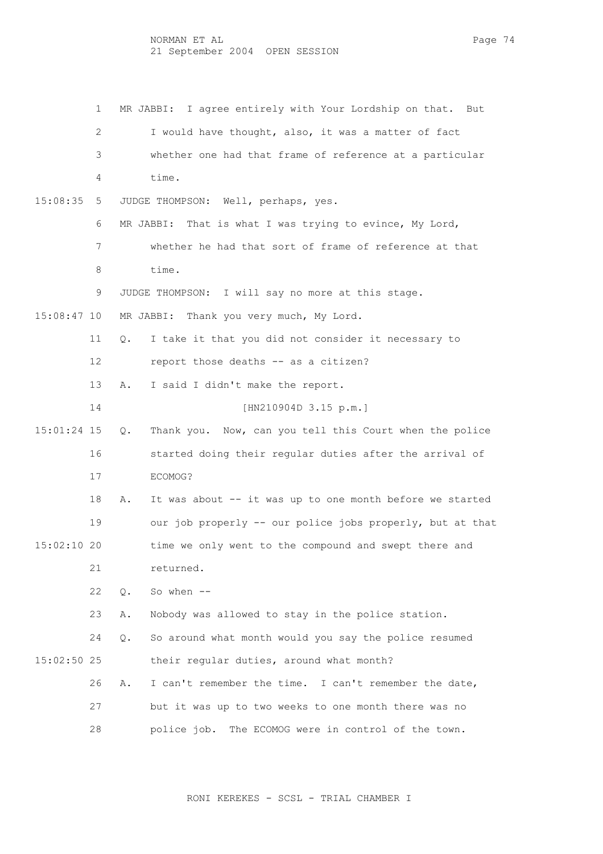|               | 1  | MR JABBI: I agree entirely with Your Lordship on that. But     |
|---------------|----|----------------------------------------------------------------|
|               | 2  | I would have thought, also, it was a matter of fact            |
|               | 3  | whether one had that frame of reference at a particular        |
|               | 4  | time.                                                          |
| 15:08:35      | 5  | JUDGE THOMPSON: Well, perhaps, yes.                            |
|               | 6  | MR JABBI: That is what I was trying to evince, My Lord,        |
|               | 7  | whether he had that sort of frame of reference at that         |
|               | 8  | time.                                                          |
|               | 9  | JUDGE THOMPSON: I will say no more at this stage.              |
| $15:08:47$ 10 |    | MR JABBI: Thank you very much, My Lord.                        |
|               | 11 | I take it that you did not consider it necessary to<br>Q.      |
|               | 12 | report those deaths -- as a citizen?                           |
|               | 13 | I said I didn't make the report.<br>Α.                         |
|               | 14 | [HN210904D 3.15 p.m.]                                          |
| $15:01:24$ 15 |    | Thank you. Now, can you tell this Court when the police<br>Q.  |
|               | 16 | started doing their regular duties after the arrival of        |
|               | 17 | ECOMOG?                                                        |
|               | 18 | It was about -- it was up to one month before we started<br>Α. |
|               | 19 | our job properly -- our police jobs properly, but at that      |
| $15:02:10$ 20 |    | time we only went to the compound and swept there and          |
|               | 21 | returned.                                                      |
|               | 22 | So when $--$<br>$Q$ .                                          |
|               | 23 | Nobody was allowed to stay in the police station.<br>Α.        |
|               | 24 | So around what month would you say the police resumed<br>Q.    |
| $15:02:50$ 25 |    | their regular duties, around what month?                       |
|               | 26 | I can't remember the time. I can't remember the date,<br>Α.    |
|               | 27 | but it was up to two weeks to one month there was no           |
|               | 28 | police job. The ECOMOG were in control of the town.            |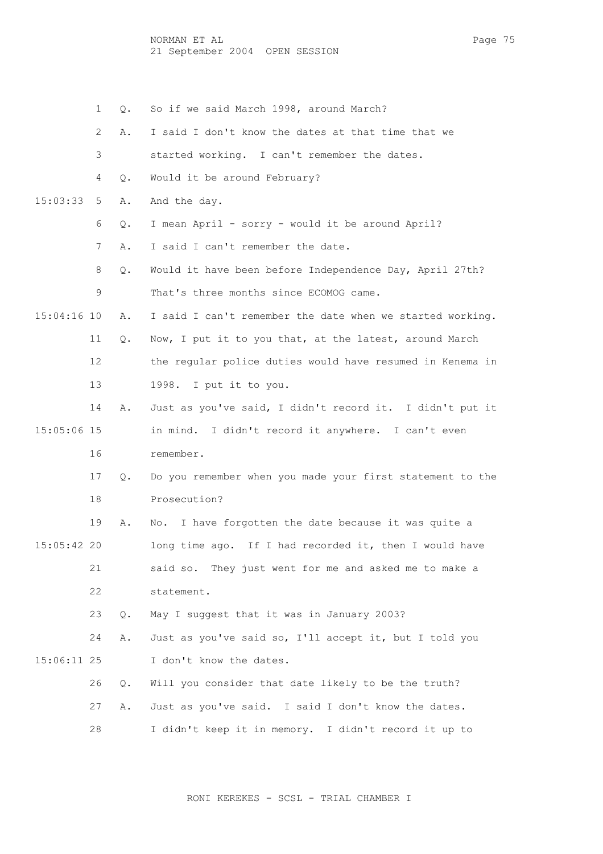NORMAN ET AL PAGE 75 21 September 2004 OPEN SESSION

 1 Q. So if we said March 1998, around March? 2 A. I said I don't know the dates at that time that we 3 started working. I can't remember the dates. 4 Q. Would it be around February? 15:03:33 5 A. And the day. 6 Q. I mean April - sorry - would it be around April? 7 A. I said I can't remember the date. 8 Q. Would it have been before Independence Day, April 27th? 9 That's three months since ECOMOG came. 15:04:16 10 A. I said I can't remember the date when we started working. 11 Q. Now, I put it to you that, at the latest, around March 12 the regular police duties would have resumed in Kenema in 13 1998. I put it to you. 14 A. Just as you've said, I didn't record it. I didn't put it 15:05:06 15 in mind. I didn't record it anywhere. I can't even 16 remember. 17 Q. Do you remember when you made your first statement to the 18 Prosecution? 19 A. No. I have forgotten the date because it was quite a 15:05:42 20 long time ago. If I had recorded it, then I would have 21 said so. They just went for me and asked me to make a 22 statement. 23 Q. May I suggest that it was in January 2003? 24 A. Just as you've said so, I'll accept it, but I told you 15:06:11 25 I don't know the dates. 26 Q. Will you consider that date likely to be the truth? 27 A. Just as you've said. I said I don't know the dates. 28 I didn't keep it in memory. I didn't record it up to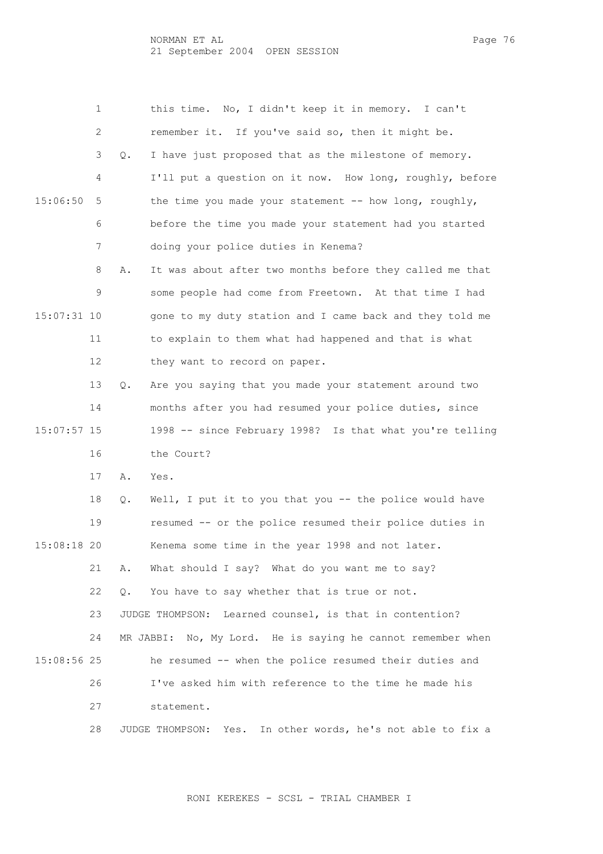NORMAN ET AL Page 76 21 September 2004 OPEN SESSION

|               | 1  |    | this time. No, I didn't keep it in memory. I can't                |
|---------------|----|----|-------------------------------------------------------------------|
|               | 2  |    | remember it. If you've said so, then it might be.                 |
|               | 3  | Q. | I have just proposed that as the milestone of memory.             |
|               | 4  |    | I'll put a question on it now. How long, roughly, before          |
| 15:06:50      | 5  |    | the time you made your statement -- how long, roughly,            |
|               | 6  |    | before the time you made your statement had you started           |
|               | 7  |    | doing your police duties in Kenema?                               |
|               | 8  | Α. | It was about after two months before they called me that          |
|               | 9  |    | some people had come from Freetown. At that time I had            |
| 15:07:31 10   |    |    | gone to my duty station and I came back and they told me          |
|               | 11 |    | to explain to them what had happened and that is what             |
|               | 12 |    | they want to record on paper.                                     |
|               | 13 | Q. | Are you saying that you made your statement around two            |
|               | 14 |    | months after you had resumed your police duties, since            |
| $15:07:57$ 15 |    |    | 1998 -- since February 1998? Is that what you're telling          |
|               | 16 |    | the Court?                                                        |
|               | 17 | Α. | Yes.                                                              |
|               | 18 | Q. | Well, I put it to you that you -- the police would have           |
|               | 19 |    | resumed -- or the police resumed their police duties in           |
| 15:08:18 20   |    |    | Kenema some time in the year 1998 and not later.                  |
|               | 21 | Α. | What should I say? What do you want me to say?                    |
|               | 22 | Q. | You have to say whether that is true or not.                      |
|               | 23 |    | JUDGE THOMPSON: Learned counsel, is that in contention?           |
|               | 24 |    | MR JABBI: No, My Lord. He is saying he cannot remember when       |
| $15:08:56$ 25 |    |    | he resumed -- when the police resumed their duties and            |
|               | 26 |    | I've asked him with reference to the time he made his             |
|               | 27 |    | statement.                                                        |
|               | 28 |    | JUDGE THOMPSON:<br>Yes.<br>In other words, he's not able to fix a |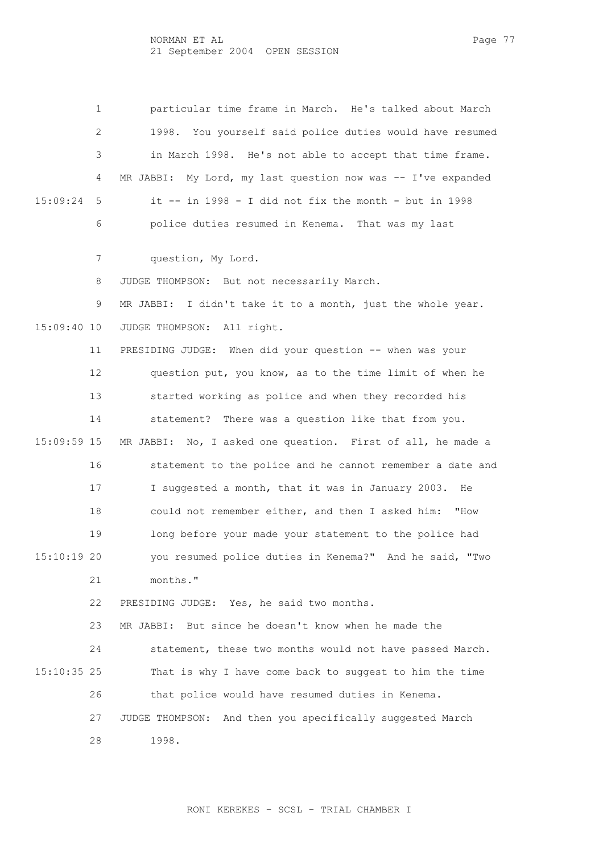NORMAN ET AL PAGE 77 21 September 2004 OPEN SESSION

 1 particular time frame in March. He's talked about March 2 1998. You yourself said police duties would have resumed 3 in March 1998. He's not able to accept that time frame. 4 MR JABBI: My Lord, my last question now was -- I've expanded 15:09:24 5 it -- in 1998 - I did not fix the month - but in 1998 6 police duties resumed in Kenema. That was my last

7 question, My Lord.

8 JUDGE THOMPSON: But not necessarily March.

 9 MR JABBI: I didn't take it to a month, just the whole year. 15:09:40 10 JUDGE THOMPSON: All right.

 11 PRESIDING JUDGE: When did your question -- when was your 12 question put, you know, as to the time limit of when he 13 started working as police and when they recorded his 14 statement? There was a question like that from you. 15:09:59 15 MR JABBI: No, I asked one question. First of all, he made a 16 statement to the police and he cannot remember a date and 17 I suggested a month, that it was in January 2003. He 18 could not remember either, and then I asked him: "How 19 long before your made your statement to the police had 15:10:19 20 you resumed police duties in Kenema?" And he said, "Two 21 months."

22 PRESIDING JUDGE: Yes, he said two months.

 23 MR JABBI: But since he doesn't know when he made the 24 statement, these two months would not have passed March. 15:10:35 25 That is why I have come back to suggest to him the time 26 that police would have resumed duties in Kenema. 27 JUDGE THOMPSON: And then you specifically suggested March 28 1998.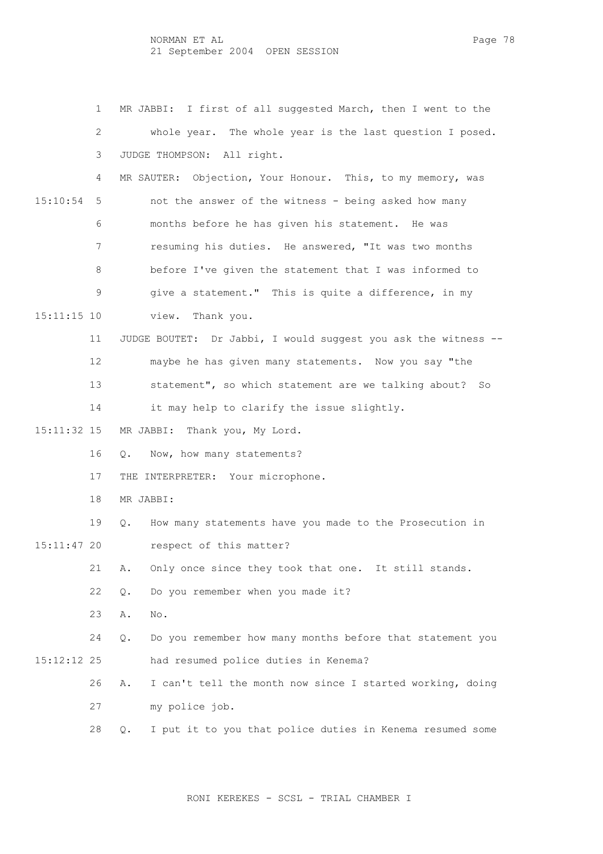NORMAN ET AL PAGE 78 21 September 2004 OPEN SESSION

 1 MR JABBI: I first of all suggested March, then I went to the 2 whole year. The whole year is the last question I posed. 3 JUDGE THOMPSON: All right. 4 MR SAUTER: Objection, Your Honour. This, to my memory, was 15:10:54 5 not the answer of the witness - being asked how many 6 months before he has given his statement. He was 7 resuming his duties. He answered, "It was two months 8 before I've given the statement that I was informed to 9 give a statement." This is quite a difference, in my 15:11:15 10 view. Thank you. 11 JUDGE BOUTET: Dr Jabbi, I would suggest you ask the witness -- 12 maybe he has given many statements. Now you say "the 13 statement", so which statement are we talking about? So 14 it may help to clarify the issue slightly. 15:11:32 15 MR JABBI: Thank you, My Lord. 16 Q. Now, how many statements? 17 THE INTERPRETER: Your microphone. 18 MR JABBI: 19 Q. How many statements have you made to the Prosecution in 15:11:47 20 respect of this matter? 21 A. Only once since they took that one. It still stands. 22 Q. Do you remember when you made it? 23 A. No. 24 Q. Do you remember how many months before that statement you 15:12:12 25 had resumed police duties in Kenema? 26 A. I can't tell the month now since I started working, doing 27 my police job. 28 Q. I put it to you that police duties in Kenema resumed some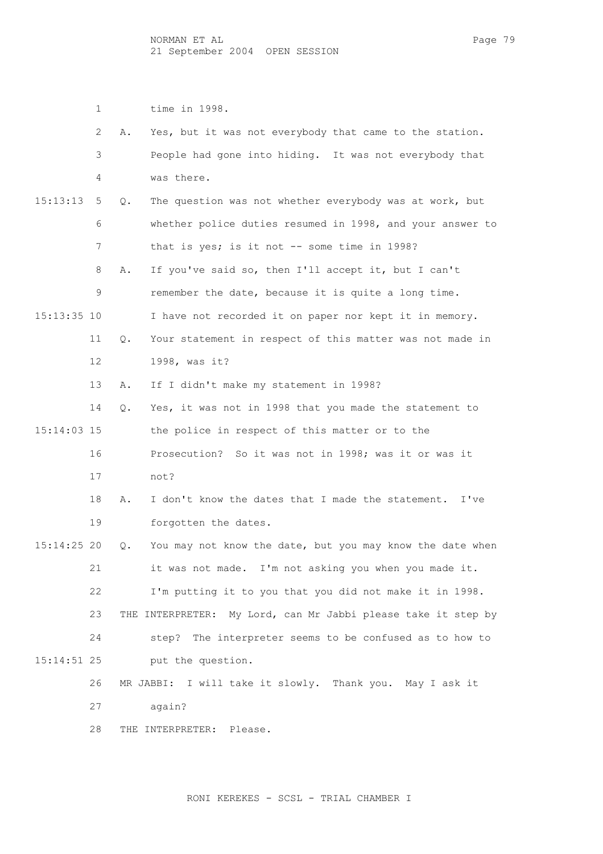1 time in 1998. 2 A. Yes, but it was not everybody that came to the station. 3 People had gone into hiding. It was not everybody that 4 was there. 15:13:13 5 Q. The question was not whether everybody was at work, but 6 whether police duties resumed in 1998, and your answer to 7 that is yes; is it not -- some time in 1998? 8 A. If you've said so, then I'll accept it, but I can't 9 remember the date, because it is quite a long time. 15:13:35 10 I have not recorded it on paper nor kept it in memory. 11 Q. Your statement in respect of this matter was not made in 12 1998, was it? 13 A. If I didn't make my statement in 1998? 14 Q. Yes, it was not in 1998 that you made the statement to 15:14:03 15 the police in respect of this matter or to the 16 Prosecution? So it was not in 1998; was it or was it 17 not? 18 A. I don't know the dates that I made the statement. I've 19 forgotten the dates. 15:14:25 20 Q. You may not know the date, but you may know the date when 21 it was not made. I'm not asking you when you made it. 22 I'm putting it to you that you did not make it in 1998. 23 THE INTERPRETER: My Lord, can Mr Jabbi please take it step by 24 step? The interpreter seems to be confused as to how to 15:14:51 25 put the question. 26 MR JABBI: I will take it slowly. Thank you. May I ask it 27 again? 28 THE INTERPRETER: Please.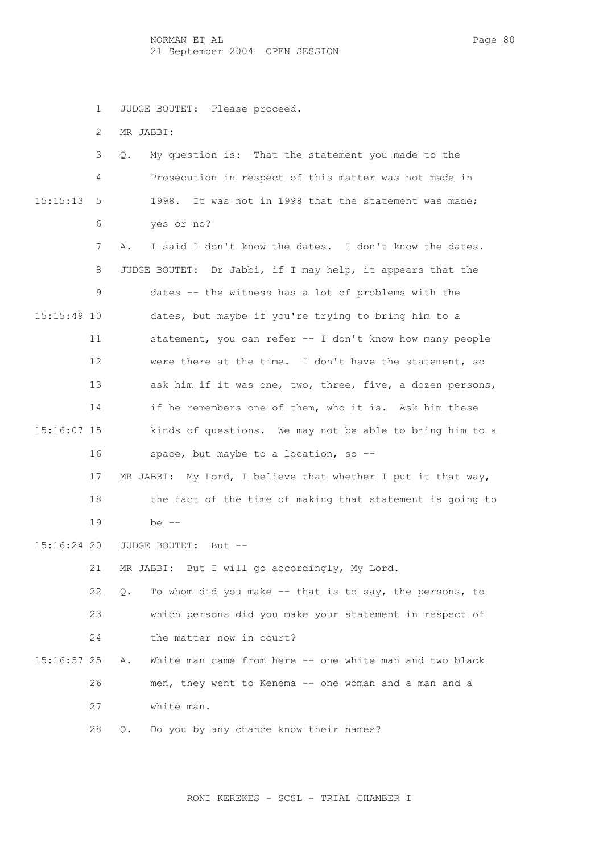1 JUDGE BOUTET: Please proceed.

2 MR JABBI:

|               | 3                 | My question is: That the statement you made to the<br>Q.      |
|---------------|-------------------|---------------------------------------------------------------|
| 15:15:13      | 4                 | Prosecution in respect of this matter was not made in         |
|               | 5                 | It was not in 1998 that the statement was made;<br>1998.      |
|               | 6                 | yes or no?                                                    |
|               | 7                 | I said I don't know the dates. I don't know the dates.<br>Α.  |
|               | 8                 | JUDGE BOUTET: Dr Jabbi, if I may help, it appears that the    |
|               | 9                 | dates -- the witness has a lot of problems with the           |
| $15:15:49$ 10 |                   | dates, but maybe if you're trying to bring him to a           |
|               | 11                | statement, you can refer -- I don't know how many people      |
|               | $12 \overline{ }$ | were there at the time. I don't have the statement, so        |
|               | 13                | ask him if it was one, two, three, five, a dozen persons,     |
|               | 14                | if he remembers one of them, who it is. Ask him these         |
| 15:16:07 15   |                   | kinds of questions. We may not be able to bring him to a      |
|               | 16                | space, but maybe to a location, so --                         |
|               | 17                | MR JABBI: My Lord, I believe that whether I put it that way,  |
|               | 18                | the fact of the time of making that statement is going to     |
|               | 19                | be $--$                                                       |
| 15:16:24 20   |                   | JUDGE BOUTET:<br>But --                                       |
|               | 21                | MR JABBI: But I will go accordingly, My Lord.                 |
|               | 22                | To whom did you make -- that is to say, the persons, to<br>Q. |
|               | 23                | which persons did you make your statement in respect of       |
|               | 24                | the matter now in court?                                      |
| $15:16:57$ 25 |                   | White man came from here -- one white man and two black<br>Α. |
|               | 26                | men, they went to Kenema -- one woman and a man and a         |
|               | 27                | white man.                                                    |

28 Q. Do you by any chance know their names?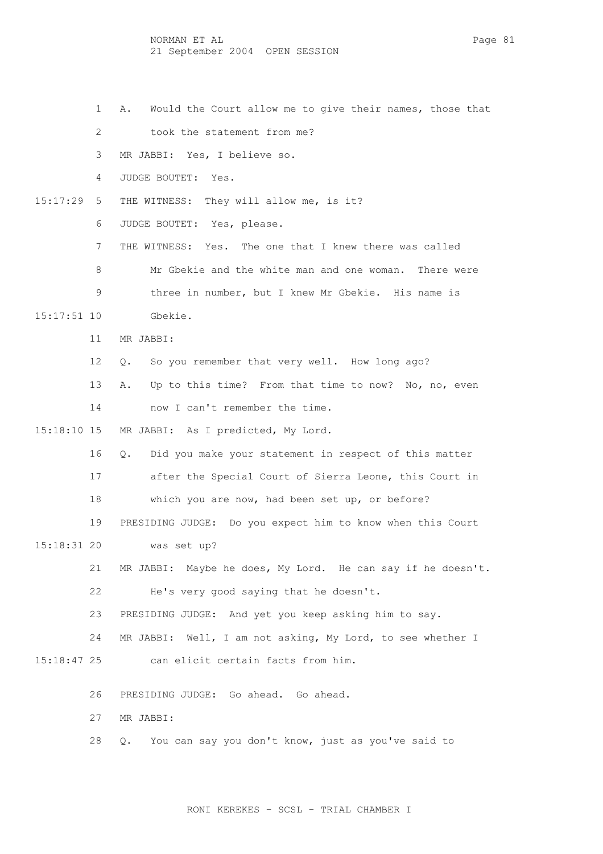- 1 A. Would the Court allow me to give their names, those that
- 2 took the statement from me?
- 3 MR JABBI: Yes, I believe so.
- 4 JUDGE BOUTET: Yes.
- 15:17:29 5 THE WITNESS: They will allow me, is it?
	- 6 JUDGE BOUTET: Yes, please.
	- 7 THE WITNESS: Yes. The one that I knew there was called
	- 8 Mr Gbekie and the white man and one woman. There were
	- 9 three in number, but I knew Mr Gbekie. His name is
- 15:17:51 10 Gbekie.
	- 11 MR JABBI:
	- 12 Q. So you remember that very well. How long ago?
	- 13 A. Up to this time? From that time to now? No, no, even
	- 14 now I can't remember the time.
- 15:18:10 15 MR JABBI: As I predicted, My Lord.
	- 16 Q. Did you make your statement in respect of this matter 17 after the Special Court of Sierra Leone, this Court in 18 which you are now, had been set up, or before?
- 19 PRESIDING JUDGE: Do you expect him to know when this Court 15:18:31 20 was set up?
	- 21 MR JABBI: Maybe he does, My Lord. He can say if he doesn't. 22 He's very good saying that he doesn't.
	- 23 PRESIDING JUDGE: And yet you keep asking him to say.
	- 24 MR JABBI: Well, I am not asking, My Lord, to see whether I
- 15:18:47 25 can elicit certain facts from him.
	- 26 PRESIDING JUDGE: Go ahead. Go ahead.
	- 27 MR JABBI:
	- 28 Q. You can say you don't know, just as you've said to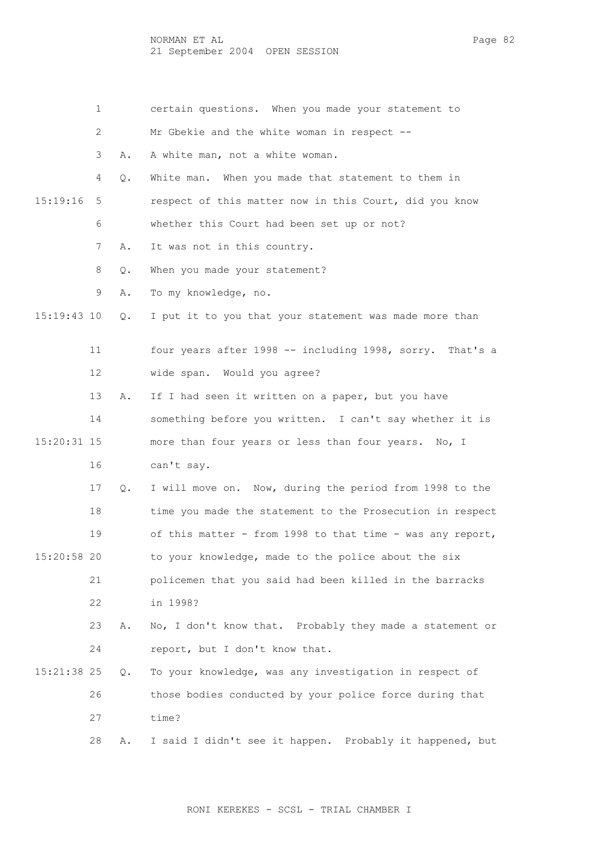NORMAN ET AL PAGE 82 21 September 2004 OPEN SESSION

 1 certain questions. When you made your statement to 2 Mr Gbekie and the white woman in respect -- 3 A. A white man, not a white woman. 4 Q. White man. When you made that statement to them in 15:19:16 5 respect of this matter now in this Court, did you know 6 whether this Court had been set up or not? 7 A. It was not in this country. 8 Q. When you made your statement? 9 A. To my knowledge, no. 15:19:43 10 Q. I put it to you that your statement was made more than 11 four years after 1998 -- including 1998, sorry. That's a 12 wide span. Would you agree? 13 A. If I had seen it written on a paper, but you have 14 something before you written. I can't say whether it is 15:20:31 15 more than four years or less than four years. No, I 16 can't say. 17 Q. I will move on. Now, during the period from 1998 to the 18 time you made the statement to the Prosecution in respect 19 of this matter - from 1998 to that time - was any report, 15:20:58 20 to your knowledge, made to the police about the six 21 policemen that you said had been killed in the barracks 22 in 1998? 23 A. No, I don't know that. Probably they made a statement or 24 report, but I don't know that. 15:21:38 25 Q. To your knowledge, was any investigation in respect of 26 those bodies conducted by your police force during that 27 time? 28 A. I said I didn't see it happen. Probably it happened, but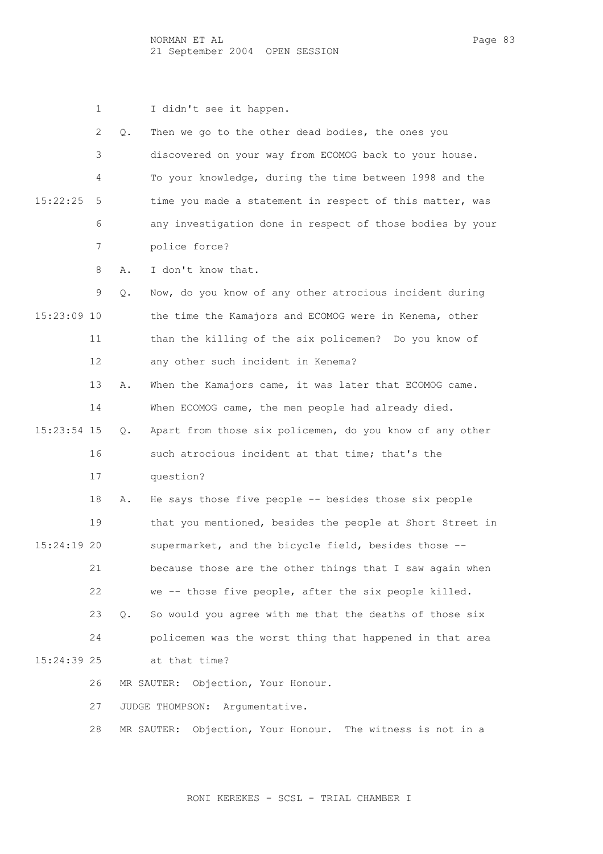1 I didn't see it happen.

|             | 2  | $Q$ .         | Then we go to the other dead bodies, the ones you             |
|-------------|----|---------------|---------------------------------------------------------------|
|             | 3  |               | discovered on your way from ECOMOG back to your house.        |
|             | 4  |               | To your knowledge, during the time between 1998 and the       |
| 15:22:25    | 5  |               | time you made a statement in respect of this matter, was      |
|             | 6  |               | any investigation done in respect of those bodies by your     |
|             | 7  |               | police force?                                                 |
|             | 8  | Α.            | I don't know that.                                            |
|             | 9  | Q.            | Now, do you know of any other atrocious incident during       |
| 15:23:09 10 |    |               | the time the Kamajors and ECOMOG were in Kenema, other        |
|             | 11 |               | than the killing of the six policemen? Do you know of         |
|             | 12 |               | any other such incident in Kenema?                            |
|             | 13 | Α.            | When the Kamajors came, it was later that ECOMOG came.        |
|             | 14 |               | When ECOMOG came, the men people had already died.            |
| 15:23:54 15 |    | Q.            | Apart from those six policemen, do you know of any other      |
|             | 16 |               | such atrocious incident at that time; that's the              |
|             | 17 |               | question?                                                     |
|             | 18 | Α.            | He says those five people -- besides those six people         |
|             | 19 |               | that you mentioned, besides the people at Short Street in     |
| 15:24:19 20 |    |               | supermarket, and the bicycle field, besides those --          |
|             | 21 |               | because those are the other things that I saw again when      |
|             | 22 |               | we -- those five people, after the six people killed.         |
|             | 23 | $Q_{\bullet}$ | So would you agree with me that the deaths of those six       |
|             | 24 |               | policemen was the worst thing that happened in that area      |
| 15:24:39 25 |    |               | at that time?                                                 |
|             | 26 |               | Objection, Your Honour.<br>MR SAUTER:                         |
|             | 27 |               | Argumentative.<br>JUDGE THOMPSON:                             |
|             | 28 |               | Objection, Your Honour. The witness is not in a<br>MR SAUTER: |
|             |    |               |                                                               |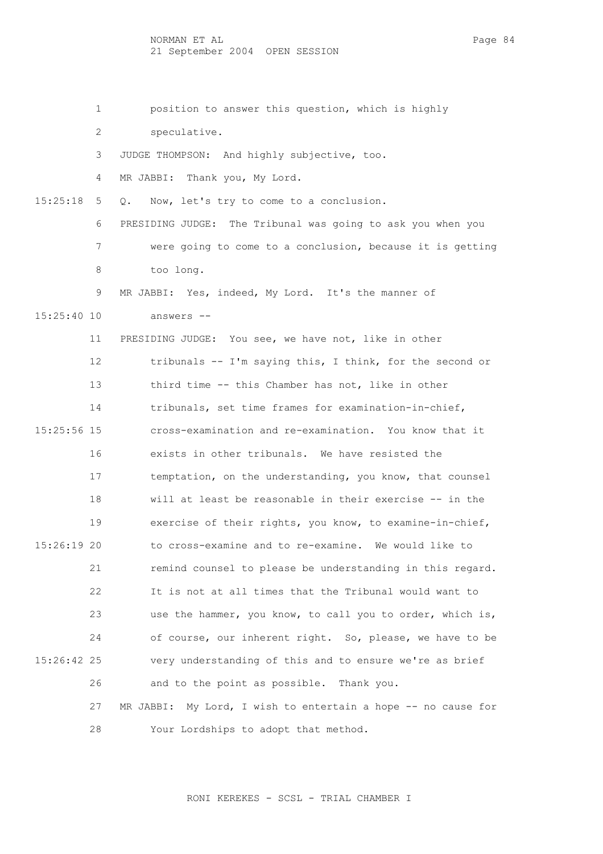NORMAN ET AL PAGE 84 21 September 2004 OPEN SESSION

 1 position to answer this question, which is highly 2 speculative. 3 JUDGE THOMPSON: And highly subjective, too. 4 MR JABBI: Thank you, My Lord. 15:25:18 5 Q. Now, let's try to come to a conclusion. 6 PRESIDING JUDGE: The Tribunal was going to ask you when you 7 were going to come to a conclusion, because it is getting 8 too long. 9 MR JABBI: Yes, indeed, My Lord. It's the manner of 15:25:40 10 answers -- 11 PRESIDING JUDGE: You see, we have not, like in other 12 tribunals -- I'm saying this, I think, for the second or 13 third time -- this Chamber has not, like in other 14 tribunals, set time frames for examination-in-chief, 15:25:56 15 cross-examination and re-examination. You know that it 16 exists in other tribunals. We have resisted the 17 temptation, on the understanding, you know, that counsel 18 will at least be reasonable in their exercise -- in the 19 exercise of their rights, you know, to examine-in-chief, 15:26:19 20 to cross-examine and to re-examine. We would like to 21 remind counsel to please be understanding in this regard. 22 It is not at all times that the Tribunal would want to 23 use the hammer, you know, to call you to order, which is, 24 of course, our inherent right. So, please, we have to be 15:26:42 25 very understanding of this and to ensure we're as brief 26 and to the point as possible. Thank you. 27 MR JABBI: My Lord, I wish to entertain a hope -- no cause for 28 Your Lordships to adopt that method.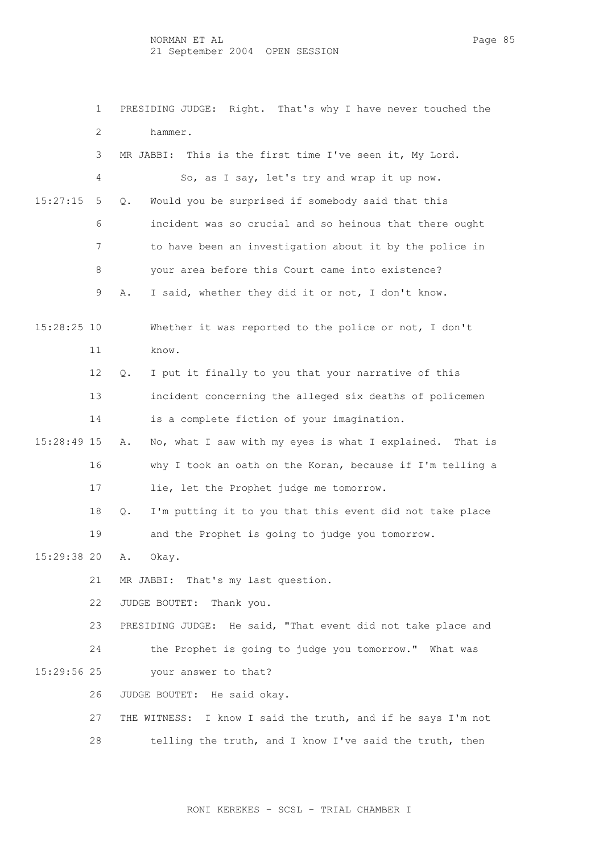NORMAN ET AL PAGE 85 21 September 2004 OPEN SESSION

 1 PRESIDING JUDGE: Right. That's why I have never touched the 2 hammer. 3 MR JABBI: This is the first time I've seen it, My Lord. 4 So, as I say, let's try and wrap it up now. 15:27:15 5 Q. Would you be surprised if somebody said that this 6 incident was so crucial and so heinous that there ought 7 to have been an investigation about it by the police in 8 your area before this Court came into existence? 9 A. I said, whether they did it or not, I don't know. 15:28:25 10 Whether it was reported to the police or not, I don't 11 know. 12 Q. I put it finally to you that your narrative of this 13 incident concerning the alleged six deaths of policemen 14 is a complete fiction of your imagination. 15:28:49 15 A. No, what I saw with my eyes is what I explained. That is 16 why I took an oath on the Koran, because if I'm telling a 17 lie, let the Prophet judge me tomorrow. 18 Q. I'm putting it to you that this event did not take place 19 and the Prophet is going to judge you tomorrow. 15:29:38 20 A. Okay. 21 MR JABBI: That's my last question. 22 JUDGE BOUTET: Thank you. 23 PRESIDING JUDGE: He said, "That event did not take place and 24 the Prophet is going to judge you tomorrow." What was 15:29:56 25 your answer to that? 26 JUDGE BOUTET: He said okay. 27 THE WITNESS: I know I said the truth, and if he says I'm not 28 telling the truth, and I know I've said the truth, then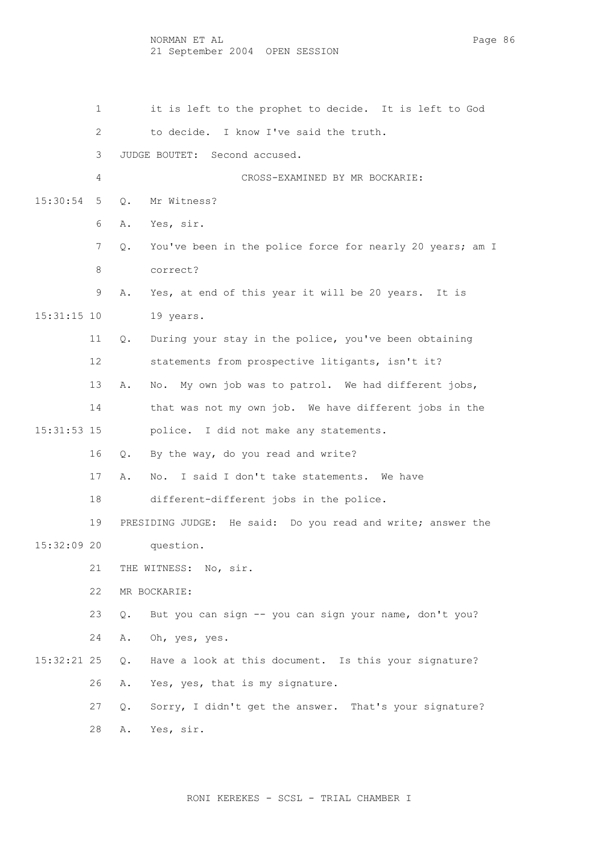NORMAN ET AL PAGE 86 21 September 2004 OPEN SESSION

 1 it is left to the prophet to decide. It is left to God 2 to decide. I know I've said the truth. 3 JUDGE BOUTET: Second accused. 4 CROSS-EXAMINED BY MR BOCKARIE: 15:30:54 5 Q. Mr Witness? 6 A. Yes, sir. 7 Q. You've been in the police force for nearly 20 years; am I 8 correct? 9 A. Yes, at end of this year it will be 20 years. It is 15:31:15 10 19 years. 11 Q. During your stay in the police, you've been obtaining 12 statements from prospective litigants, isn't it? 13 A. No. My own job was to patrol. We had different jobs, 14 that was not my own job. We have different jobs in the 15:31:53 15 police. I did not make any statements. 16 Q. By the way, do you read and write? 17 A. No. I said I don't take statements. We have 18 different-different jobs in the police. 19 PRESIDING JUDGE: He said: Do you read and write; answer the 15:32:09 20 question. 21 THE WITNESS: No, sir. 22 MR BOCKARIE: 23 Q. But you can sign -- you can sign your name, don't you? 24 A. Oh, yes, yes. 15:32:21 25 Q. Have a look at this document. Is this your signature? 26 A. Yes, yes, that is my signature. 27 Q. Sorry, I didn't get the answer. That's your signature? 28 A. Yes, sir.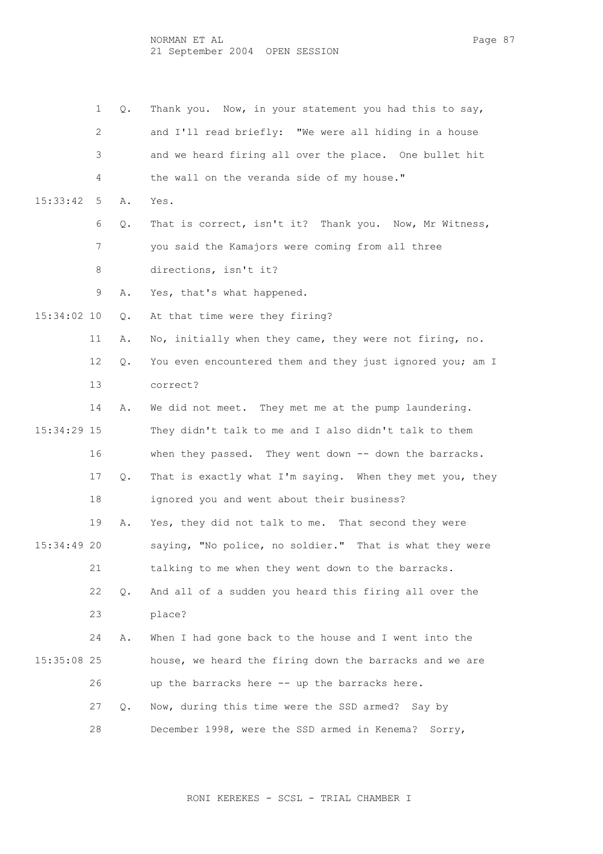NORMAN ET AL PAGE 87 21 September 2004 OPEN SESSION

 1 Q. Thank you. Now, in your statement you had this to say, 2 and I'll read briefly: "We were all hiding in a house 3 and we heard firing all over the place. One bullet hit 4 the wall on the veranda side of my house." 15:33:42 5 A. Yes. 6 Q. That is correct, isn't it? Thank you. Now, Mr Witness, 7 you said the Kamajors were coming from all three 8 directions, isn't it? 9 A. Yes, that's what happened. 15:34:02 10 Q. At that time were they firing? 11 A. No, initially when they came, they were not firing, no. 12 Q. You even encountered them and they just ignored you; am I 13 correct? 14 A. We did not meet. They met me at the pump laundering. 15:34:29 15 They didn't talk to me and I also didn't talk to them 16 when they passed. They went down -- down the barracks. 17 Q. That is exactly what I'm saying. When they met you, they 18 ignored you and went about their business? 19 A. Yes, they did not talk to me. That second they were 15:34:49 20 saying, "No police, no soldier." That is what they were 21 talking to me when they went down to the barracks. 22 Q. And all of a sudden you heard this firing all over the 23 place? 24 A. When I had gone back to the house and I went into the 15:35:08 25 house, we heard the firing down the barracks and we are 26 up the barracks here -- up the barracks here. 27 Q. Now, during this time were the SSD armed? Say by 28 December 1998, were the SSD armed in Kenema? Sorry,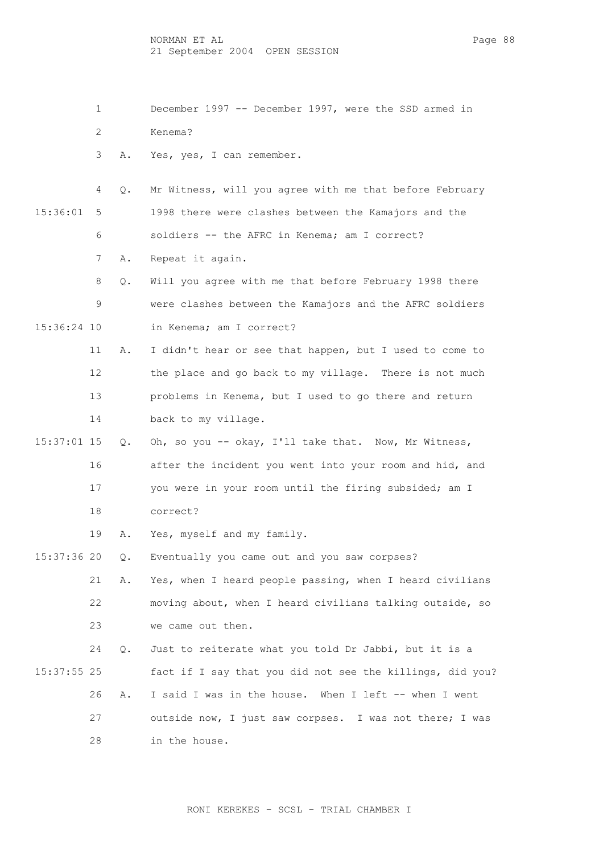- 1 December 1997 -- December 1997, were the SSD armed in 2 Kenema?
- 3 A. Yes, yes, I can remember.

 4 Q. Mr Witness, will you agree with me that before February 15:36:01 5 1998 there were clashes between the Kamajors and the 6 soldiers -- the AFRC in Kenema; am I correct?

7 A. Repeat it again.

 8 Q. Will you agree with me that before February 1998 there 9 were clashes between the Kamajors and the AFRC soldiers 15:36:24 10 in Kenema; am I correct?

- 11 A. I didn't hear or see that happen, but I used to come to 12 the place and go back to my village. There is not much 13 problems in Kenema, but I used to go there and return 14 back to my village.
- 15:37:01 15 Q. Oh, so you -- okay, I'll take that. Now, Mr Witness, 16 after the incident you went into your room and hid, and 17 you were in your room until the firing subsided; am I 18 correct?

19 A. Yes, myself and my family.

15:37:36 20 Q. Eventually you came out and you saw corpses?

 21 A. Yes, when I heard people passing, when I heard civilians 22 moving about, when I heard civilians talking outside, so 23 we came out then.

 24 Q. Just to reiterate what you told Dr Jabbi, but it is a 15:37:55 25 fact if I say that you did not see the killings, did you? 26 A. I said I was in the house. When I left -- when I went 27 outside now, I just saw corpses. I was not there; I was 28 in the house.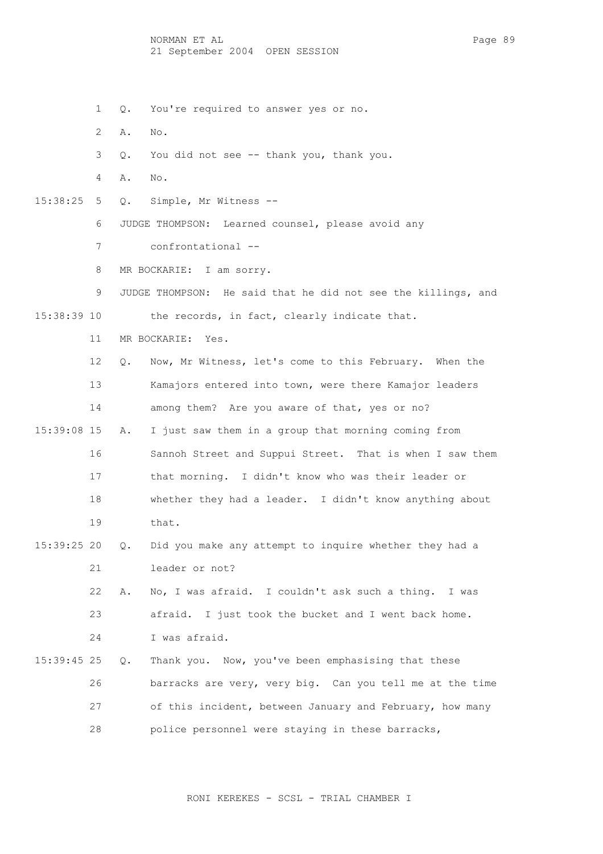NORMAN ET AL PAGE 89 21 September 2004 OPEN SESSION

1 Q. You're required to answer yes or no.

2 A. No.

- 3 Q. You did not see -- thank you, thank you.
- 4 A. No.

15:38:25 5 Q. Simple, Mr Witness --

6 JUDGE THOMPSON: Learned counsel, please avoid any

7 confrontational --

8 MR BOCKARIE: I am sorry.

9 JUDGE THOMPSON: He said that he did not see the killings, and

15:38:39 10 the records, in fact, clearly indicate that.

11 MR BOCKARIE: Yes.

 12 Q. Now, Mr Witness, let's come to this February. When the 13 Kamajors entered into town, were there Kamajor leaders 14 among them? Are you aware of that, yes or no?

- 15:39:08 15 A. I just saw them in a group that morning coming from 16 Sannoh Street and Suppui Street. That is when I saw them 17 that morning. I didn't know who was their leader or 18 whether they had a leader. I didn't know anything about 19 that.
- 15:39:25 20 Q. Did you make any attempt to inquire whether they had a 21 leader or not?

 22 A. No, I was afraid. I couldn't ask such a thing. I was 23 afraid. I just took the bucket and I went back home. 24 I was afraid.

 15:39:45 25 Q. Thank you. Now, you've been emphasising that these 26 barracks are very, very big. Can you tell me at the time 27 of this incident, between January and February, how many 28 police personnel were staying in these barracks,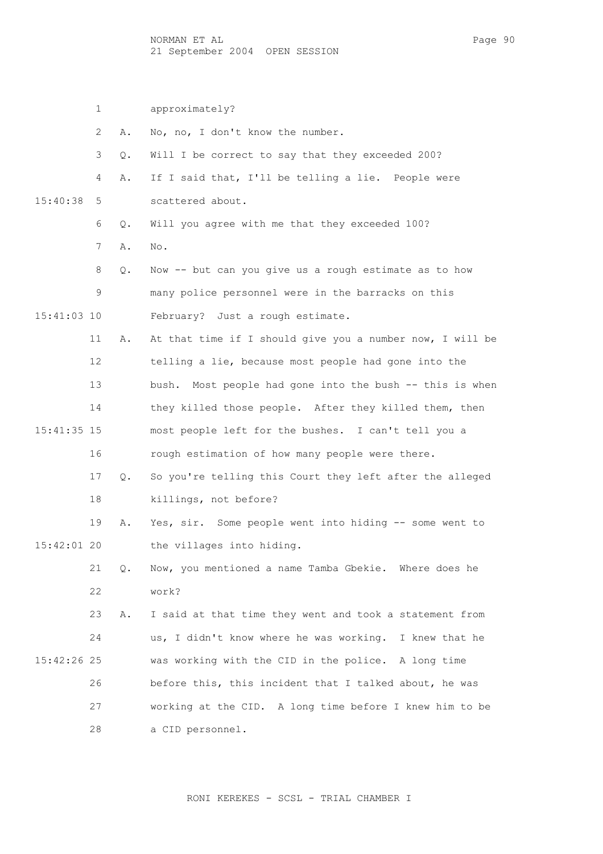NORMAN ET AL Page 90 21 September 2004 OPEN SESSION

 1 approximately? 2 A. No, no, I don't know the number. 3 Q. Will I be correct to say that they exceeded 200? 4 A. If I said that, I'll be telling a lie. People were 15:40:38 5 scattered about. 6 Q. Will you agree with me that they exceeded 100? 7 A. No. 8 Q. Now -- but can you give us a rough estimate as to how 9 many police personnel were in the barracks on this 15:41:03 10 February? Just a rough estimate. 11 A. At that time if I should give you a number now, I will be 12 telling a lie, because most people had gone into the 13 bush. Most people had gone into the bush -- this is when 14 they killed those people. After they killed them, then 15:41:35 15 most people left for the bushes. I can't tell you a 16 rough estimation of how many people were there. 17 Q. So you're telling this Court they left after the alleged 18 killings, not before? 19 A. Yes, sir. Some people went into hiding -- some went to 15:42:01 20 the villages into hiding. 21 Q. Now, you mentioned a name Tamba Gbekie. Where does he 22 work? 23 A. I said at that time they went and took a statement from 24 us, I didn't know where he was working. I knew that he 15:42:26 25 was working with the CID in the police. A long time 26 before this, this incident that I talked about, he was 27 working at the CID. A long time before I knew him to be 28 a CID personnel.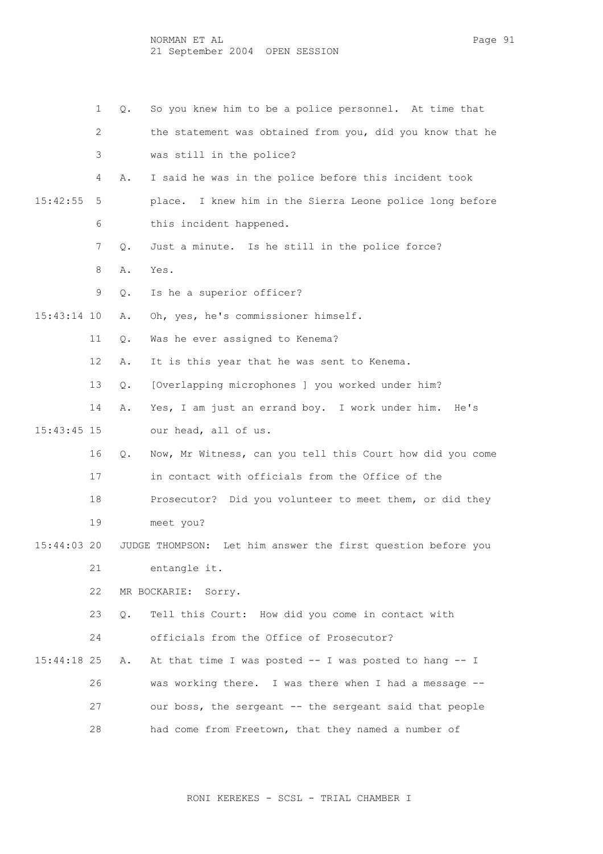NORMAN ET AL Page 91 21 September 2004 OPEN SESSION

 1 Q. So you knew him to be a police personnel. At time that 2 the statement was obtained from you, did you know that he 3 was still in the police? 4 A. I said he was in the police before this incident took 15:42:55 5 place. I knew him in the Sierra Leone police long before 6 this incident happened. 7 Q. Just a minute. Is he still in the police force? 8 A. Yes. 9 Q. Is he a superior officer? 15:43:14 10 A. Oh, yes, he's commissioner himself. 11 Q. Was he ever assigned to Kenema? 12 A. It is this year that he was sent to Kenema. 13 Q. [Overlapping microphones ] you worked under him? 14 A. Yes, I am just an errand boy. I work under him. He's 15:43:45 15 our head, all of us. 16 Q. Now, Mr Witness, can you tell this Court how did you come 17 in contact with officials from the Office of the 18 Prosecutor? Did you volunteer to meet them, or did they 19 meet you? 15:44:03 20 JUDGE THOMPSON: Let him answer the first question before you 21 entangle it. 22 MR BOCKARIE: Sorry. 23 Q. Tell this Court: How did you come in contact with 24 officials from the Office of Prosecutor? 15:44:18 25 A. At that time I was posted -- I was posted to hang -- I 26 was working there. I was there when I had a message -- 27 our boss, the sergeant -- the sergeant said that people 28 had come from Freetown, that they named a number of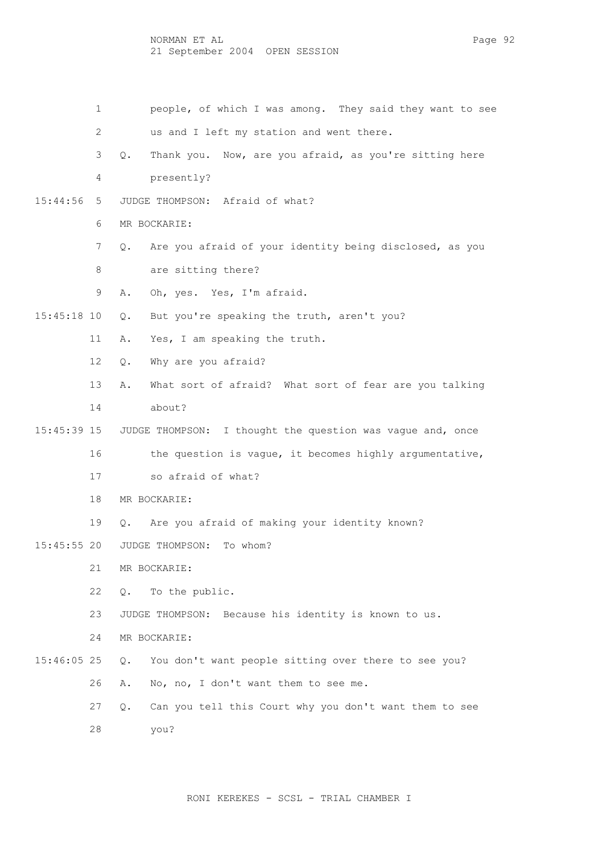NORMAN ET AL Page 92 21 September 2004 OPEN SESSION

- 1 people, of which I was among. They said they want to see
- 2 us and I left my station and went there.
- 3 Q. Thank you. Now, are you afraid, as you're sitting here
- 4 presently?
- 15:44:56 5 JUDGE THOMPSON: Afraid of what?
	- 6 MR BOCKARIE:
	- 7 Q. Are you afraid of your identity being disclosed, as you 8 are sitting there?
	- 9 A. Oh, yes. Yes, I'm afraid.
- 15:45:18 10 Q. But you're speaking the truth, aren't you?
	- 11 A. Yes, I am speaking the truth.
	- 12 Q. Why are you afraid?
	- 13 A. What sort of afraid? What sort of fear are you talking 14 about?
- 15:45:39 15 JUDGE THOMPSON: I thought the question was vague and, once 16 the question is vague, it becomes highly argumentative,
	- 17 so afraid of what?
	- 18 MR BOCKARIE:
	- 19 Q. Are you afraid of making your identity known?
- 15:45:55 20 JUDGE THOMPSON: To whom?
	- 21 MR BOCKARIE:
	- 22 Q. To the public.
	- 23 JUDGE THOMPSON: Because his identity is known to us.
	- 24 MR BOCKARIE:
- 15:46:05 25 Q. You don't want people sitting over there to see you? 26 A. No, no, I don't want them to see me.
	- 27 Q. Can you tell this Court why you don't want them to see 28 you?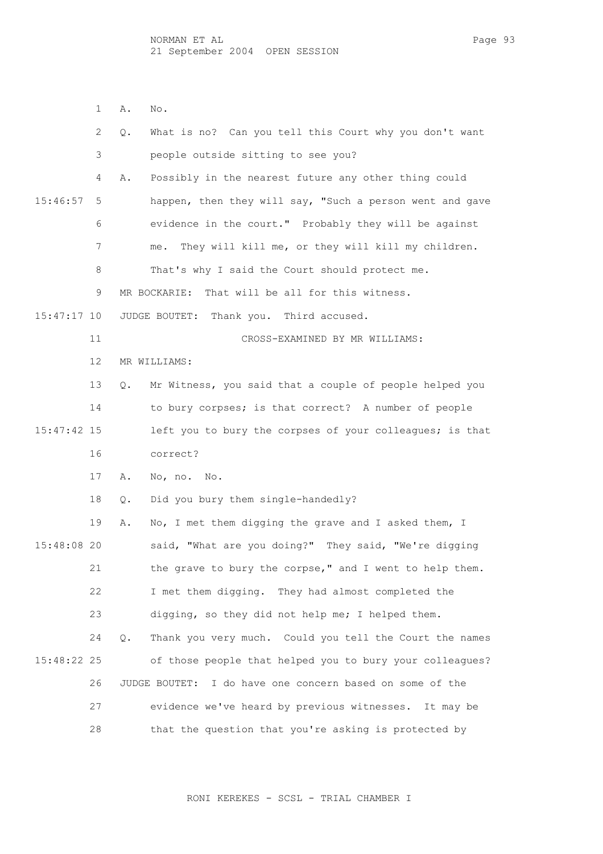1 A. No.

|               | 2  | What is no? Can you tell this Court why you don't want<br>Q.     |
|---------------|----|------------------------------------------------------------------|
|               | 3  | people outside sitting to see you?                               |
|               | 4  | Possibly in the nearest future any other thing could<br>Α.       |
| 15:46:57      | 5  | happen, then they will say, "Such a person went and gave         |
|               | 6  | evidence in the court." Probably they will be against            |
|               | 7  | They will kill me, or they will kill my children.<br>me.         |
|               | 8  | That's why I said the Court should protect me.                   |
|               | 9  | That will be all for this witness.<br>MR BOCKARIE:               |
| $15:47:17$ 10 |    | JUDGE BOUTET: Thank you. Third accused.                          |
|               | 11 | CROSS-EXAMINED BY MR WILLIAMS:                                   |
|               | 12 | MR WILLIAMS:                                                     |
|               | 13 | Mr Witness, you said that a couple of people helped you<br>Q.    |
|               | 14 | to bury corpses; is that correct? A number of people             |
| 15:47:42 15   |    | left you to bury the corpses of your colleagues; is that         |
|               | 16 | correct?                                                         |
|               | 17 | No, no. No.<br>Α.                                                |
|               | 18 | Did you bury them single-handedly?<br>Q.                         |
|               | 19 | No, I met them digging the grave and I asked them, I<br>Α.       |
| 15:48:08 20   |    | said, "What are you doing?" They said, "We're digging            |
|               | 21 | the grave to bury the corpse," and I went to help them.          |
|               | 22 | I met them digging. They had almost completed the                |
|               | 23 | digging, so they did not help me; I helped them.                 |
|               | 24 | Thank you very much. Could you tell the Court the names<br>$Q$ . |
| 15:48:22 25   |    | of those people that helped you to bury your colleagues?         |
|               | 26 | JUDGE BOUTET:<br>I do have one concern based on some of the      |
|               | 27 | evidence we've heard by previous witnesses.<br>It may be         |
|               | 28 | that the question that you're asking is protected by             |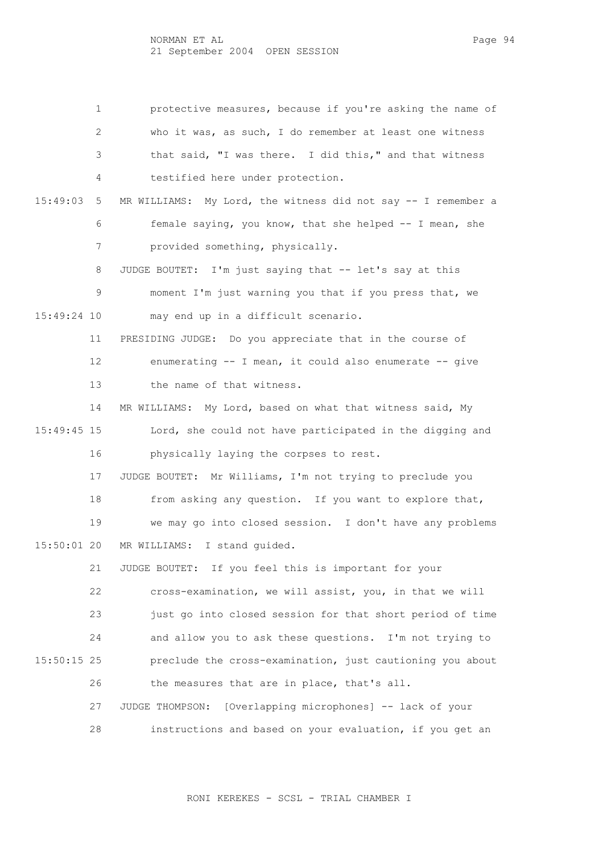1 protective measures, because if you're asking the name of 2 who it was, as such, I do remember at least one witness 3 that said, "I was there. I did this," and that witness 4 testified here under protection. 15:49:03 5 MR WILLIAMS: My Lord, the witness did not say -- I remember a 6 female saying, you know, that she helped -- I mean, she 7 provided something, physically. 8 JUDGE BOUTET: I'm just saying that -- let's say at this 9 moment I'm just warning you that if you press that, we 15:49:24 10 may end up in a difficult scenario. 11 PRESIDING JUDGE: Do you appreciate that in the course of 12 enumerating -- I mean, it could also enumerate -- give 13 the name of that witness. 14 MR WILLIAMS: My Lord, based on what that witness said, My 15:49:45 15 Lord, she could not have participated in the digging and 16 physically laying the corpses to rest. 17 JUDGE BOUTET: Mr Williams, I'm not trying to preclude you 18 from asking any question. If you want to explore that, 19 we may go into closed session. I don't have any problems 15:50:01 20 MR WILLIAMS: I stand guided. 21 JUDGE BOUTET: If you feel this is important for your 22 cross-examination, we will assist, you, in that we will 23 just go into closed session for that short period of time 24 and allow you to ask these questions. I'm not trying to 15:50:15 25 preclude the cross-examination, just cautioning you about 26 the measures that are in place, that's all. 27 JUDGE THOMPSON: [Overlapping microphones] -- lack of your 28 instructions and based on your evaluation, if you get an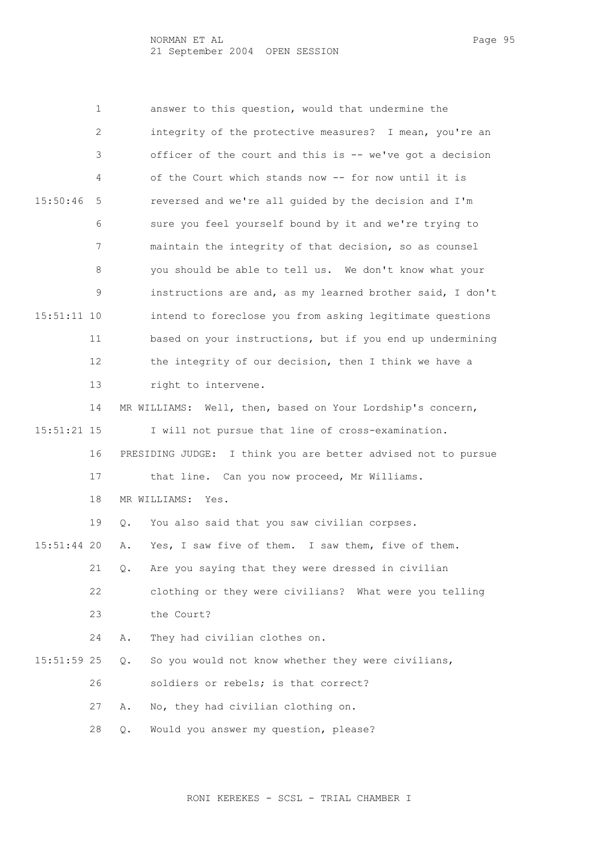NORMAN ET AL PAGE 1958 EN 2009 ISLAM PAGE 95 21 September 2004 OPEN SESSION

 1 answer to this question, would that undermine the 2 integrity of the protective measures? I mean, you're an 3 officer of the court and this is -- we've got a decision 4 of the Court which stands now -- for now until it is 15:50:46 5 reversed and we're all guided by the decision and I'm 6 sure you feel yourself bound by it and we're trying to 7 maintain the integrity of that decision, so as counsel 8 you should be able to tell us. We don't know what your 9 instructions are and, as my learned brother said, I don't 15:51:11 10 intend to foreclose you from asking legitimate questions 11 based on your instructions, but if you end up undermining 12 the integrity of our decision, then I think we have a 13 right to intervene. 14 MR WILLIAMS: Well, then, based on Your Lordship's concern, 15:51:21 15 I will not pursue that line of cross-examination. 16 PRESIDING JUDGE: I think you are better advised not to pursue 17 that line. Can you now proceed, Mr Williams. 18 MR WILLIAMS: Yes. 19 Q. You also said that you saw civilian corpses. 15:51:44 20 A. Yes, I saw five of them. I saw them, five of them. 21 Q. Are you saying that they were dressed in civilian 22 clothing or they were civilians? What were you telling 23 the Court? 24 A. They had civilian clothes on. 15:51:59 25 Q. So you would not know whether they were civilians, 26 soldiers or rebels; is that correct? 27 A. No, they had civilian clothing on. 28 Q. Would you answer my question, please?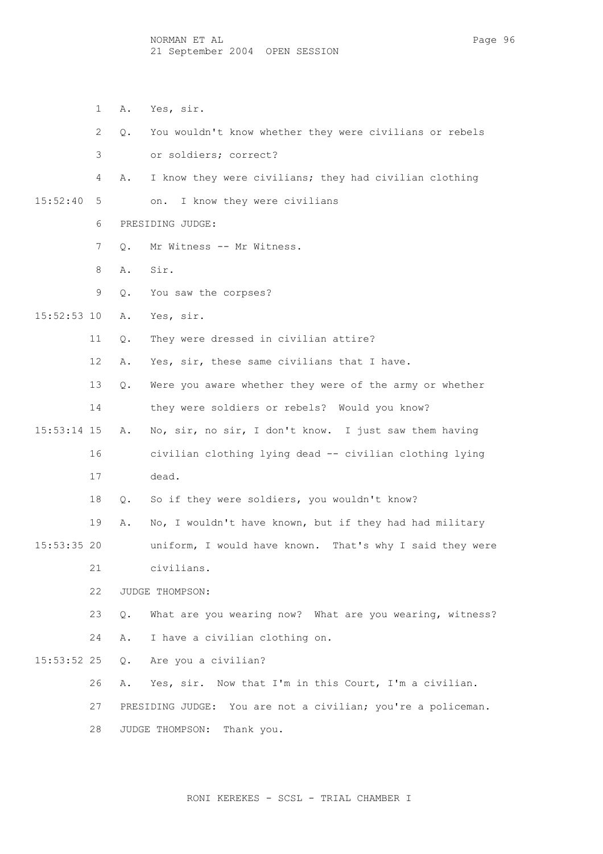1 A. Yes, sir.

2 Q. You wouldn't know whether they were civilians or rebels

3 or soldiers; correct?

4 A. I know they were civilians; they had civilian clothing

15:52:40 5 on. I know they were civilians

6 PRESIDING JUDGE:

- 7 Q. Mr Witness -- Mr Witness.
- 8 A. Sir.
- 9 Q. You saw the corpses?

15:52:53 10 A. Yes, sir.

11 Q. They were dressed in civilian attire?

12 A. Yes, sir, these same civilians that I have.

 13 Q. Were you aware whether they were of the army or whether 14 they were soldiers or rebels? Would you know?

 15:53:14 15 A. No, sir, no sir, I don't know. I just saw them having 16 civilian clothing lying dead -- civilian clothing lying 17 dead.

18 Q. So if they were soldiers, you wouldn't know?

- 19 A. No, I wouldn't have known, but if they had had military 15:53:35 20 uniform, I would have known. That's why I said they were
	- 21 civilians.

22 JUDGE THOMPSON:

 23 Q. What are you wearing now? What are you wearing, witness? 24 A. I have a civilian clothing on.

15:53:52 25 Q. Are you a civilian?

26 A. Yes, sir. Now that I'm in this Court, I'm a civilian.

27 PRESIDING JUDGE: You are not a civilian; you're a policeman.

28 JUDGE THOMPSON: Thank you.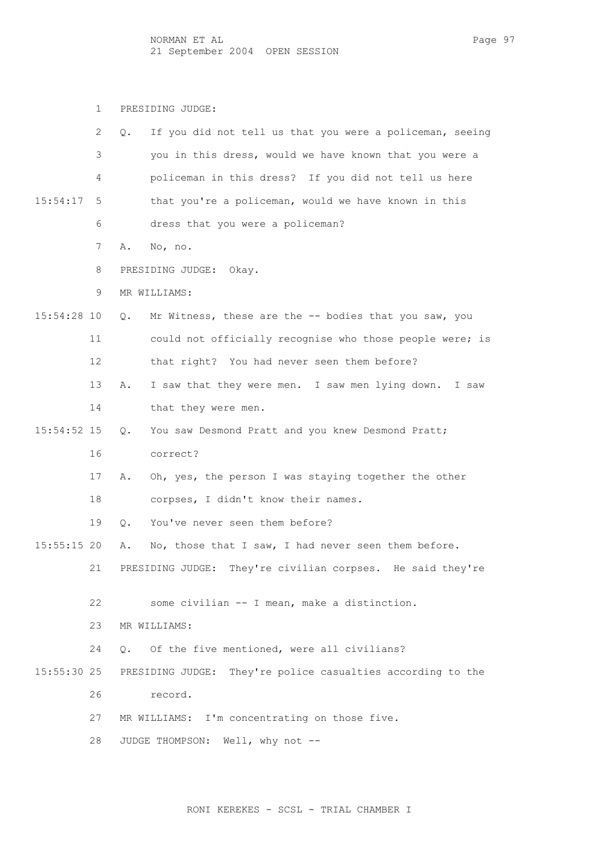1 PRESIDING JUDGE:

|               | 2  | If you did not tell us that you were a policeman, seeing<br>$Q$ . |
|---------------|----|-------------------------------------------------------------------|
|               | 3  | you in this dress, would we have known that you were a            |
|               | 4  | policeman in this dress? If you did not tell us here              |
| 15:54:17      | 5  | that you're a policeman, would we have known in this              |
|               | 6  | dress that you were a policeman?                                  |
|               | 7  | No, no.<br>Α.                                                     |
|               | 8  | PRESIDING JUDGE:<br>Okay.                                         |
|               | 9  | MR WILLIAMS:                                                      |
| $15:54:28$ 10 |    | Mr Witness, these are the -- bodies that you saw, you<br>$Q$ .    |
|               | 11 | could not officially recognise who those people were; is          |
|               | 12 | that right? You had never seen them before?                       |
|               | 13 | I saw that they were men. I saw men lying down.<br>Α.<br>I saw    |
|               | 14 | that they were men.                                               |
| $15:54:52$ 15 |    | You saw Desmond Pratt and you knew Desmond Pratt;<br>Q.           |
|               | 16 | correct?                                                          |
|               | 17 | Oh, yes, the person I was staying together the other<br>Α.        |
|               | 18 | corpses, I didn't know their names.                               |
|               | 19 | You've never seen them before?<br>О.                              |
| $15:55:15$ 20 |    | No, those that I saw, I had never seen them before.<br>Α.         |
|               | 21 | They're civilian corpses. He said they're<br>PRESIDING JUDGE:     |
|               | 22 | some civilian -- I mean, make a distinction.                      |
|               | 23 |                                                                   |
|               |    | MR WILLIAMS:                                                      |
|               | 24 | Of the five mentioned, were all civilians?<br>$\circ$ .           |
| $15:55:30$ 25 |    | PRESIDING JUDGE: They're police casualties according to the       |
|               | 26 | record.                                                           |
|               | 27 | MR WILLIAMS: I'm concentrating on those five.                     |
|               | 28 | JUDGE THOMPSON: Well, why not --                                  |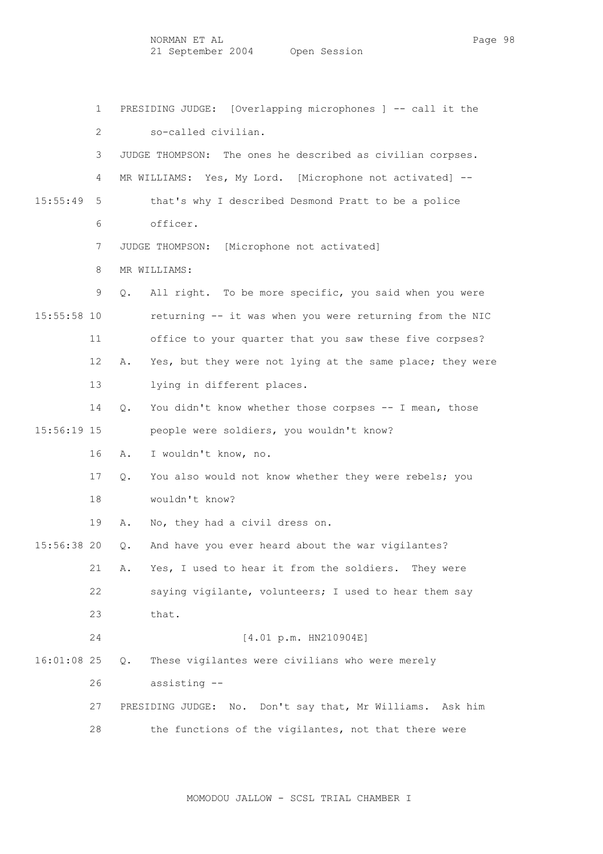1 PRESIDING JUDGE: [Overlapping microphones ] -- call it the 2 so-called civilian. 3 JUDGE THOMPSON: The ones he described as civilian corpses. 4 MR WILLIAMS: Yes, My Lord. [Microphone not activated] -- 15:55:49 5 that's why I described Desmond Pratt to be a police 6 officer. 7 JUDGE THOMPSON: [Microphone not activated] 8 MR WILLIAMS: 9 Q. All right. To be more specific, you said when you were 15:55:58 10 returning -- it was when you were returning from the NIC 11 office to your quarter that you saw these five corpses? 12 A. Yes, but they were not lying at the same place; they were 13 lying in different places. 14 Q. You didn't know whether those corpses -- I mean, those 15:56:19 15 people were soldiers, you wouldn't know? 16 A. I wouldn't know, no. 17 Q. You also would not know whether they were rebels; you 18 wouldn't know? 19 A. No, they had a civil dress on.

 15:56:38 20 Q. And have you ever heard about the war vigilantes? 21 A. Yes, I used to hear it from the soldiers. They were 22 saying vigilante, volunteers; I used to hear them say 23 that. 24 [4.01 p.m. HN210904E]

 16:01:08 25 Q. These vigilantes were civilians who were merely 26 assisting -- 27 PRESIDING JUDGE: No. Don't say that, Mr Williams. Ask him

28 the functions of the vigilantes, not that there were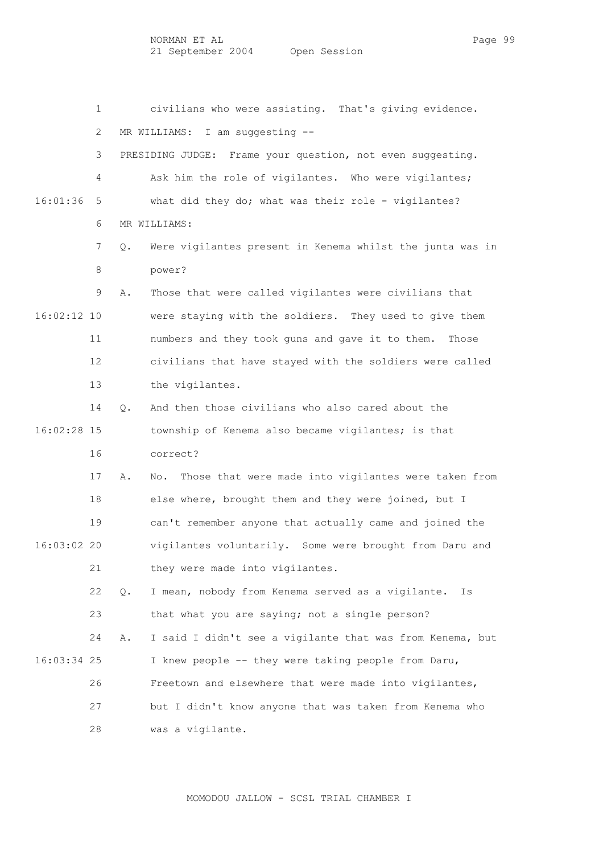NORMAN ET AL Page 99 21 September 2004 Open Session

 1 civilians who were assisting. That's giving evidence. 2 MR WILLIAMS: I am suggesting -- 3 PRESIDING JUDGE: Frame your question, not even suggesting. 4 Ask him the role of vigilantes. Who were vigilantes; 16:01:36 5 what did they do; what was their role - vigilantes? 6 MR WILLIAMS: 7 Q. Were vigilantes present in Kenema whilst the junta was in 8 power? 9 A. Those that were called vigilantes were civilians that 16:02:12 10 were staying with the soldiers. They used to give them 11 numbers and they took guns and gave it to them. Those 12 civilians that have stayed with the soldiers were called 13 the vigilantes. 14 Q. And then those civilians who also cared about the 16:02:28 15 township of Kenema also became vigilantes; is that 16 correct? 17 A. No. Those that were made into vigilantes were taken from 18 else where, brought them and they were joined, but I 19 can't remember anyone that actually came and joined the 16:03:02 20 vigilantes voluntarily. Some were brought from Daru and 21 they were made into vigilantes. 22 Q. I mean, nobody from Kenema served as a vigilante. Is 23 that what you are saying; not a single person? 24 A. I said I didn't see a vigilante that was from Kenema, but 16:03:34 25 I knew people -- they were taking people from Daru, 26 Freetown and elsewhere that were made into vigilantes, 27 but I didn't know anyone that was taken from Kenema who 28 was a vigilante.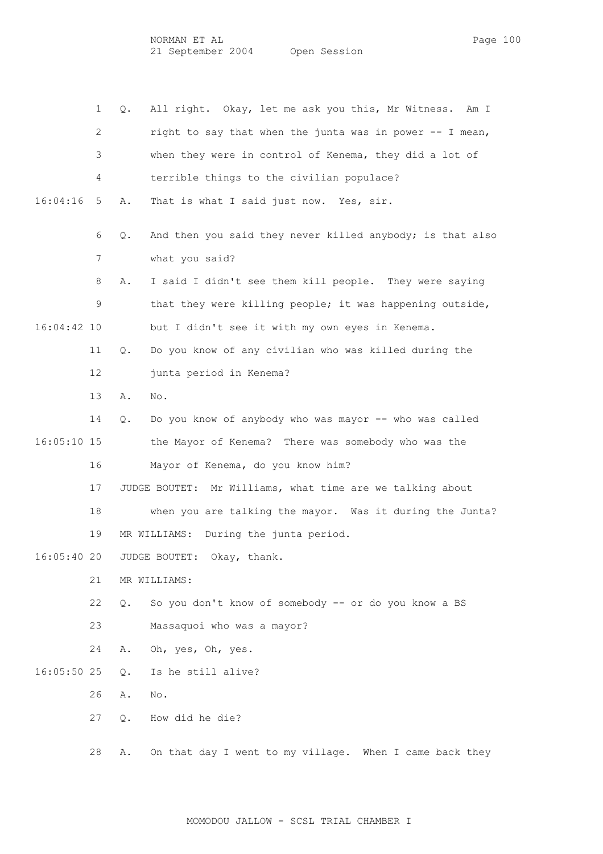1 Q. All right. Okay, let me ask you this, Mr Witness. Am I 2 right to say that when the junta was in power -- I mean, 3 when they were in control of Kenema, they did a lot of 4 terrible things to the civilian populace? 16:04:16 5 A. That is what I said just now. Yes, sir. 6 Q. And then you said they never killed anybody; is that also

 8 A. I said I didn't see them kill people. They were saying 9 that they were killing people; it was happening outside, 16:04:42 10 but I didn't see it with my own eyes in Kenema.

> 11 Q. Do you know of any civilian who was killed during the 12 junta period in Kenema?

13 A. No.

7 what you said?

 14 Q. Do you know of anybody who was mayor -- who was called 16:05:10 15 the Mayor of Kenema? There was somebody who was the 16 Mayor of Kenema, do you know him? 17 JUDGE BOUTET: Mr Williams, what time are we talking about

18 when you are talking the mayor. Was it during the Junta?

19 MR WILLIAMS: During the junta period.

16:05:40 20 JUDGE BOUTET: Okay, thank.

21 MR WILLIAMS:

22 Q. So you don't know of somebody -- or do you know a BS

23 Massaquoi who was a mayor?

24 A. Oh, yes, Oh, yes.

16:05:50 25 Q. Is he still alive?

26 A. No.

27 Q. How did he die?

28 A. On that day I went to my village. When I came back they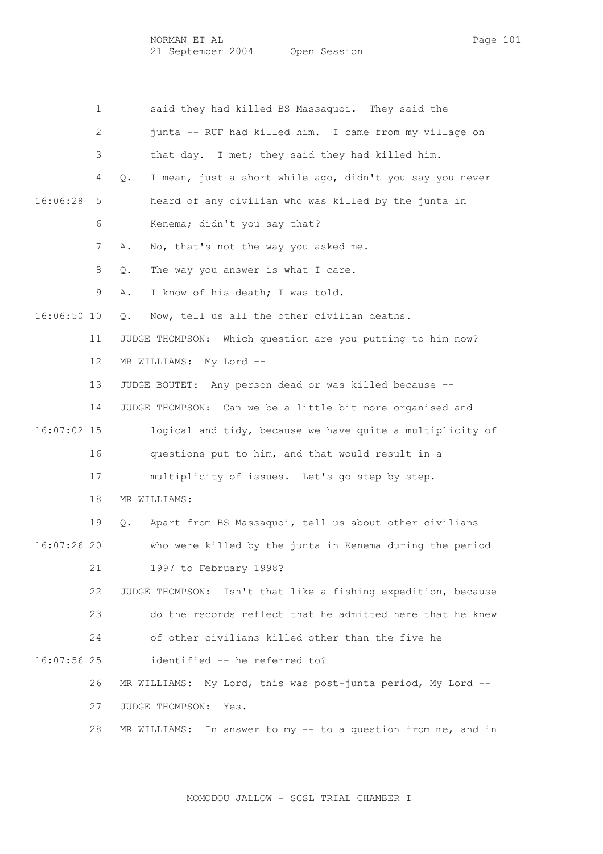| NORMAN ET AL      |              | Page 101 |  |
|-------------------|--------------|----------|--|
| 21 September 2004 | Open Session |          |  |

 1 said they had killed BS Massaquoi. They said the 2 junta -- RUF had killed him. I came from my village on 3 that day. I met; they said they had killed him. 4 Q. I mean, just a short while ago, didn't you say you never 16:06:28 5 heard of any civilian who was killed by the junta in 6 Kenema; didn't you say that? 7 A. No, that's not the way you asked me. 8 Q. The way you answer is what I care. 9 A. I know of his death; I was told. 16:06:50 10 Q. Now, tell us all the other civilian deaths. 11 JUDGE THOMPSON: Which question are you putting to him now? 12 MR WILLIAMS: My Lord -- 13 JUDGE BOUTET: Any person dead or was killed because -- 14 JUDGE THOMPSON: Can we be a little bit more organised and 16:07:02 15 logical and tidy, because we have quite a multiplicity of 16 questions put to him, and that would result in a 17 multiplicity of issues. Let's go step by step. 18 MR WILLIAMS: 19 Q. Apart from BS Massaquoi, tell us about other civilians 16:07:26 20 who were killed by the junta in Kenema during the period 21 1997 to February 1998? 22 JUDGE THOMPSON: Isn't that like a fishing expedition, because 23 do the records reflect that he admitted here that he knew 24 of other civilians killed other than the five he 16:07:56 25 identified -- he referred to? 26 MR WILLIAMS: My Lord, this was post-junta period, My Lord -- 27 JUDGE THOMPSON: Yes. 28 MR WILLIAMS: In answer to my -- to a question from me, and in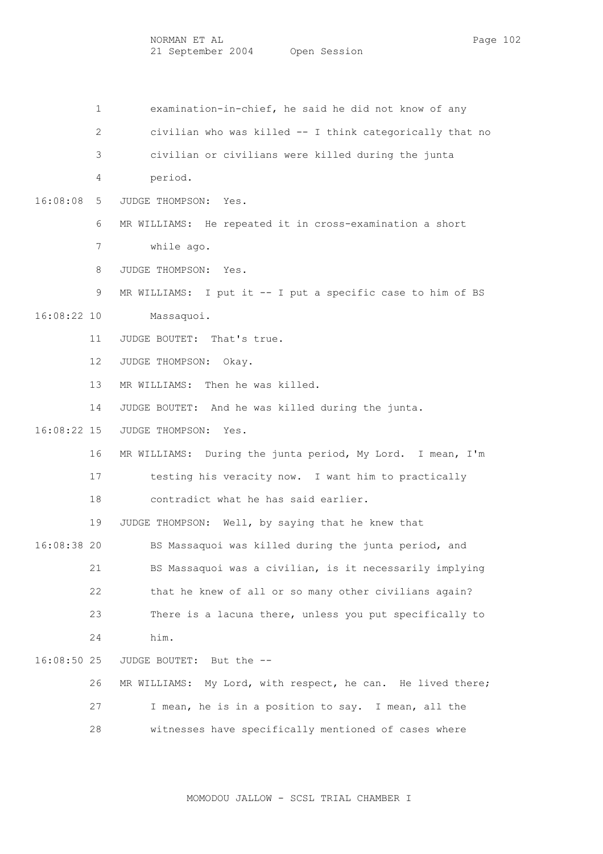NORMAN ET AL Page 102 21 September 2004 Open Session

 1 examination-in-chief, he said he did not know of any 2 civilian who was killed -- I think categorically that no 3 civilian or civilians were killed during the junta 4 period. 16:08:08 5 JUDGE THOMPSON: Yes. 6 MR WILLIAMS: He repeated it in cross-examination a short 7 while ago. 8 JUDGE THOMPSON: Yes. 9 MR WILLIAMS: I put it -- I put a specific case to him of BS 16:08:22 10 Massaquoi. 11 JUDGE BOUTET: That's true. 12 JUDGE THOMPSON: Okay. 13 MR WILLIAMS: Then he was killed. 14 JUDGE BOUTET: And he was killed during the junta. 16:08:22 15 JUDGE THOMPSON: Yes. 16 MR WILLIAMS: During the junta period, My Lord. I mean, I'm 17 testing his veracity now. I want him to practically 18 contradict what he has said earlier. 19 JUDGE THOMPSON: Well, by saying that he knew that 16:08:38 20 BS Massaquoi was killed during the junta period, and 21 BS Massaquoi was a civilian, is it necessarily implying 22 that he knew of all or so many other civilians again? 23 There is a lacuna there, unless you put specifically to 24 him. 16:08:50 25 JUDGE BOUTET: But the -- 26 MR WILLIAMS: My Lord, with respect, he can. He lived there; 27 I mean, he is in a position to say. I mean, all the 28 witnesses have specifically mentioned of cases where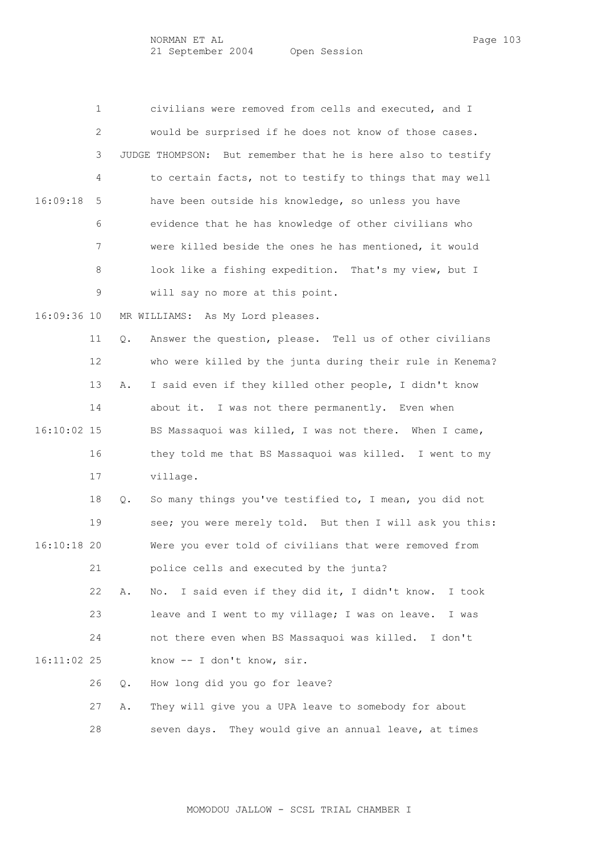1 civilians were removed from cells and executed, and I 2 would be surprised if he does not know of those cases. 3 JUDGE THOMPSON: But remember that he is here also to testify 4 to certain facts, not to testify to things that may well 16:09:18 5 have been outside his knowledge, so unless you have 6 evidence that he has knowledge of other civilians who 7 were killed beside the ones he has mentioned, it would 8 look like a fishing expedition. That's my view, but I 9 will say no more at this point. 16:09:36 10 MR WILLIAMS: As My Lord pleases. 11 Q. Answer the question, please. Tell us of other civilians 12 who were killed by the junta during their rule in Kenema? 13 A. I said even if they killed other people, I didn't know 14 about it. I was not there permanently. Even when 16:10:02 15 BS Massaquoi was killed, I was not there. When I came, 16 they told me that BS Massaquoi was killed. I went to my 17 village. 18 Q. So many things you've testified to, I mean, you did not 19 see; you were merely told. But then I will ask you this: 16:10:18 20 Were you ever told of civilians that were removed from 21 police cells and executed by the junta? 22 A. No. I said even if they did it, I didn't know. I took 23 leave and I went to my village; I was on leave. I was 24 not there even when BS Massaquoi was killed. I don't 16:11:02 25 know -- I don't know, sir. 26 Q. How long did you go for leave? 27 A. They will give you a UPA leave to somebody for about 28 seven days. They would give an annual leave, at times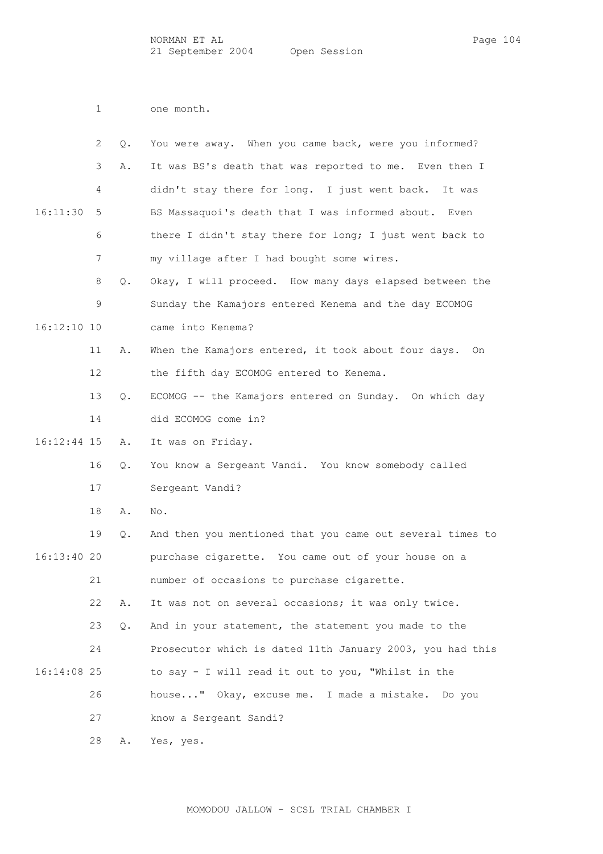|               | 2                 | Q. | You were away. When you came back, were you informed?     |
|---------------|-------------------|----|-----------------------------------------------------------|
|               | 3                 | Α. | It was BS's death that was reported to me. Even then I    |
|               | 4                 |    | didn't stay there for long. I just went back. It was      |
| 16:11:30      | 5                 |    | BS Massaquoi's death that I was informed about. Even      |
|               | 6                 |    | there I didn't stay there for long; I just went back to   |
|               | 7                 |    | my village after I had bought some wires.                 |
|               | 8                 | Q. | Okay, I will proceed. How many days elapsed between the   |
|               | 9                 |    | Sunday the Kamajors entered Kenema and the day ECOMOG     |
| $16:12:10$ 10 |                   |    | came into Kenema?                                         |
|               | 11                | Α. | When the Kamajors entered, it took about four days.<br>On |
|               | $12 \overline{ }$ |    | the fifth day ECOMOG entered to Kenema.                   |
|               | 13                | Q. | ECOMOG -- the Kamajors entered on Sunday. On which day    |
|               | 14                |    | did ECOMOG come in?                                       |
| $16:12:44$ 15 |                   | Α. | It was on Friday.                                         |
|               | 16                | Q. | You know a Sergeant Vandi. You know somebody called       |
|               | 17                |    | Sergeant Vandi?                                           |
|               | 18                | Α. | No.                                                       |
|               | 19                | Q. | And then you mentioned that you came out several times to |
| 16:13:4020    |                   |    | purchase cigarette. You came out of your house on a       |
|               | 21                |    | number of occasions to purchase cigarette.                |
|               | 22                | Α. | It was not on several occasions; it was only twice.       |
|               | 23                | Q. | And in your statement, the statement you made to the      |
|               | 24                |    | Prosecutor which is dated 11th January 2003, you had this |
| $16:14:08$ 25 |                   |    | to say - I will read it out to you, "Whilst in the        |
|               | 26                |    | house" Okay, excuse me. I made a mistake. Do you          |
|               | 27                |    | know a Sergeant Sandi?                                    |
|               | 28                | Α. | Yes, yes.                                                 |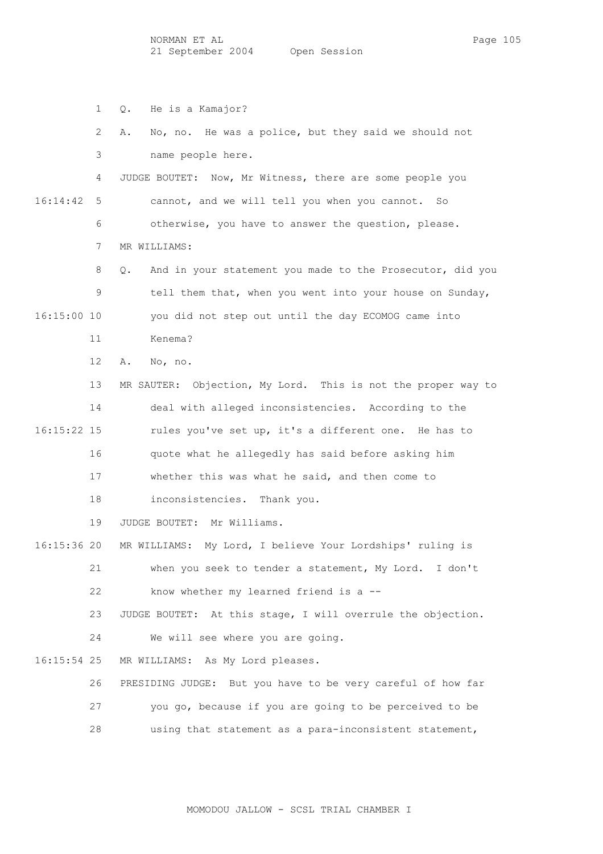1 Q. He is a Kamajor? 2 A. No, no. He was a police, but they said we should not 3 name people here. 4 JUDGE BOUTET: Now, Mr Witness, there are some people you 16:14:42 5 cannot, and we will tell you when you cannot. So 6 otherwise, you have to answer the question, please. 7 MR WILLIAMS: 8 Q. And in your statement you made to the Prosecutor, did you 9 tell them that, when you went into your house on Sunday, 16:15:00 10 you did not step out until the day ECOMOG came into 11 Kenema? 12 A. No, no. 13 MR SAUTER: Objection, My Lord. This is not the proper way to 14 deal with alleged inconsistencies. According to the 16:15:22 15 rules you've set up, it's a different one. He has to 16 quote what he allegedly has said before asking him 17 whether this was what he said, and then come to 18 inconsistencies. Thank you. 19 JUDGE BOUTET: Mr Williams. 16:15:36 20 MR WILLIAMS: My Lord, I believe Your Lordships' ruling is 21 when you seek to tender a statement, My Lord. I don't 22 know whether my learned friend is a -- 23 JUDGE BOUTET: At this stage, I will overrule the objection. 24 We will see where you are going. 16:15:54 25 MR WILLIAMS: As My Lord pleases. 26 PRESIDING JUDGE: But you have to be very careful of how far 27 you go, because if you are going to be perceived to be

28 using that statement as a para-inconsistent statement,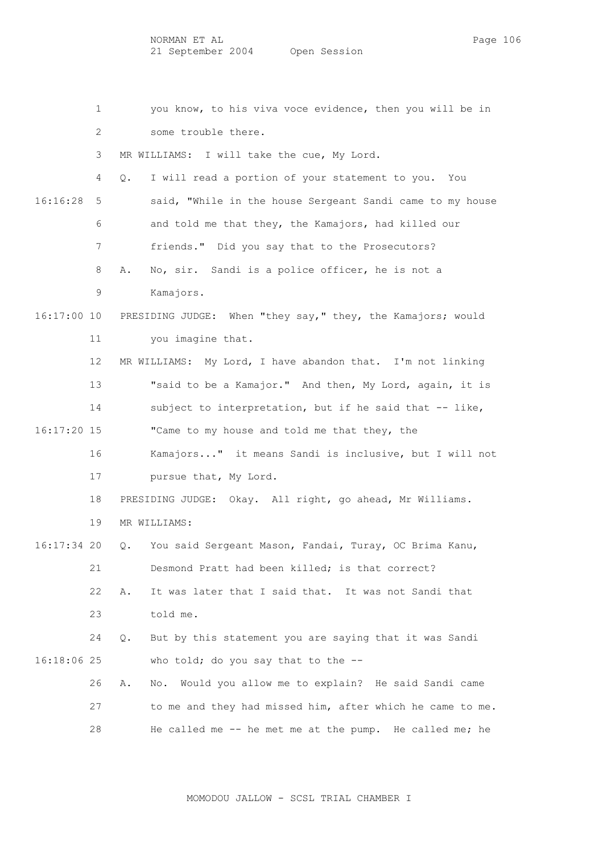1 you know, to his viva voce evidence, then you will be in 2 some trouble there. 3 MR WILLIAMS: I will take the cue, My Lord. 4 Q. I will read a portion of your statement to you. You 16:16:28 5 said, "While in the house Sergeant Sandi came to my house 6 and told me that they, the Kamajors, had killed our 7 friends." Did you say that to the Prosecutors? 8 A. No, sir. Sandi is a police officer, he is not a 9 Kamajors. 16:17:00 10 PRESIDING JUDGE: When "they say," they, the Kamajors; would 11 you imagine that. 12 MR WILLIAMS: My Lord, I have abandon that. I'm not linking 13 "said to be a Kamajor." And then, My Lord, again, it is 14 subject to interpretation, but if he said that -- like, 16:17:20 15 "Came to my house and told me that they, the 16 Kamajors..." it means Sandi is inclusive, but I will not 17 pursue that, My Lord. 18 PRESIDING JUDGE: Okay. All right, go ahead, Mr Williams. 19 MR WILLIAMS: 16:17:34 20 Q. You said Sergeant Mason, Fandai, Turay, OC Brima Kanu, 21 Desmond Pratt had been killed; is that correct? 22 A. It was later that I said that. It was not Sandi that 23 told me. 24 Q. But by this statement you are saying that it was Sandi 16:18:06 25 who told; do you say that to the -- 26 A. No. Would you allow me to explain? He said Sandi came

 27 to me and they had missed him, after which he came to me. 28 He called me -- he met me at the pump. He called me; he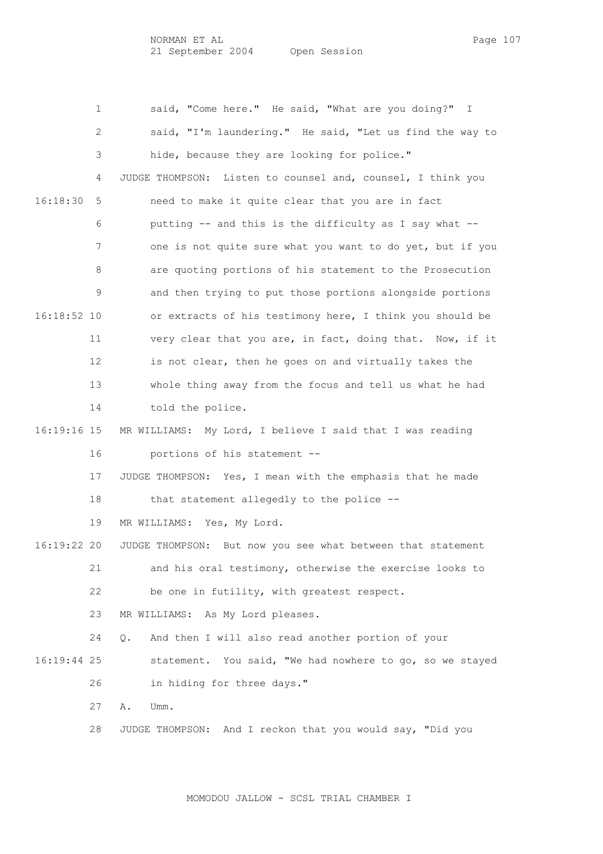NORMAN ET AL Page 107 21 September 2004 Open Session

 1 said, "Come here." He said, "What are you doing?" I 2 said, "I'm laundering." He said, "Let us find the way to 3 hide, because they are looking for police." 4 JUDGE THOMPSON: Listen to counsel and, counsel, I think you 16:18:30 5 need to make it quite clear that you are in fact 6 putting -- and this is the difficulty as I say what -- 7 one is not quite sure what you want to do yet, but if you 8 are quoting portions of his statement to the Prosecution 9 and then trying to put those portions alongside portions 16:18:52 10 or extracts of his testimony here, I think you should be 11 very clear that you are, in fact, doing that. Now, if it 12 is not clear, then he goes on and virtually takes the 13 whole thing away from the focus and tell us what he had 14 told the police. 16:19:16 15 MR WILLIAMS: My Lord, I believe I said that I was reading 16 portions of his statement -- 17 JUDGE THOMPSON: Yes, I mean with the emphasis that he made 18 that statement allegedly to the police -- 19 MR WILLIAMS: Yes, My Lord. 16:19:22 20 JUDGE THOMPSON: But now you see what between that statement 21 and his oral testimony, otherwise the exercise looks to 22 be one in futility, with greatest respect. 23 MR WILLIAMS: As My Lord pleases. 24 Q. And then I will also read another portion of your 16:19:44 25 statement. You said, "We had nowhere to go, so we stayed 26 in hiding for three days." 27 A. Umm. 28 JUDGE THOMPSON: And I reckon that you would say, "Did you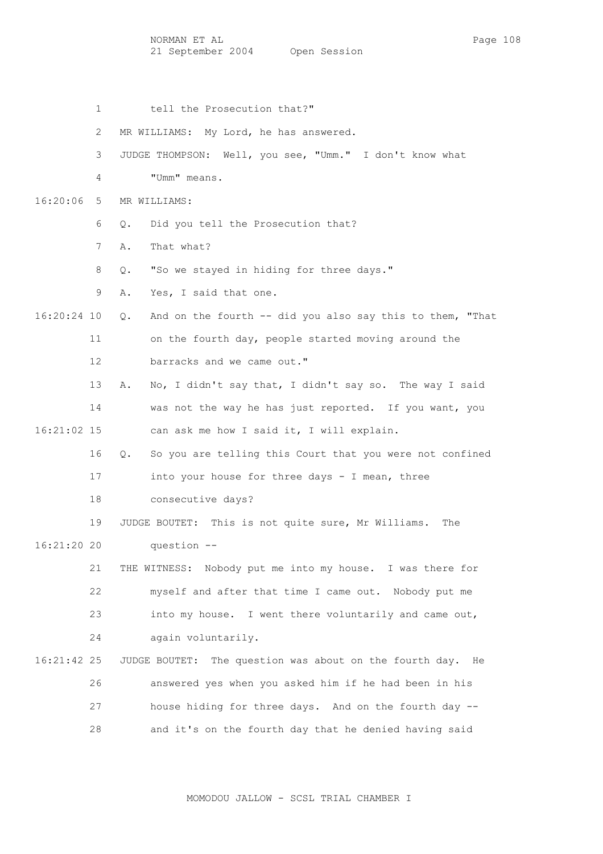NORMAN ET AL Page 108 21 September 2004 Open Session

 1 tell the Prosecution that?" 2 MR WILLIAMS: My Lord, he has answered. 3 JUDGE THOMPSON: Well, you see, "Umm." I don't know what 4 "Umm" means. 16:20:06 5 MR WILLIAMS: 6 Q. Did you tell the Prosecution that? 7 A. That what? 8 Q. "So we stayed in hiding for three days." 9 A. Yes, I said that one. 16:20:24 10 Q. And on the fourth -- did you also say this to them, "That 11 on the fourth day, people started moving around the 12 barracks and we came out." 13 A. No, I didn't say that, I didn't say so. The way I said 14 was not the way he has just reported. If you want, you 16:21:02 15 can ask me how I said it, I will explain. 16 Q. So you are telling this Court that you were not confined 17 into your house for three days - I mean, three 18 consecutive days? 19 JUDGE BOUTET: This is not quite sure, Mr Williams. The 16:21:20 20 question -- 21 THE WITNESS: Nobody put me into my house. I was there for 22 myself and after that time I came out. Nobody put me 23 into my house. I went there voluntarily and came out, 24 again voluntarily. 16:21:42 25 JUDGE BOUTET: The question was about on the fourth day. He 26 answered yes when you asked him if he had been in his 27 house hiding for three days. And on the fourth day -- 28 and it's on the fourth day that he denied having said

MOMODOU JALLOW - SCSL TRIAL CHAMBER I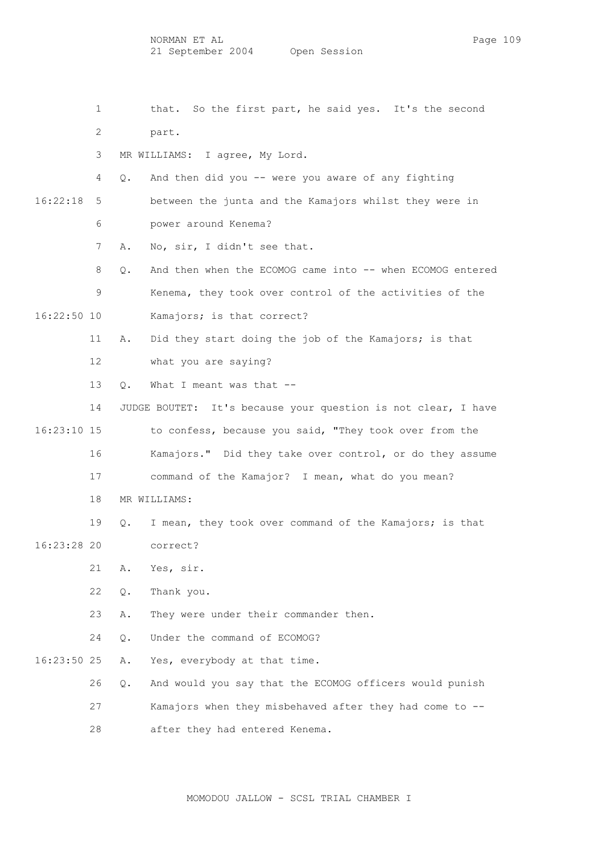1 that. So the first part, he said yes. It's the second

2 part.

3 MR WILLIAMS: I agree, My Lord.

4 Q. And then did you -- were you aware of any fighting

 16:22:18 5 between the junta and the Kamajors whilst they were in 6 power around Kenema?

7 A. No, sir, I didn't see that.

8 Q. And then when the ECOMOG came into -- when ECOMOG entered 9 Kenema, they took over control of the activities of the

16:22:50 10 Kamajors; is that correct?

 11 A. Did they start doing the job of the Kamajors; is that 12 what you are saying?

13 Q. What I meant was that --

 14 JUDGE BOUTET: It's because your question is not clear, I have 16:23:10 15 to confess, because you said, "They took over from the 16 Kamajors." Did they take over control, or do they assume 17 command of the Kamajor? I mean, what do you mean?

18 MR WILLIAMS:

 19 Q. I mean, they took over command of the Kamajors; is that 16:23:28 20 correct?

21 A. Yes, sir.

22 Q. Thank you.

- 23 A. They were under their commander then.
- 24 Q. Under the command of ECOMOG?

16:23:50 25 A. Yes, everybody at that time.

 26 Q. And would you say that the ECOMOG officers would punish 27 Kamajors when they misbehaved after they had come to -- 28 after they had entered Kenema.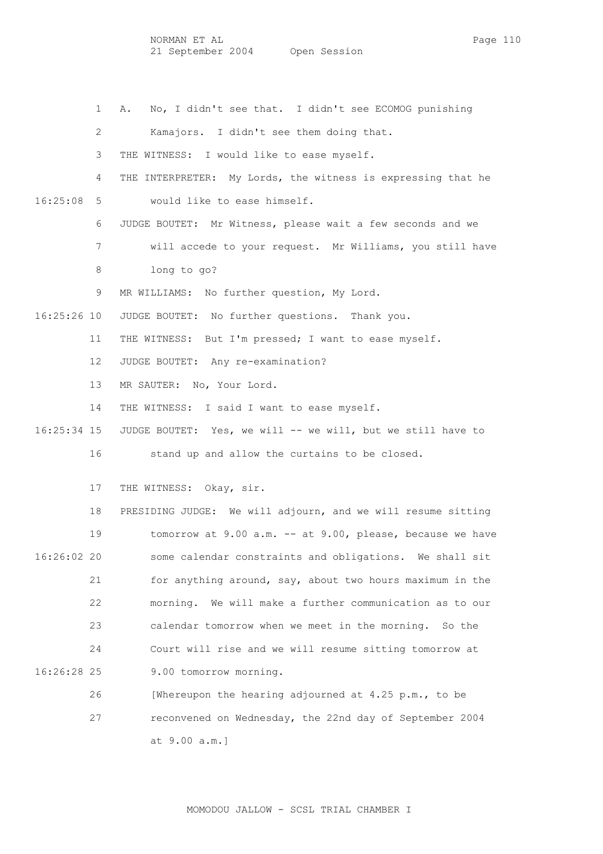NORMAN ET AL Page 110 21 September 2004 Open Session

1 A. No, I didn't see that. I didn't see ECOMOG punishing

2 Kamajors. I didn't see them doing that.

3 THE WITNESS: I would like to ease myself.

 4 THE INTERPRETER: My Lords, the witness is expressing that he 16:25:08 5 would like to ease himself.

6 JUDGE BOUTET: Mr Witness, please wait a few seconds and we

7 will accede to your request. Mr Williams, you still have

8 long to go?

9 MR WILLIAMS: No further question, My Lord.

16:25:26 10 JUDGE BOUTET: No further questions. Thank you.

11 THE WITNESS: But I'm pressed; I want to ease myself.

12 JUDGE BOUTET: Any re-examination?

13 MR SAUTER: No, Your Lord.

14 THE WITNESS: I said I want to ease myself.

 16:25:34 15 JUDGE BOUTET: Yes, we will -- we will, but we still have to 16 stand up and allow the curtains to be closed.

17 THE WITNESS: Okay, sir.

 18 PRESIDING JUDGE: We will adjourn, and we will resume sitting 19 tomorrow at 9.00 a.m. -- at 9.00, please, because we have 16:26:02 20 some calendar constraints and obligations. We shall sit 21 for anything around, say, about two hours maximum in the 22 morning. We will make a further communication as to our 23 calendar tomorrow when we meet in the morning. So the 24 Court will rise and we will resume sitting tomorrow at 16:26:28 25 9.00 tomorrow morning.

> 26 [Whereupon the hearing adjourned at 4.25 p.m., to be 27 reconvened on Wednesday, the 22nd day of September 2004 at 9.00 a.m.]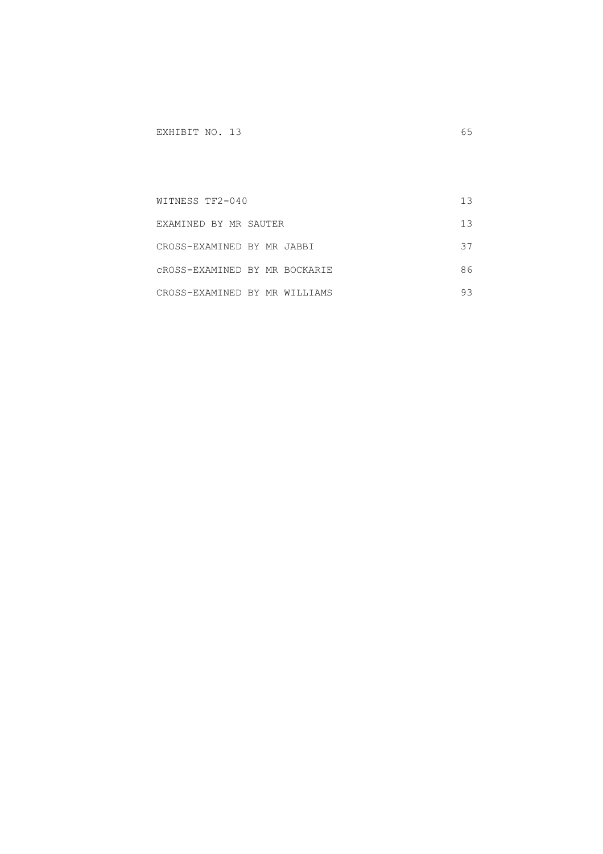| WITNESS TF2-040               |    |
|-------------------------------|----|
| EXAMINED BY MR SAUTER         | 13 |
| CROSS-EXAMINED BY MR JABBI    | 37 |
| CROSS-EXAMINED BY MR BOCKARIE | 86 |
| CROSS-EXAMINED BY MR WILLIAMS |    |